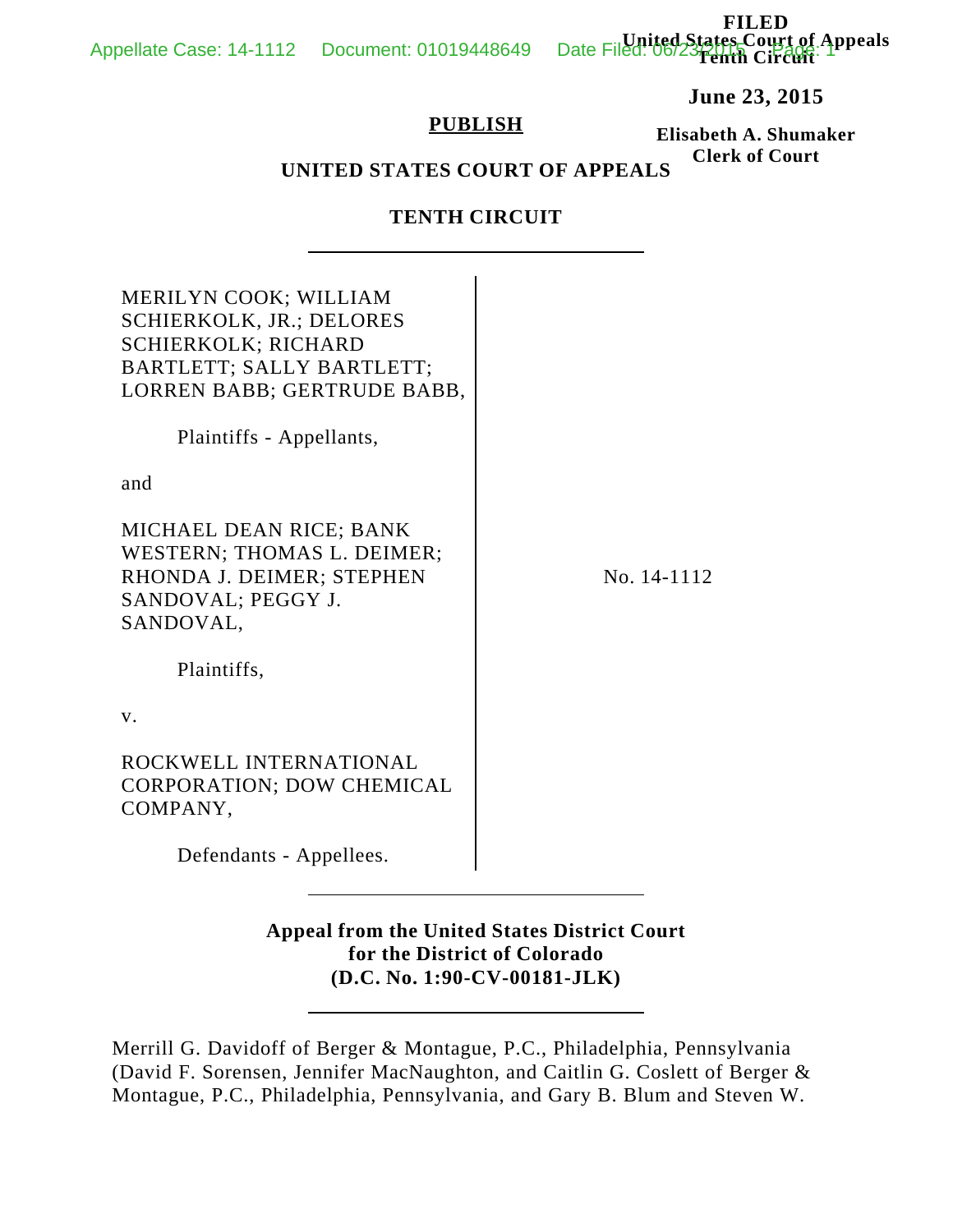**FILED United States Court of Appeals Tenth Circuit**

**June 23, 2015**

### **PUBLISH**

**Elisabeth A. Shumaker Clerk of Court**

# **UNITED STATES COURT OF APPEALS**

## **TENTH CIRCUIT**

| MERILYN COOK; WILLIAM<br><b>SCHIERKOLK, JR.; DELORES</b><br><b>SCHIERKOLK; RICHARD</b><br>BARTLETT; SALLY BARTLETT;<br>LORREN BABB; GERTRUDE BABB,<br>Plaintiffs - Appellants, |             |
|--------------------------------------------------------------------------------------------------------------------------------------------------------------------------------|-------------|
| and                                                                                                                                                                            |             |
| MICHAEL DEAN RICE; BANK<br>WESTERN; THOMAS L. DEIMER;<br>RHONDA J. DEIMER; STEPHEN<br>SANDOVAL; PEGGY J.<br>SANDOVAL,                                                          | No. 14-1112 |
| Plaintiffs,                                                                                                                                                                    |             |
| $V_{\cdot}$                                                                                                                                                                    |             |
| ROCKWELL INTERNATIONAL<br><b>CORPORATION; DOW CHEMICAL</b><br>COMPANY,                                                                                                         |             |
| Defendants - Appellees.                                                                                                                                                        |             |

# **Appeal from the United States District Court for the District of Colorado (D.C. No. 1:90-CV-00181-JLK)**

Merrill G. Davidoff of Berger & Montague, P.C., Philadelphia, Pennsylvania (David F. Sorensen, Jennifer MacNaughton, and Caitlin G. Coslett of Berger & Montague, P.C., Philadelphia, Pennsylvania, and Gary B. Blum and Steven W.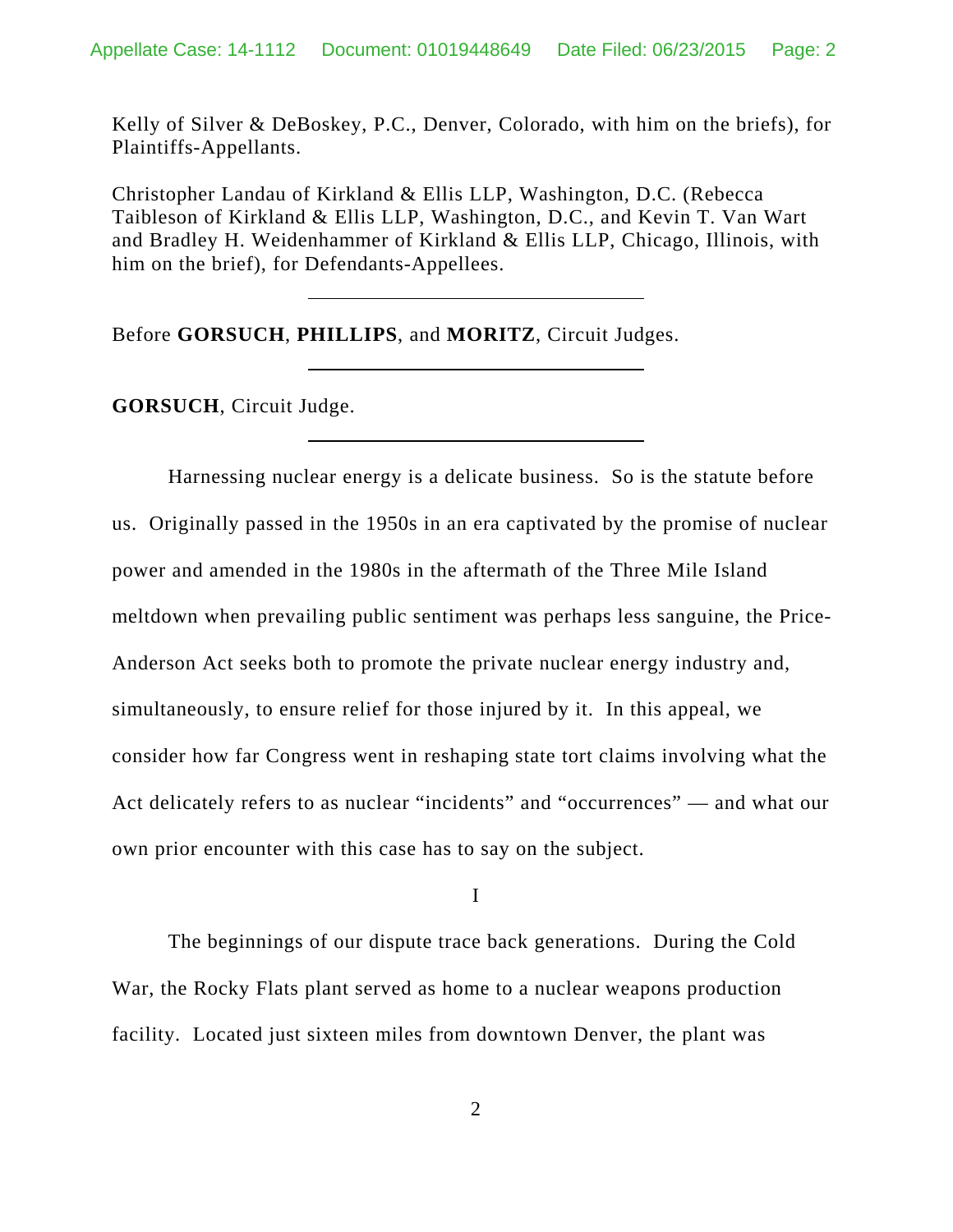Kelly of Silver & DeBoskey, P.C., Denver, Colorado, with him on the briefs), for Plaintiffs-Appellants.

Christopher Landau of Kirkland & Ellis LLP, Washington, D.C. (Rebecca Taibleson of Kirkland & Ellis LLP, Washington, D.C., and Kevin T. Van Wart and Bradley H. Weidenhammer of Kirkland & Ellis LLP, Chicago, Illinois, with him on the brief), for Defendants-Appellees.

Before **GORSUCH**, **PHILLIPS**, and **MORITZ**, Circuit Judges.

**GORSUCH**, Circuit Judge.

Harnessing nuclear energy is a delicate business. So is the statute before us. Originally passed in the 1950s in an era captivated by the promise of nuclear power and amended in the 1980s in the aftermath of the Three Mile Island meltdown when prevailing public sentiment was perhaps less sanguine, the Price-Anderson Act seeks both to promote the private nuclear energy industry and, simultaneously, to ensure relief for those injured by it. In this appeal, we consider how far Congress went in reshaping state tort claims involving what the Act delicately refers to as nuclear "incidents" and "occurrences" — and what our own prior encounter with this case has to say on the subject.

I

The beginnings of our dispute trace back generations. During the Cold War, the Rocky Flats plant served as home to a nuclear weapons production facility. Located just sixteen miles from downtown Denver, the plant was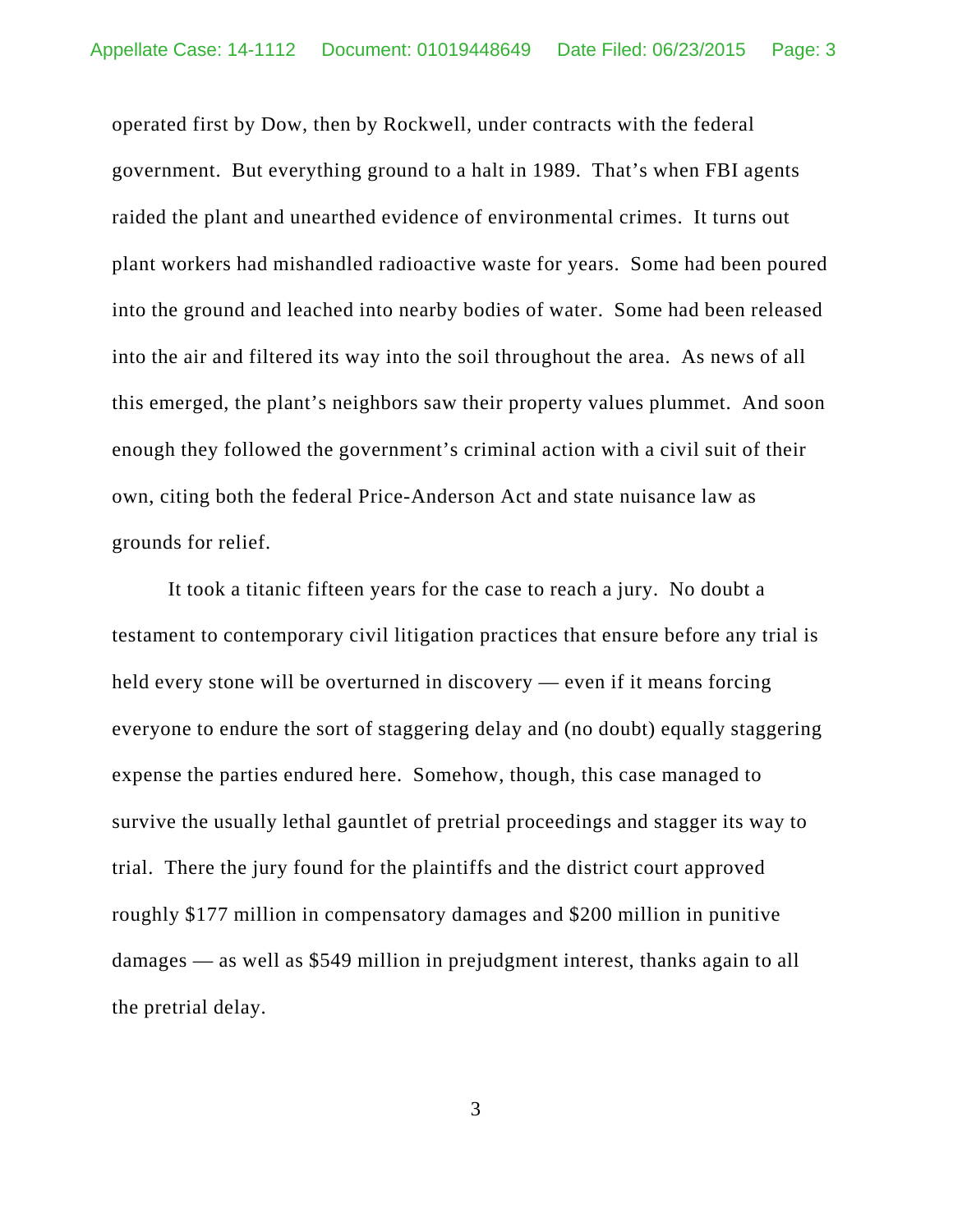operated first by Dow, then by Rockwell, under contracts with the federal government. But everything ground to a halt in 1989. That's when FBI agents raided the plant and unearthed evidence of environmental crimes. It turns out plant workers had mishandled radioactive waste for years. Some had been poured into the ground and leached into nearby bodies of water. Some had been released into the air and filtered its way into the soil throughout the area. As news of all this emerged, the plant's neighbors saw their property values plummet. And soon enough they followed the government's criminal action with a civil suit of their own, citing both the federal Price-Anderson Act and state nuisance law as grounds for relief.

It took a titanic fifteen years for the case to reach a jury. No doubt a testament to contemporary civil litigation practices that ensure before any trial is held every stone will be overturned in discovery — even if it means forcing everyone to endure the sort of staggering delay and (no doubt) equally staggering expense the parties endured here. Somehow, though, this case managed to survive the usually lethal gauntlet of pretrial proceedings and stagger its way to trial. There the jury found for the plaintiffs and the district court approved roughly \$177 million in compensatory damages and \$200 million in punitive damages — as well as \$549 million in prejudgment interest, thanks again to all the pretrial delay.

3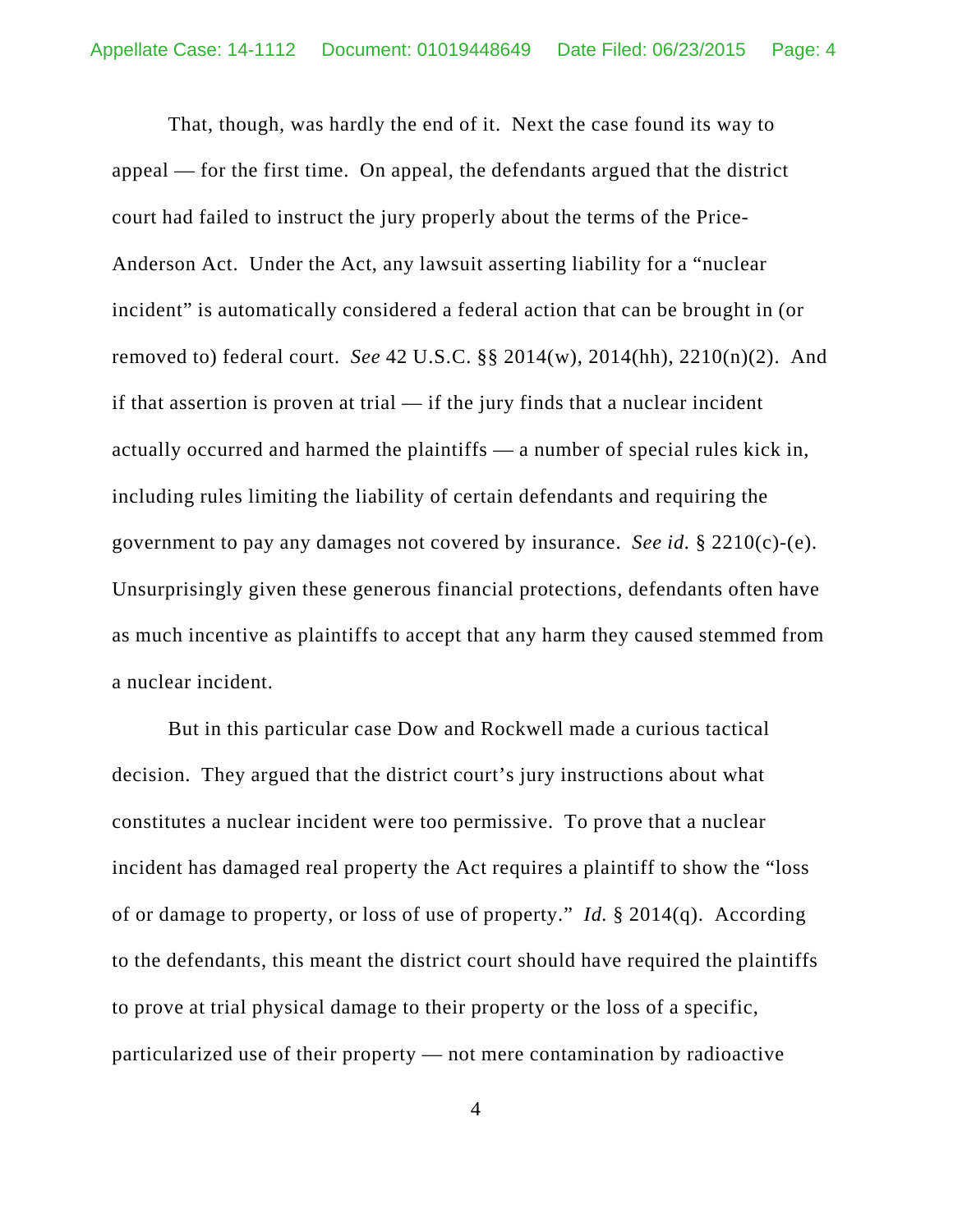That, though, was hardly the end of it. Next the case found its way to appeal — for the first time. On appeal, the defendants argued that the district court had failed to instruct the jury properly about the terms of the Price-Anderson Act. Under the Act, any lawsuit asserting liability for a "nuclear incident" is automatically considered a federal action that can be brought in (or removed to) federal court. *See* 42 U.S.C. §§ 2014(w), 2014(hh), 2210(n)(2). And if that assertion is proven at trial — if the jury finds that a nuclear incident actually occurred and harmed the plaintiffs — a number of special rules kick in, including rules limiting the liability of certain defendants and requiring the government to pay any damages not covered by insurance. *See id.* § 2210(c)-(e). Unsurprisingly given these generous financial protections, defendants often have as much incentive as plaintiffs to accept that any harm they caused stemmed from a nuclear incident.

But in this particular case Dow and Rockwell made a curious tactical decision. They argued that the district court's jury instructions about what constitutes a nuclear incident were too permissive. To prove that a nuclear incident has damaged real property the Act requires a plaintiff to show the "loss of or damage to property, or loss of use of property." *Id.* § 2014(q). According to the defendants, this meant the district court should have required the plaintiffs to prove at trial physical damage to their property or the loss of a specific, particularized use of their property — not mere contamination by radioactive

4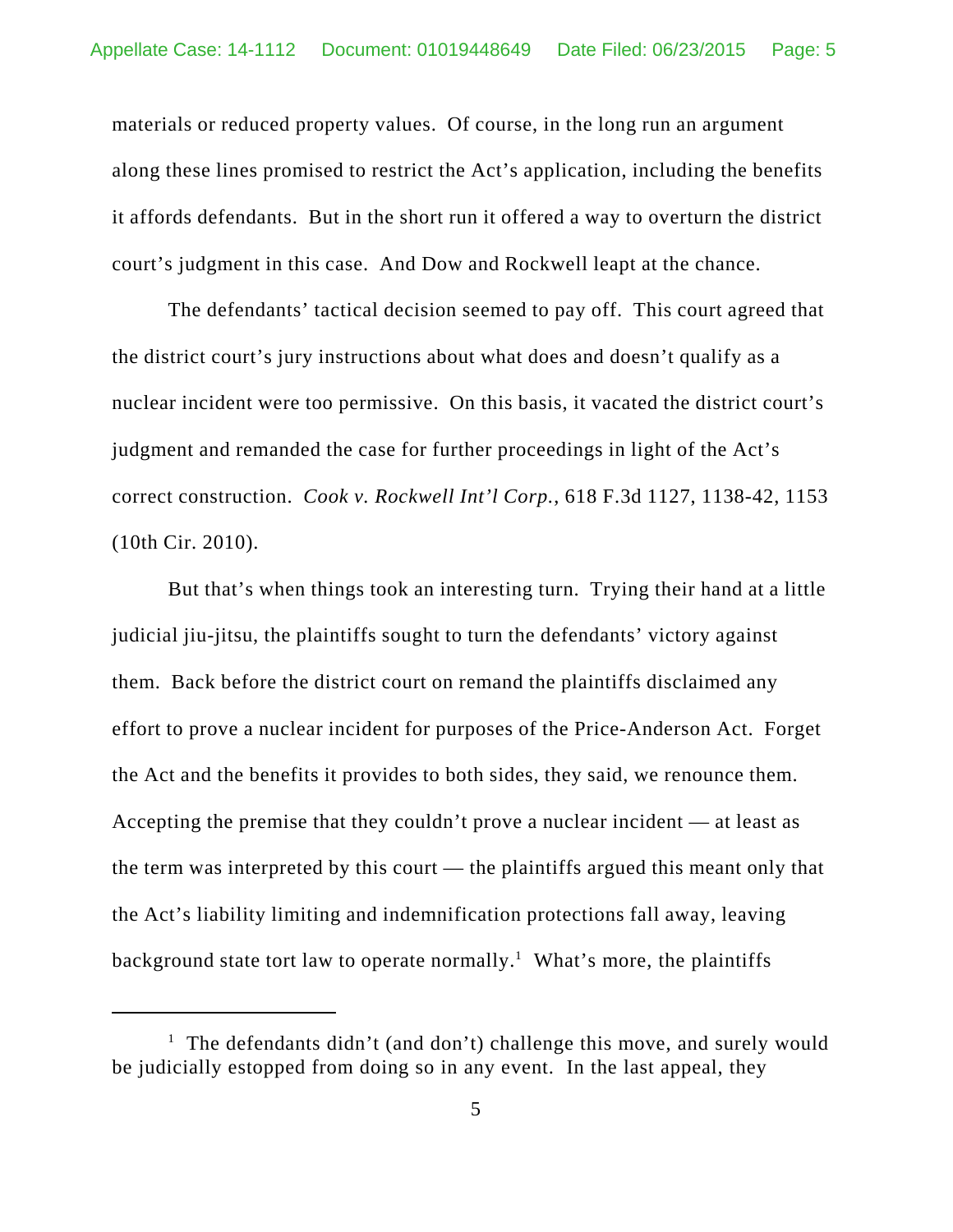materials or reduced property values. Of course, in the long run an argument along these lines promised to restrict the Act's application, including the benefits it affords defendants. But in the short run it offered a way to overturn the district court's judgment in this case. And Dow and Rockwell leapt at the chance.

The defendants' tactical decision seemed to pay off. This court agreed that the district court's jury instructions about what does and doesn't qualify as a nuclear incident were too permissive. On this basis, it vacated the district court's judgment and remanded the case for further proceedings in light of the Act's correct construction. *Cook v. Rockwell Int'l Corp.*, 618 F.3d 1127, 1138-42, 1153 (10th Cir. 2010).

But that's when things took an interesting turn. Trying their hand at a little judicial jiu-jitsu, the plaintiffs sought to turn the defendants' victory against them. Back before the district court on remand the plaintiffs disclaimed any effort to prove a nuclear incident for purposes of the Price-Anderson Act. Forget the Act and the benefits it provides to both sides, they said, we renounce them. Accepting the premise that they couldn't prove a nuclear incident — at least as the term was interpreted by this court — the plaintiffs argued this meant only that the Act's liability limiting and indemnification protections fall away, leaving background state tort law to operate normally.<sup>1</sup> What's more, the plaintiffs

<sup>&</sup>lt;sup>1</sup> The defendants didn't (and don't) challenge this move, and surely would be judicially estopped from doing so in any event. In the last appeal, they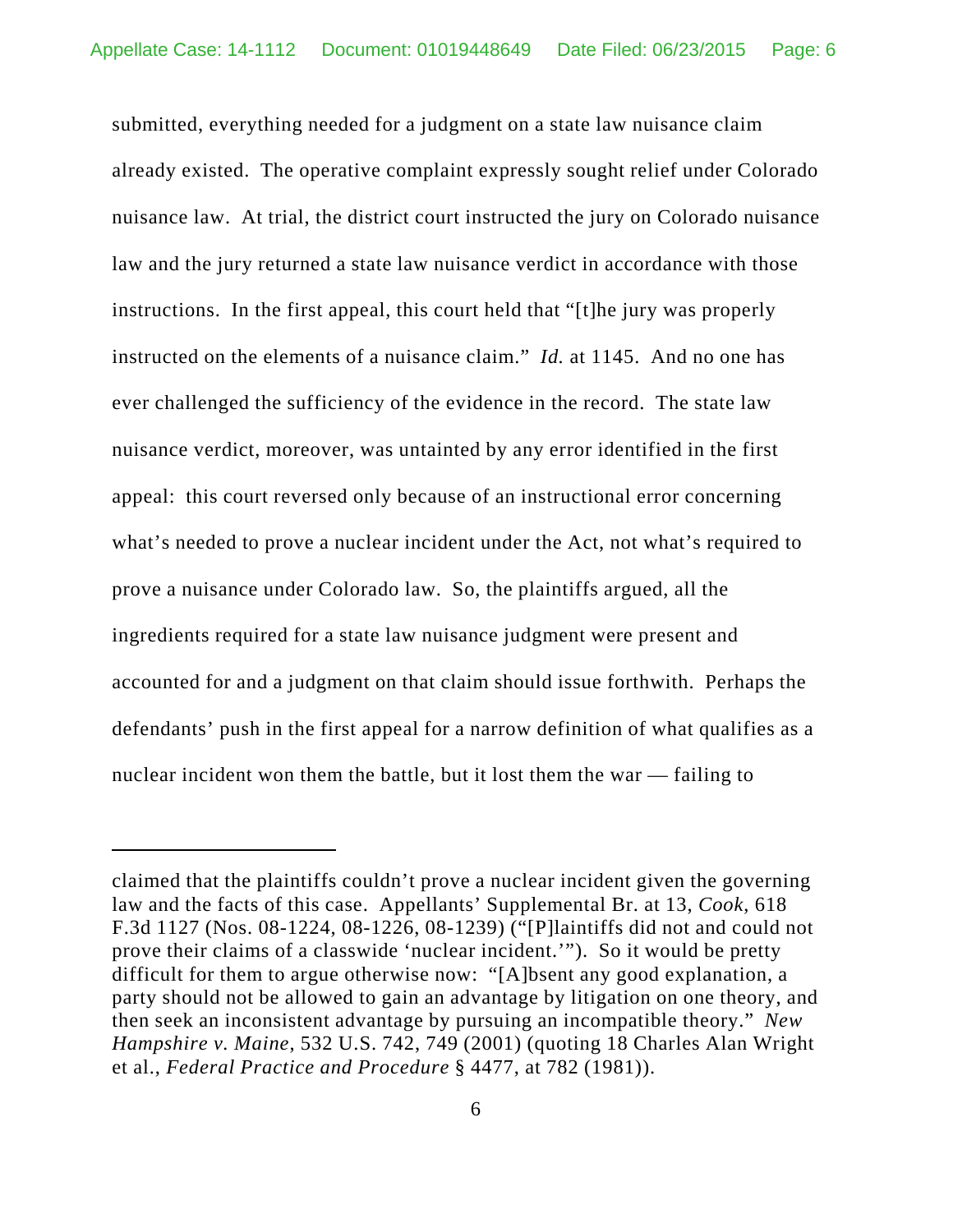submitted, everything needed for a judgment on a state law nuisance claim already existed. The operative complaint expressly sought relief under Colorado nuisance law. At trial, the district court instructed the jury on Colorado nuisance law and the jury returned a state law nuisance verdict in accordance with those instructions. In the first appeal, this court held that "[t]he jury was properly instructed on the elements of a nuisance claim." *Id.* at 1145. And no one has ever challenged the sufficiency of the evidence in the record. The state law nuisance verdict, moreover, was untainted by any error identified in the first appeal: this court reversed only because of an instructional error concerning what's needed to prove a nuclear incident under the Act, not what's required to prove a nuisance under Colorado law. So, the plaintiffs argued, all the ingredients required for a state law nuisance judgment were present and accounted for and a judgment on that claim should issue forthwith. Perhaps the defendants' push in the first appeal for a narrow definition of what qualifies as a nuclear incident won them the battle, but it lost them the war — failing to

claimed that the plaintiffs couldn't prove a nuclear incident given the governing law and the facts of this case. Appellants' Supplemental Br. at 13, *Cook*, 618 F.3d 1127 (Nos. 08-1224, 08-1226, 08-1239) ("[P]laintiffs did not and could not prove their claims of a classwide 'nuclear incident.'"). So it would be pretty difficult for them to argue otherwise now: "[A]bsent any good explanation, a party should not be allowed to gain an advantage by litigation on one theory, and then seek an inconsistent advantage by pursuing an incompatible theory." *New Hampshire v. Maine*, 532 U.S. 742, 749 (2001) (quoting 18 Charles Alan Wright et al., *Federal Practice and Procedure* § 4477, at 782 (1981)).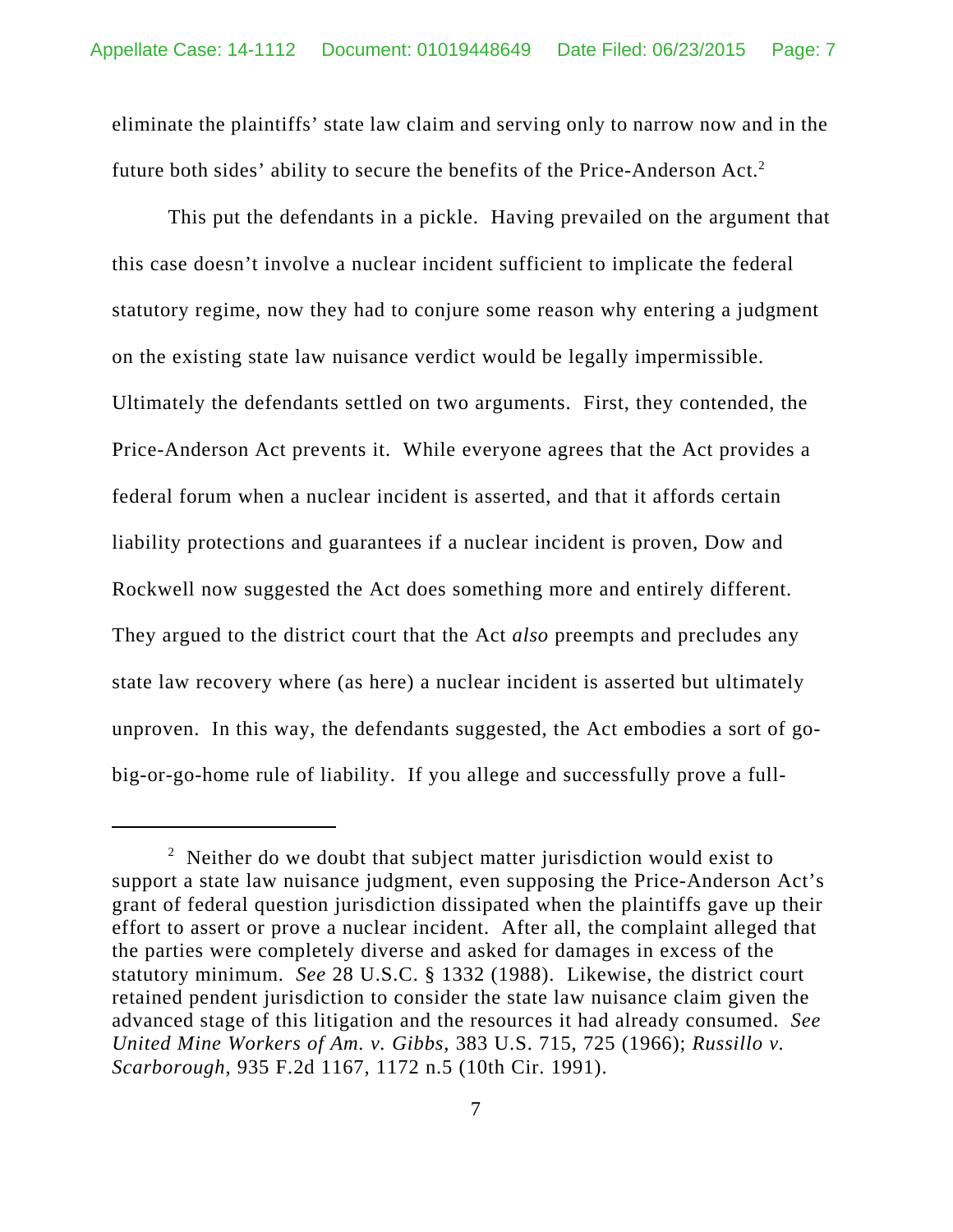eliminate the plaintiffs' state law claim and serving only to narrow now and in the future both sides' ability to secure the benefits of the Price-Anderson Act.<sup>2</sup>

This put the defendants in a pickle. Having prevailed on the argument that this case doesn't involve a nuclear incident sufficient to implicate the federal statutory regime, now they had to conjure some reason why entering a judgment on the existing state law nuisance verdict would be legally impermissible. Ultimately the defendants settled on two arguments. First, they contended, the Price-Anderson Act prevents it. While everyone agrees that the Act provides a federal forum when a nuclear incident is asserted, and that it affords certain liability protections and guarantees if a nuclear incident is proven, Dow and Rockwell now suggested the Act does something more and entirely different. They argued to the district court that the Act *also* preempts and precludes any state law recovery where (as here) a nuclear incident is asserted but ultimately unproven. In this way, the defendants suggested, the Act embodies a sort of gobig-or-go-home rule of liability. If you allege and successfully prove a full-

<sup>&</sup>lt;sup>2</sup> Neither do we doubt that subject matter jurisdiction would exist to support a state law nuisance judgment, even supposing the Price-Anderson Act's grant of federal question jurisdiction dissipated when the plaintiffs gave up their effort to assert or prove a nuclear incident. After all, the complaint alleged that the parties were completely diverse and asked for damages in excess of the statutory minimum. *See* 28 U.S.C. § 1332 (1988). Likewise, the district court retained pendent jurisdiction to consider the state law nuisance claim given the advanced stage of this litigation and the resources it had already consumed. *See United Mine Workers of Am. v. Gibbs*, 383 U.S. 715, 725 (1966); *Russillo v. Scarborough*, 935 F.2d 1167, 1172 n.5 (10th Cir. 1991).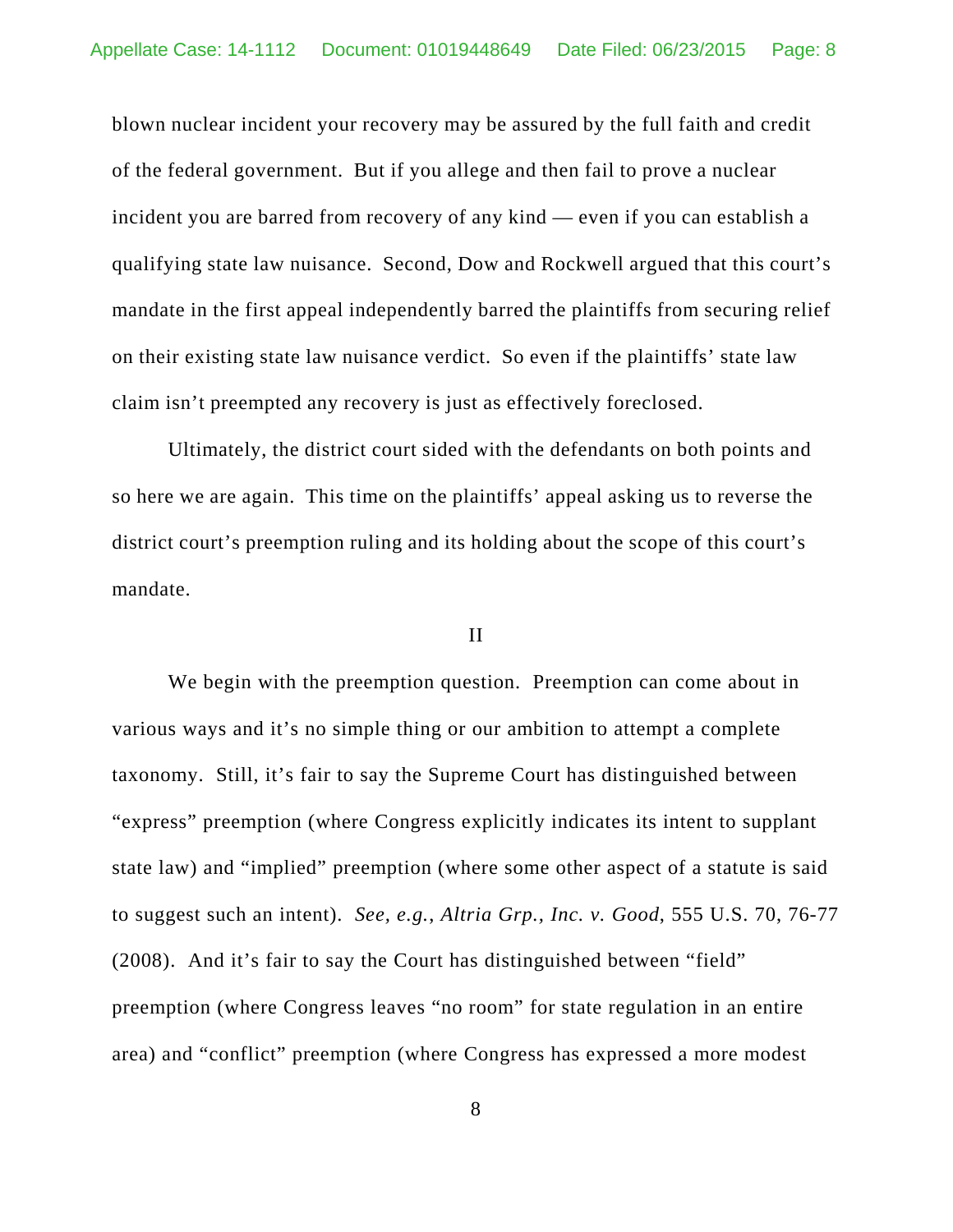blown nuclear incident your recovery may be assured by the full faith and credit of the federal government. But if you allege and then fail to prove a nuclear incident you are barred from recovery of any kind — even if you can establish a qualifying state law nuisance. Second, Dow and Rockwell argued that this court's mandate in the first appeal independently barred the plaintiffs from securing relief on their existing state law nuisance verdict. So even if the plaintiffs' state law claim isn't preempted any recovery is just as effectively foreclosed.

Ultimately, the district court sided with the defendants on both points and so here we are again. This time on the plaintiffs' appeal asking us to reverse the district court's preemption ruling and its holding about the scope of this court's mandate.

#### II

We begin with the preemption question. Preemption can come about in various ways and it's no simple thing or our ambition to attempt a complete taxonomy. Still, it's fair to say the Supreme Court has distinguished between "express" preemption (where Congress explicitly indicates its intent to supplant state law) and "implied" preemption (where some other aspect of a statute is said to suggest such an intent). *See, e.g.*, *Altria Grp., Inc. v. Good*, 555 U.S. 70, 76-77 (2008). And it's fair to say the Court has distinguished between "field" preemption (where Congress leaves "no room" for state regulation in an entire area) and "conflict" preemption (where Congress has expressed a more modest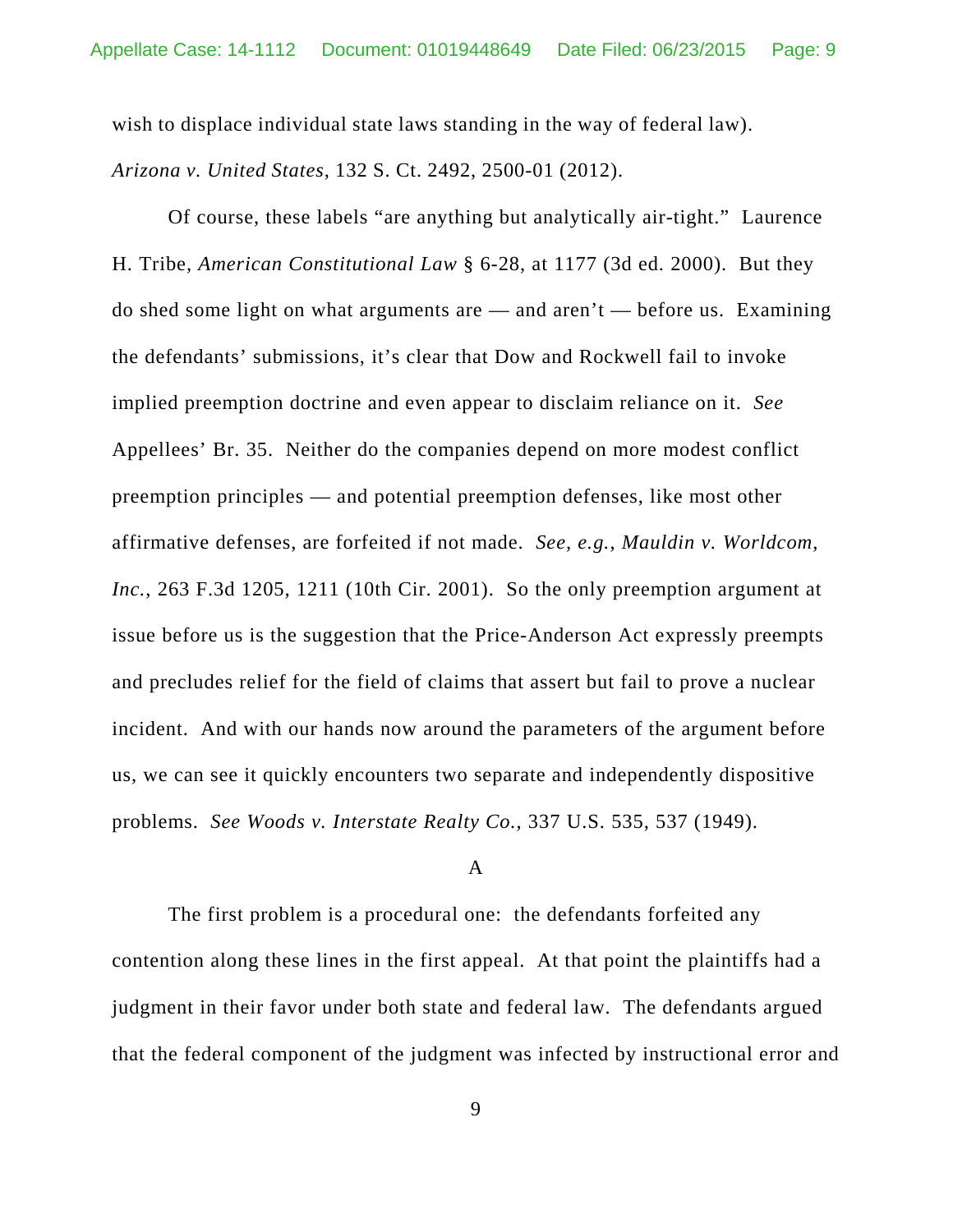wish to displace individual state laws standing in the way of federal law). *Arizona v. United States*, 132 S. Ct. 2492, 2500-01 (2012).

Of course, these labels "are anything but analytically air-tight." Laurence H. Tribe, *American Constitutional Law* § 6-28, at 1177 (3d ed. 2000). But they do shed some light on what arguments are  $-$  and aren't  $-$  before us. Examining the defendants' submissions, it's clear that Dow and Rockwell fail to invoke implied preemption doctrine and even appear to disclaim reliance on it. *See* Appellees' Br. 35. Neither do the companies depend on more modest conflict preemption principles — and potential preemption defenses, like most other affirmative defenses, are forfeited if not made. *See, e.g.*, *Mauldin v. Worldcom, Inc.*, 263 F.3d 1205, 1211 (10th Cir. 2001). So the only preemption argument at issue before us is the suggestion that the Price-Anderson Act expressly preempts and precludes relief for the field of claims that assert but fail to prove a nuclear incident. And with our hands now around the parameters of the argument before us, we can see it quickly encounters two separate and independently dispositive problems. *See Woods v. Interstate Realty Co.*, 337 U.S. 535, 537 (1949).

#### A

The first problem is a procedural one: the defendants forfeited any contention along these lines in the first appeal. At that point the plaintiffs had a judgment in their favor under both state and federal law. The defendants argued that the federal component of the judgment was infected by instructional error and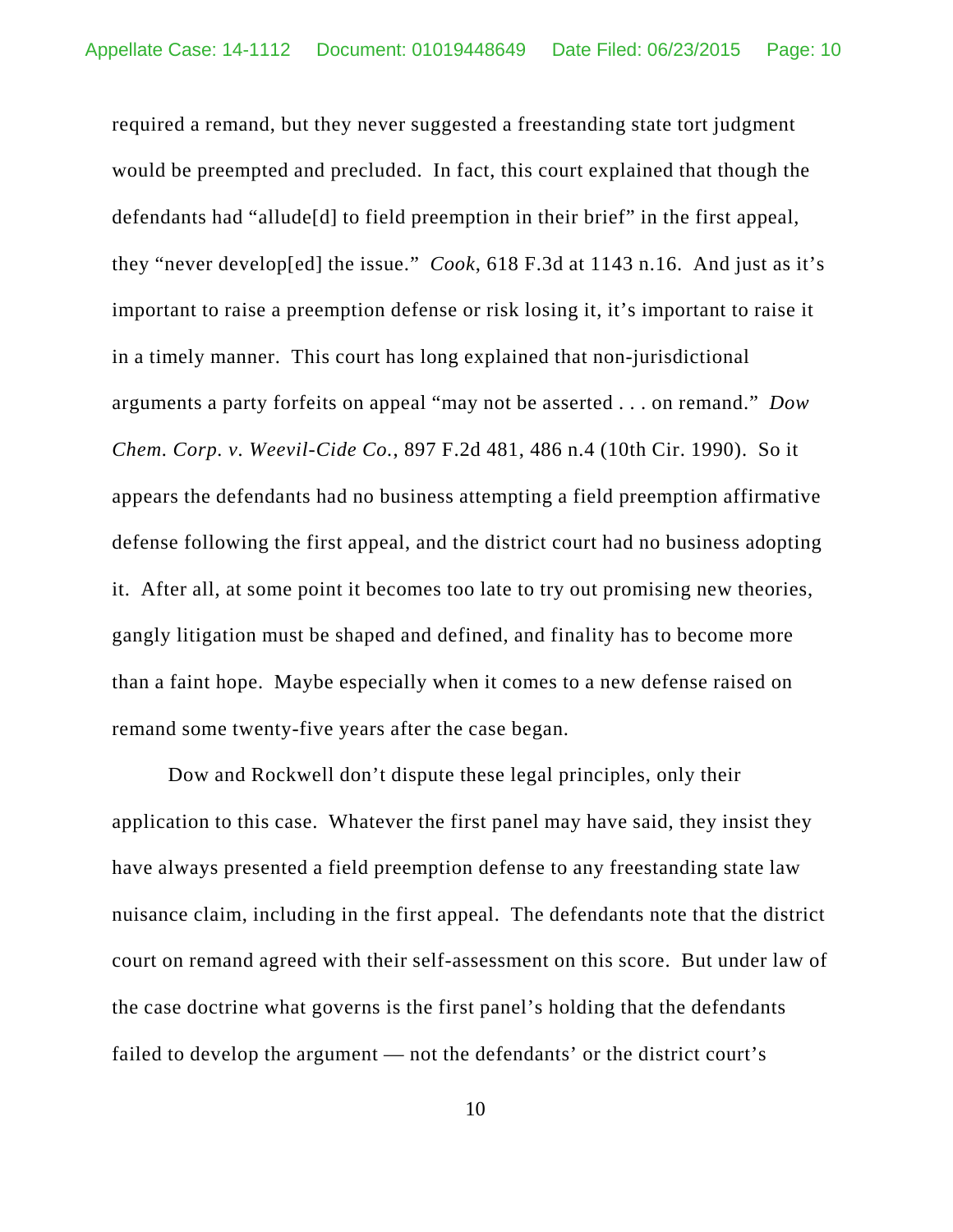required a remand, but they never suggested a freestanding state tort judgment would be preempted and precluded. In fact, this court explained that though the defendants had "allude[d] to field preemption in their brief" in the first appeal, they "never develop[ed] the issue." *Cook*, 618 F.3d at 1143 n.16. And just as it's important to raise a preemption defense or risk losing it, it's important to raise it in a timely manner. This court has long explained that non-jurisdictional arguments a party forfeits on appeal "may not be asserted . . . on remand." *Dow Chem. Corp. v. Weevil-Cide Co.*, 897 F.2d 481, 486 n.4 (10th Cir. 1990). So it appears the defendants had no business attempting a field preemption affirmative defense following the first appeal, and the district court had no business adopting it. After all, at some point it becomes too late to try out promising new theories, gangly litigation must be shaped and defined, and finality has to become more than a faint hope. Maybe especially when it comes to a new defense raised on remand some twenty-five years after the case began.

Dow and Rockwell don't dispute these legal principles, only their application to this case. Whatever the first panel may have said, they insist they have always presented a field preemption defense to any freestanding state law nuisance claim, including in the first appeal. The defendants note that the district court on remand agreed with their self-assessment on this score. But under law of the case doctrine what governs is the first panel's holding that the defendants failed to develop the argument — not the defendants' or the district court's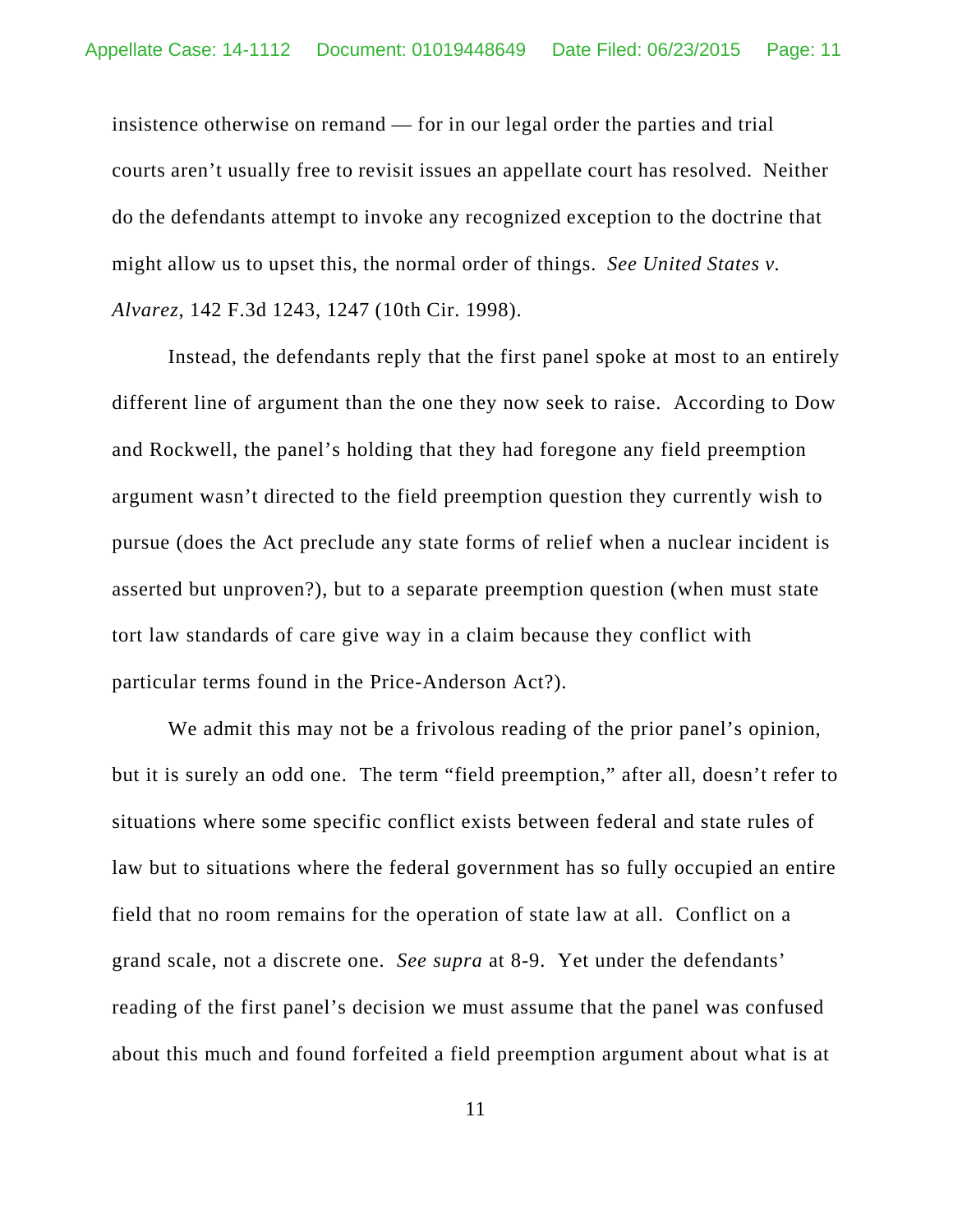insistence otherwise on remand — for in our legal order the parties and trial courts aren't usually free to revisit issues an appellate court has resolved. Neither do the defendants attempt to invoke any recognized exception to the doctrine that might allow us to upset this, the normal order of things. *See United States v. Alvarez*, 142 F.3d 1243, 1247 (10th Cir. 1998).

Instead, the defendants reply that the first panel spoke at most to an entirely different line of argument than the one they now seek to raise. According to Dow and Rockwell, the panel's holding that they had foregone any field preemption argument wasn't directed to the field preemption question they currently wish to pursue (does the Act preclude any state forms of relief when a nuclear incident is asserted but unproven?), but to a separate preemption question (when must state tort law standards of care give way in a claim because they conflict with particular terms found in the Price-Anderson Act?).

We admit this may not be a frivolous reading of the prior panel's opinion, but it is surely an odd one. The term "field preemption," after all, doesn't refer to situations where some specific conflict exists between federal and state rules of law but to situations where the federal government has so fully occupied an entire field that no room remains for the operation of state law at all. Conflict on a grand scale, not a discrete one. *See supra* at 8-9. Yet under the defendants' reading of the first panel's decision we must assume that the panel was confused about this much and found forfeited a field preemption argument about what is at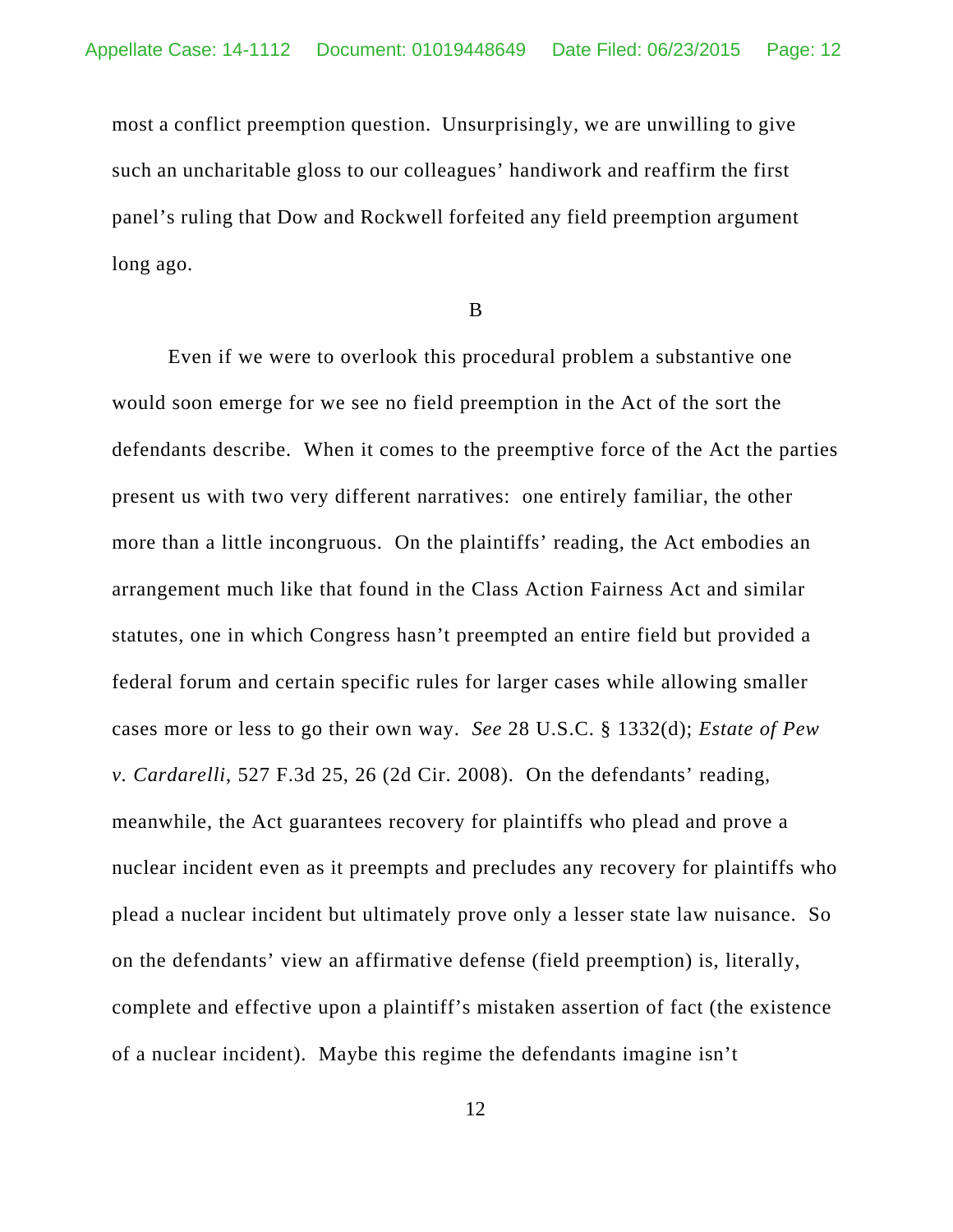most a conflict preemption question. Unsurprisingly, we are unwilling to give such an uncharitable gloss to our colleagues' handiwork and reaffirm the first panel's ruling that Dow and Rockwell forfeited any field preemption argument long ago.

B

Even if we were to overlook this procedural problem a substantive one would soon emerge for we see no field preemption in the Act of the sort the defendants describe. When it comes to the preemptive force of the Act the parties present us with two very different narratives: one entirely familiar, the other more than a little incongruous. On the plaintiffs' reading, the Act embodies an arrangement much like that found in the Class Action Fairness Act and similar statutes, one in which Congress hasn't preempted an entire field but provided a federal forum and certain specific rules for larger cases while allowing smaller cases more or less to go their own way. *See* 28 U.S.C. § 1332(d); *Estate of Pew v. Cardarelli*, 527 F.3d 25, 26 (2d Cir. 2008). On the defendants' reading, meanwhile, the Act guarantees recovery for plaintiffs who plead and prove a nuclear incident even as it preempts and precludes any recovery for plaintiffs who plead a nuclear incident but ultimately prove only a lesser state law nuisance. So on the defendants' view an affirmative defense (field preemption) is, literally, complete and effective upon a plaintiff's mistaken assertion of fact (the existence of a nuclear incident). Maybe this regime the defendants imagine isn't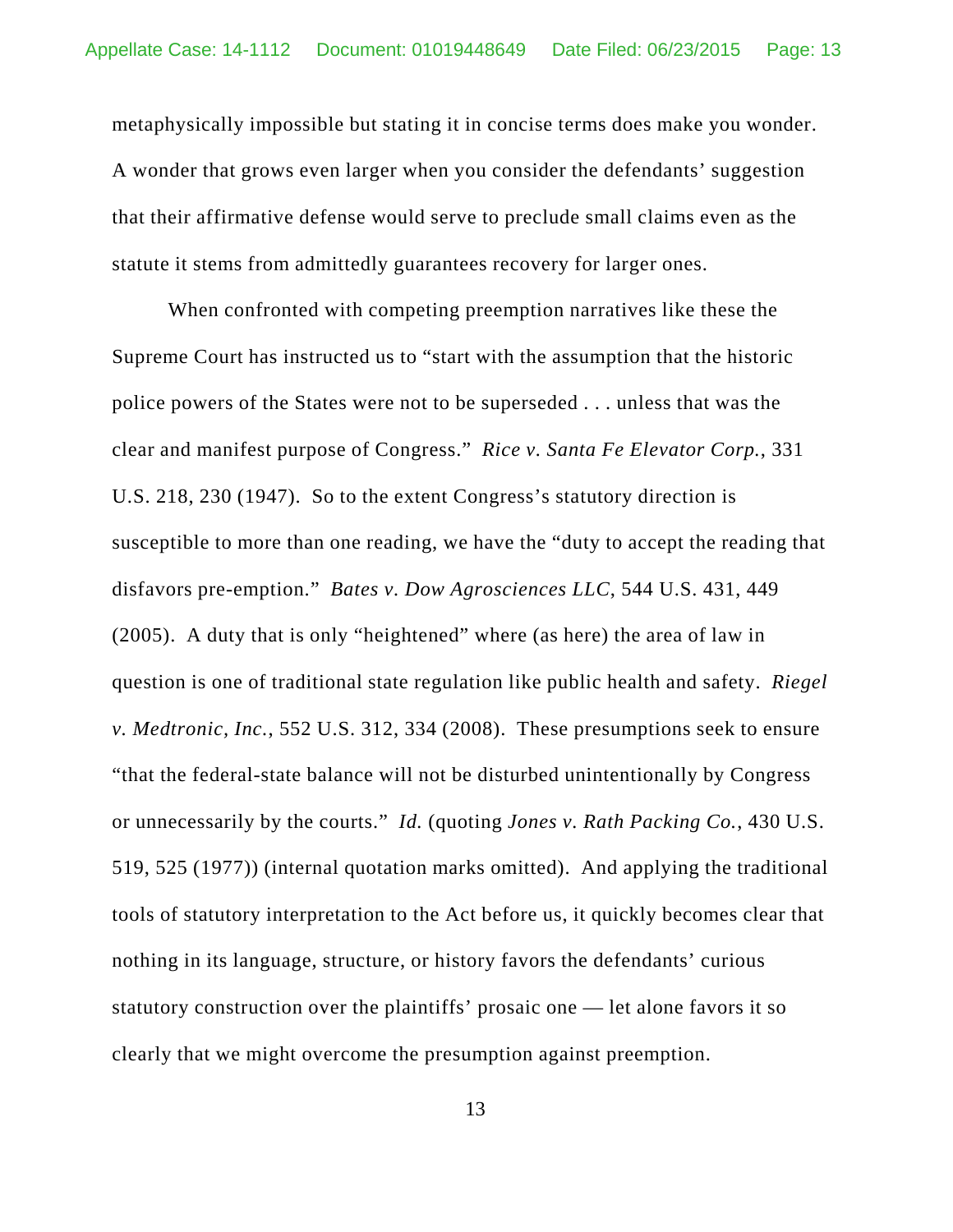metaphysically impossible but stating it in concise terms does make you wonder. A wonder that grows even larger when you consider the defendants' suggestion that their affirmative defense would serve to preclude small claims even as the statute it stems from admittedly guarantees recovery for larger ones.

When confronted with competing preemption narratives like these the Supreme Court has instructed us to "start with the assumption that the historic police powers of the States were not to be superseded . . . unless that was the clear and manifest purpose of Congress." *Rice v. Santa Fe Elevator Corp.*, 331 U.S. 218, 230 (1947). So to the extent Congress's statutory direction is susceptible to more than one reading, we have the "duty to accept the reading that disfavors pre-emption." *Bates v. Dow Agrosciences LLC*, 544 U.S. 431, 449 (2005). A duty that is only "heightened" where (as here) the area of law in question is one of traditional state regulation like public health and safety. *Riegel v. Medtronic, Inc.*, 552 U.S. 312, 334 (2008). These presumptions seek to ensure "that the federal-state balance will not be disturbed unintentionally by Congress or unnecessarily by the courts." *Id.* (quoting *Jones v. Rath Packing Co.*, 430 U.S. 519, 525 (1977)) (internal quotation marks omitted). And applying the traditional tools of statutory interpretation to the Act before us, it quickly becomes clear that nothing in its language, structure, or history favors the defendants' curious statutory construction over the plaintiffs' prosaic one — let alone favors it so clearly that we might overcome the presumption against preemption.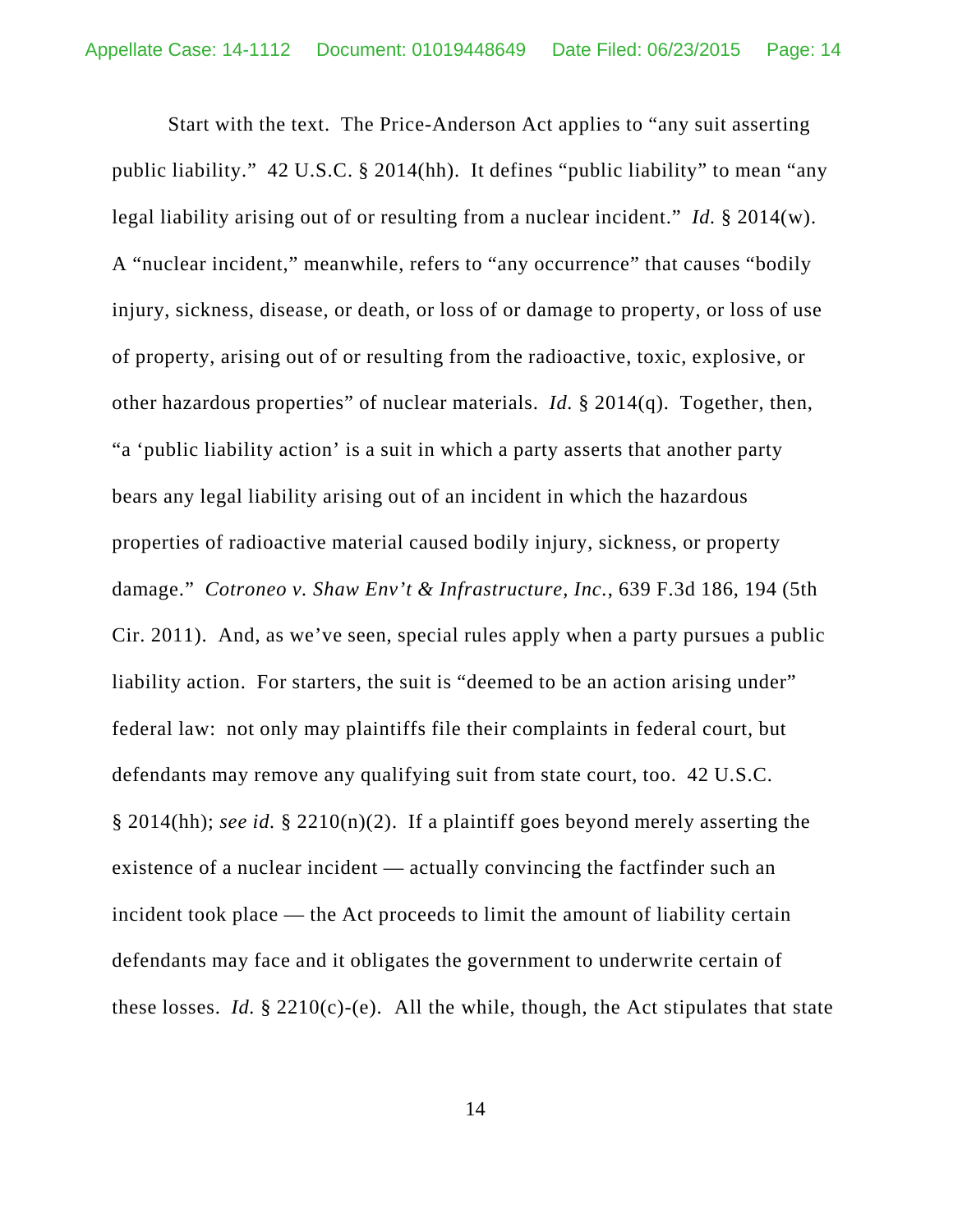Start with the text. The Price-Anderson Act applies to "any suit asserting public liability." 42 U.S.C. § 2014(hh). It defines "public liability" to mean "any legal liability arising out of or resulting from a nuclear incident." *Id.* § 2014(w). A "nuclear incident," meanwhile, refers to "any occurrence" that causes "bodily injury, sickness, disease, or death, or loss of or damage to property, or loss of use of property, arising out of or resulting from the radioactive, toxic, explosive, or other hazardous properties" of nuclear materials. *Id.* § 2014(q). Together, then, "a 'public liability action' is a suit in which a party asserts that another party bears any legal liability arising out of an incident in which the hazardous properties of radioactive material caused bodily injury, sickness, or property damage." *Cotroneo v. Shaw Env't & Infrastructure, Inc.*, 639 F.3d 186, 194 (5th Cir. 2011). And, as we've seen, special rules apply when a party pursues a public liability action. For starters, the suit is "deemed to be an action arising under" federal law: not only may plaintiffs file their complaints in federal court, but defendants may remove any qualifying suit from state court, too. 42 U.S.C. § 2014(hh); *see id.* § 2210(n)(2). If a plaintiff goes beyond merely asserting the existence of a nuclear incident — actually convincing the factfinder such an incident took place — the Act proceeds to limit the amount of liability certain defendants may face and it obligates the government to underwrite certain of these losses. *Id.*  $\S 2210(c)$ -(e). All the while, though, the Act stipulates that state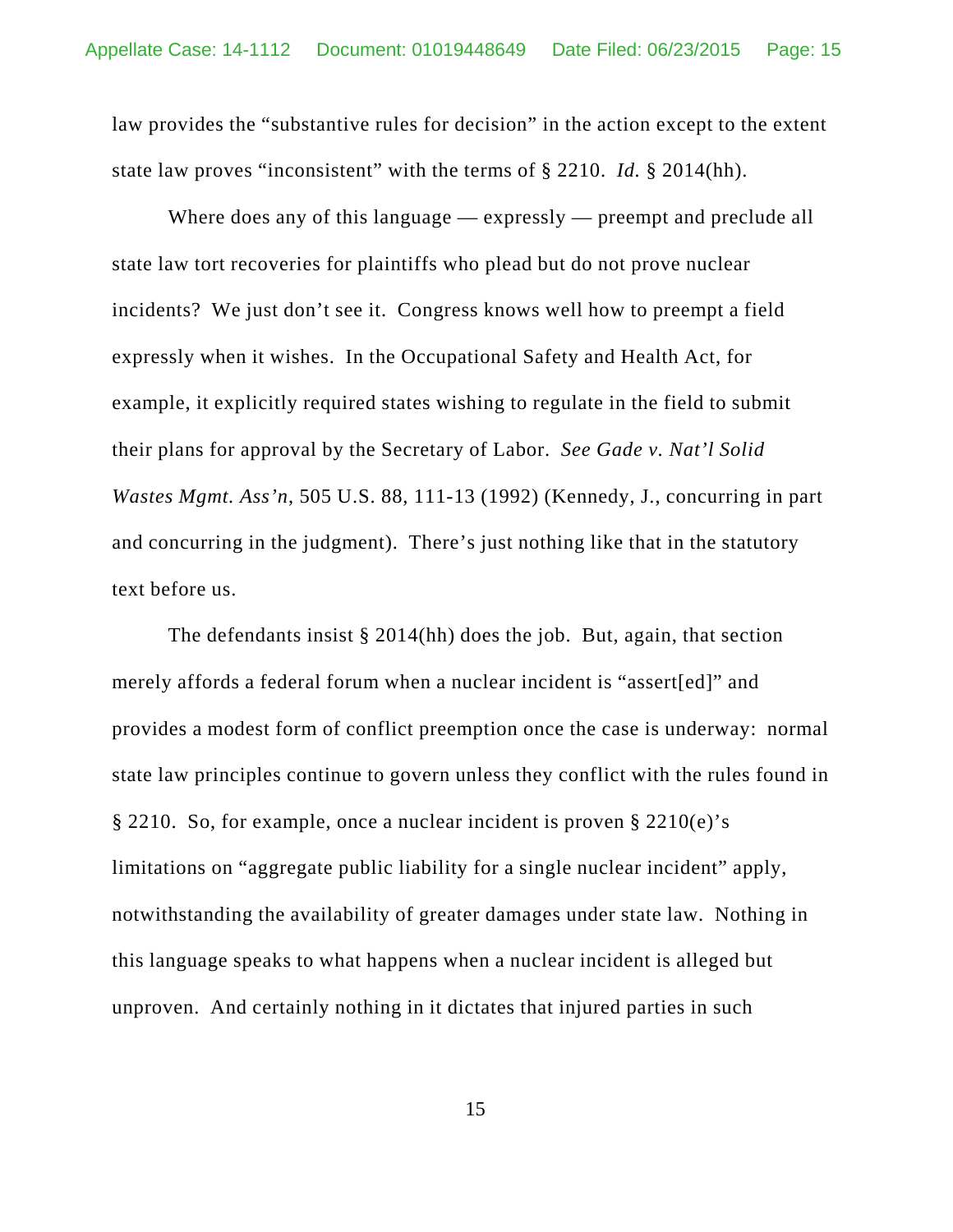law provides the "substantive rules for decision" in the action except to the extent state law proves "inconsistent" with the terms of § 2210. *Id.* § 2014(hh).

Where does any of this language — expressly — preempt and preclude all state law tort recoveries for plaintiffs who plead but do not prove nuclear incidents? We just don't see it. Congress knows well how to preempt a field expressly when it wishes. In the Occupational Safety and Health Act, for example, it explicitly required states wishing to regulate in the field to submit their plans for approval by the Secretary of Labor. *See Gade v. Nat'l Solid Wastes Mgmt. Ass'n*, 505 U.S. 88, 111-13 (1992) (Kennedy, J., concurring in part and concurring in the judgment). There's just nothing like that in the statutory text before us.

The defendants insist § 2014(hh) does the job. But, again, that section merely affords a federal forum when a nuclear incident is "assert[ed]" and provides a modest form of conflict preemption once the case is underway: normal state law principles continue to govern unless they conflict with the rules found in § 2210. So, for example, once a nuclear incident is proven § 2210(e)'s limitations on "aggregate public liability for a single nuclear incident" apply, notwithstanding the availability of greater damages under state law. Nothing in this language speaks to what happens when a nuclear incident is alleged but unproven. And certainly nothing in it dictates that injured parties in such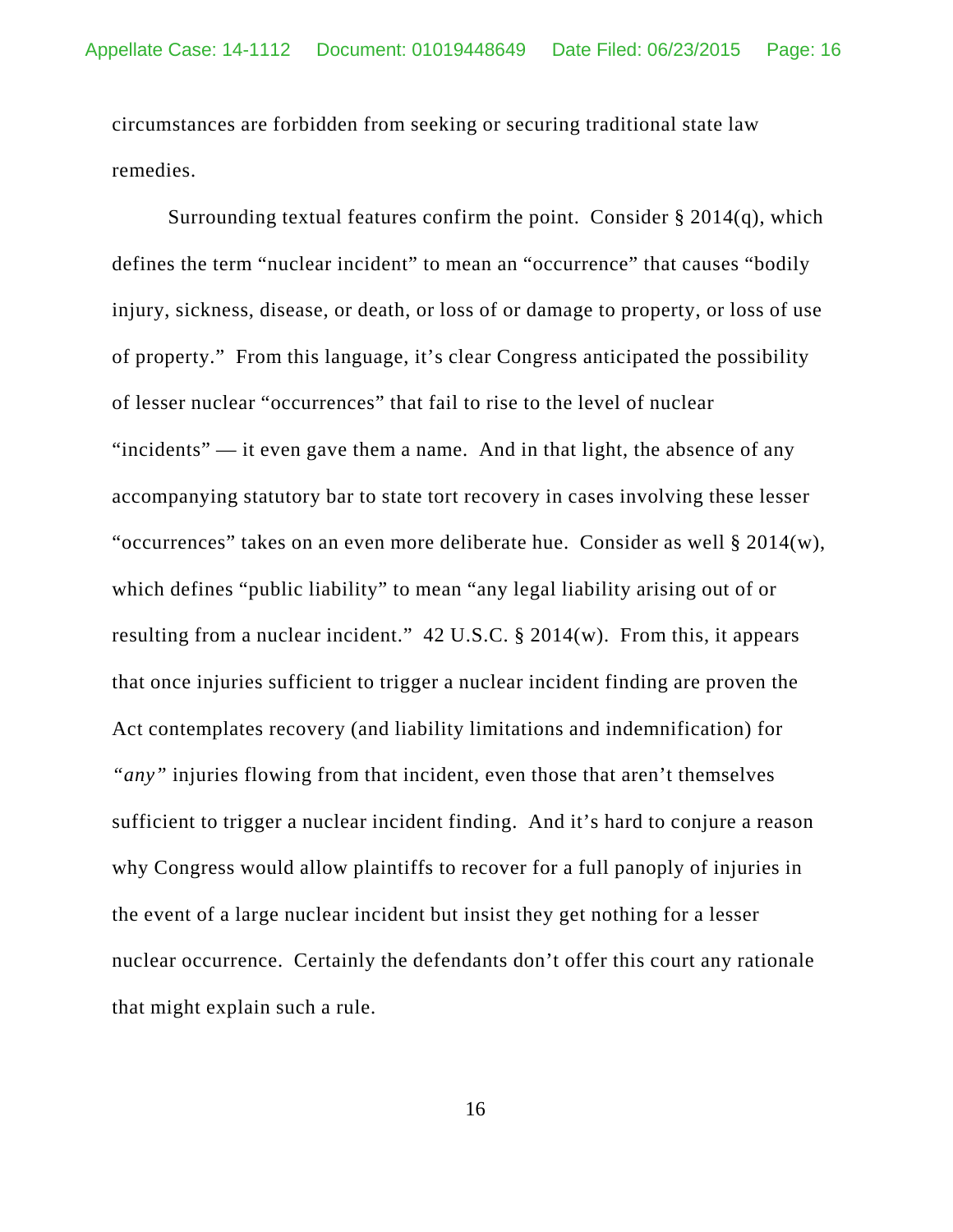circumstances are forbidden from seeking or securing traditional state law remedies.

Surrounding textual features confirm the point. Consider  $\S 2014(q)$ , which defines the term "nuclear incident" to mean an "occurrence" that causes "bodily injury, sickness, disease, or death, or loss of or damage to property, or loss of use of property." From this language, it's clear Congress anticipated the possibility of lesser nuclear "occurrences" that fail to rise to the level of nuclear "incidents" — it even gave them a name. And in that light, the absence of any accompanying statutory bar to state tort recovery in cases involving these lesser "occurrences" takes on an even more deliberate hue. Consider as well § 2014(w), which defines "public liability" to mean "any legal liability arising out of or resulting from a nuclear incident." 42 U.S.C. § 2014(w). From this, it appears that once injuries sufficient to trigger a nuclear incident finding are proven the Act contemplates recovery (and liability limitations and indemnification) for *"any"* injuries flowing from that incident, even those that aren't themselves sufficient to trigger a nuclear incident finding. And it's hard to conjure a reason why Congress would allow plaintiffs to recover for a full panoply of injuries in the event of a large nuclear incident but insist they get nothing for a lesser nuclear occurrence. Certainly the defendants don't offer this court any rationale that might explain such a rule.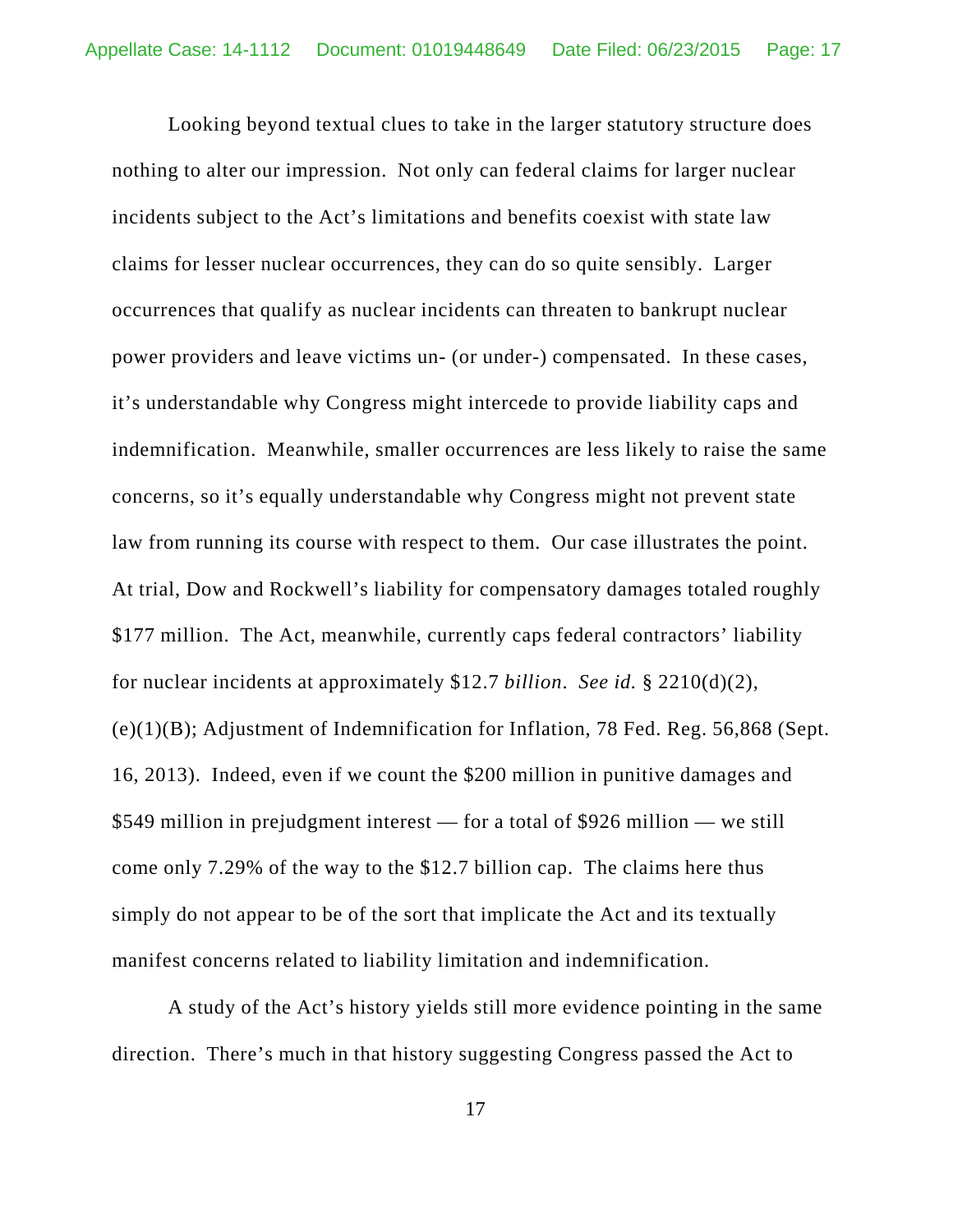Looking beyond textual clues to take in the larger statutory structure does nothing to alter our impression. Not only can federal claims for larger nuclear incidents subject to the Act's limitations and benefits coexist with state law claims for lesser nuclear occurrences, they can do so quite sensibly. Larger occurrences that qualify as nuclear incidents can threaten to bankrupt nuclear power providers and leave victims un- (or under-) compensated. In these cases, it's understandable why Congress might intercede to provide liability caps and indemnification. Meanwhile, smaller occurrences are less likely to raise the same concerns, so it's equally understandable why Congress might not prevent state law from running its course with respect to them. Our case illustrates the point. At trial, Dow and Rockwell's liability for compensatory damages totaled roughly \$177 million. The Act, meanwhile, currently caps federal contractors' liability for nuclear incidents at approximately \$12.7 *billion*. *See id.* § 2210(d)(2), (e)(1)(B); Adjustment of Indemnification for Inflation, 78 Fed. Reg. 56,868 (Sept. 16, 2013). Indeed, even if we count the \$200 million in punitive damages and \$549 million in prejudgment interest — for a total of \$926 million — we still come only 7.29% of the way to the \$12.7 billion cap. The claims here thus simply do not appear to be of the sort that implicate the Act and its textually manifest concerns related to liability limitation and indemnification.

A study of the Act's history yields still more evidence pointing in the same direction. There's much in that history suggesting Congress passed the Act to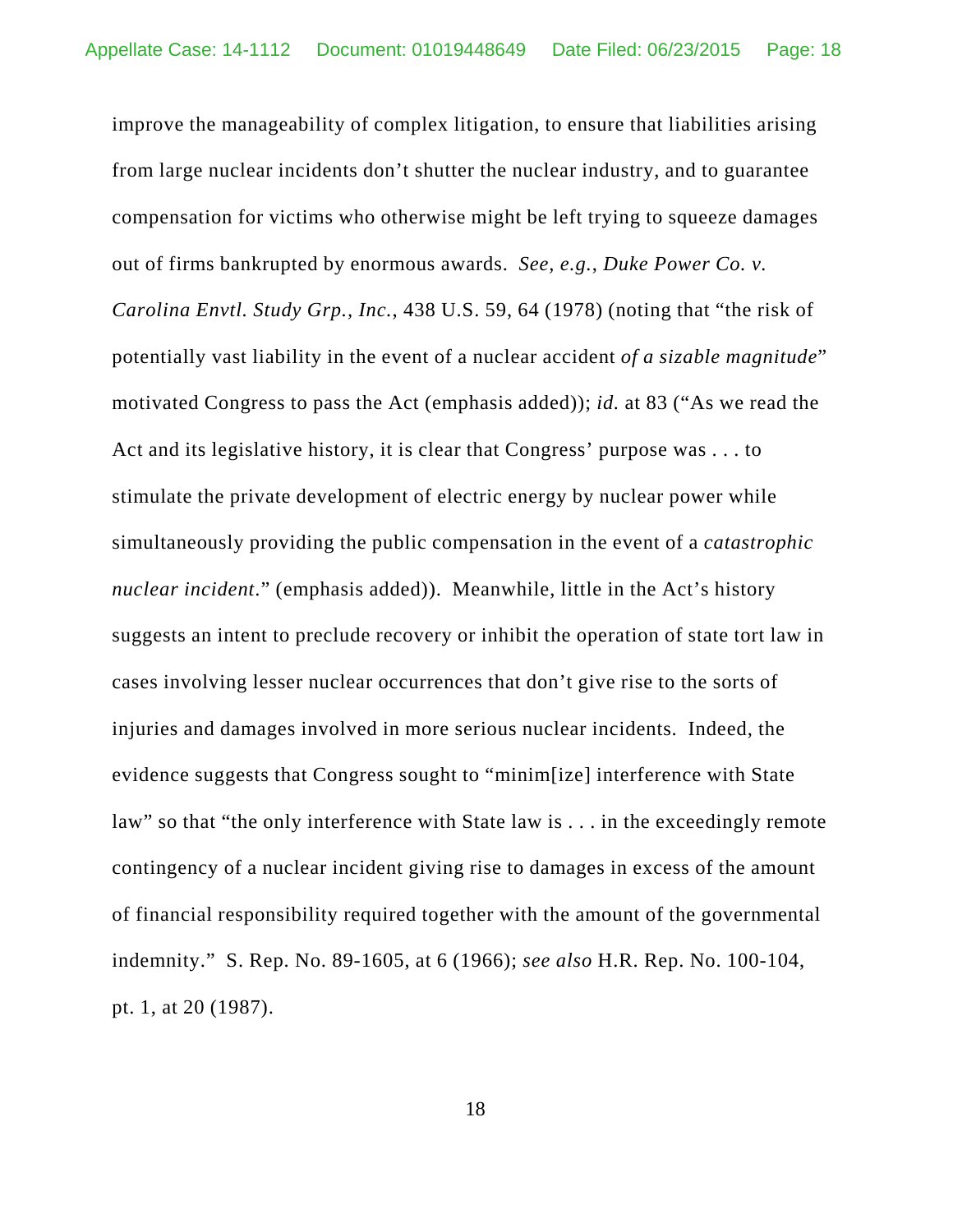improve the manageability of complex litigation, to ensure that liabilities arising from large nuclear incidents don't shutter the nuclear industry, and to guarantee compensation for victims who otherwise might be left trying to squeeze damages out of firms bankrupted by enormous awards. *See, e.g.*, *Duke Power Co. v. Carolina Envtl. Study Grp., Inc.*, 438 U.S. 59, 64 (1978) (noting that "the risk of potentially vast liability in the event of a nuclear accident *of a sizable magnitude*" motivated Congress to pass the Act (emphasis added)); *id.* at 83 ("As we read the Act and its legislative history, it is clear that Congress' purpose was . . . to stimulate the private development of electric energy by nuclear power while simultaneously providing the public compensation in the event of a *catastrophic nuclear incident*." (emphasis added)). Meanwhile, little in the Act's history suggests an intent to preclude recovery or inhibit the operation of state tort law in cases involving lesser nuclear occurrences that don't give rise to the sorts of injuries and damages involved in more serious nuclear incidents. Indeed, the evidence suggests that Congress sought to "minim[ize] interference with State law" so that "the only interference with State law is . . . in the exceedingly remote contingency of a nuclear incident giving rise to damages in excess of the amount of financial responsibility required together with the amount of the governmental indemnity." S. Rep. No. 89-1605, at 6 (1966); *see also* H.R. Rep. No. 100-104, pt. 1, at 20 (1987).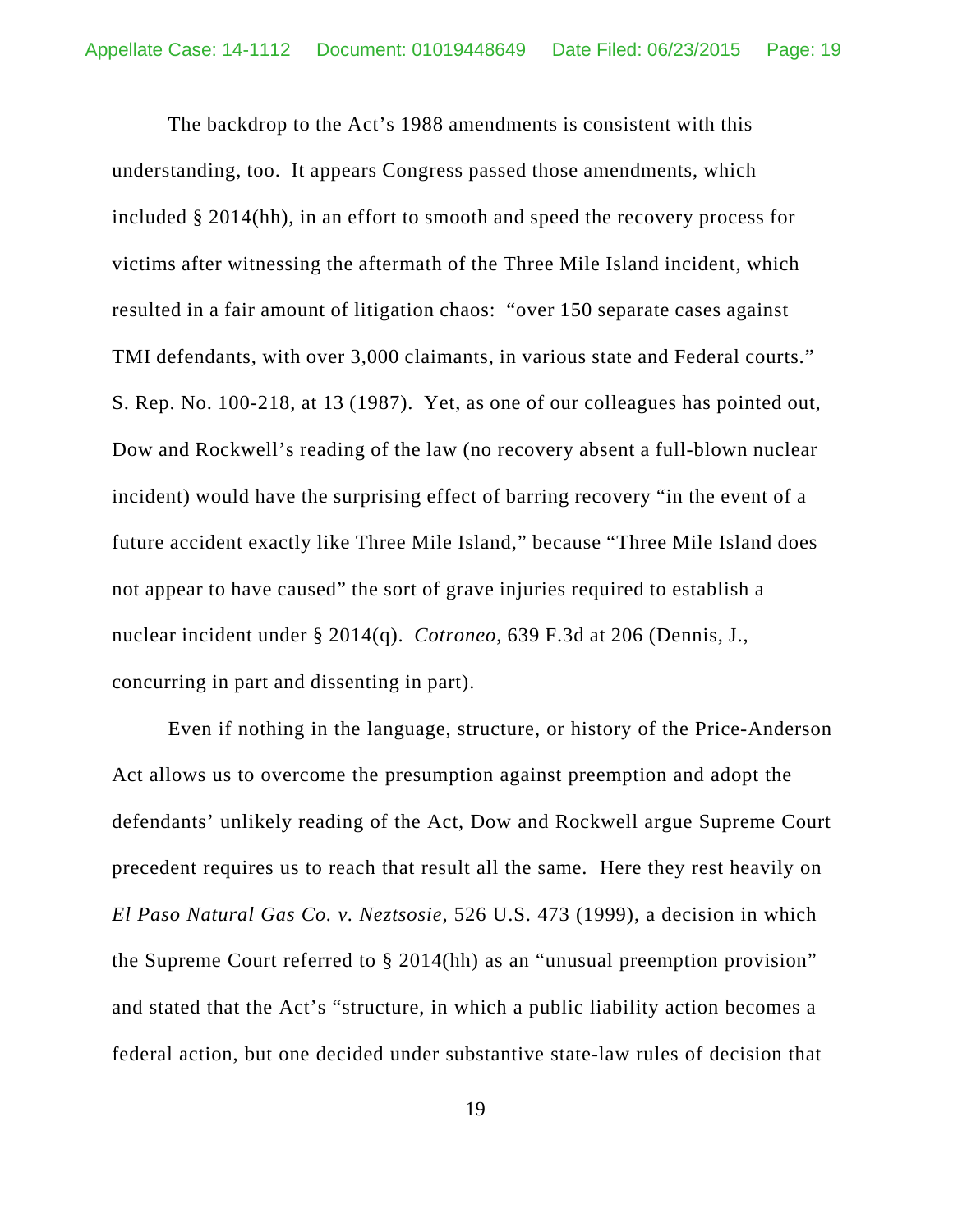The backdrop to the Act's 1988 amendments is consistent with this understanding, too. It appears Congress passed those amendments, which included § 2014(hh), in an effort to smooth and speed the recovery process for victims after witnessing the aftermath of the Three Mile Island incident, which resulted in a fair amount of litigation chaos: "over 150 separate cases against TMI defendants, with over 3,000 claimants, in various state and Federal courts." S. Rep. No. 100-218, at 13 (1987). Yet, as one of our colleagues has pointed out, Dow and Rockwell's reading of the law (no recovery absent a full-blown nuclear incident) would have the surprising effect of barring recovery "in the event of a future accident exactly like Three Mile Island," because "Three Mile Island does not appear to have caused" the sort of grave injuries required to establish a nuclear incident under § 2014(q). *Cotroneo*, 639 F.3d at 206 (Dennis, J., concurring in part and dissenting in part).

Even if nothing in the language, structure, or history of the Price-Anderson Act allows us to overcome the presumption against preemption and adopt the defendants' unlikely reading of the Act, Dow and Rockwell argue Supreme Court precedent requires us to reach that result all the same. Here they rest heavily on *El Paso Natural Gas Co. v. Neztsosie*, 526 U.S. 473 (1999), a decision in which the Supreme Court referred to § 2014(hh) as an "unusual preemption provision" and stated that the Act's "structure, in which a public liability action becomes a federal action, but one decided under substantive state-law rules of decision that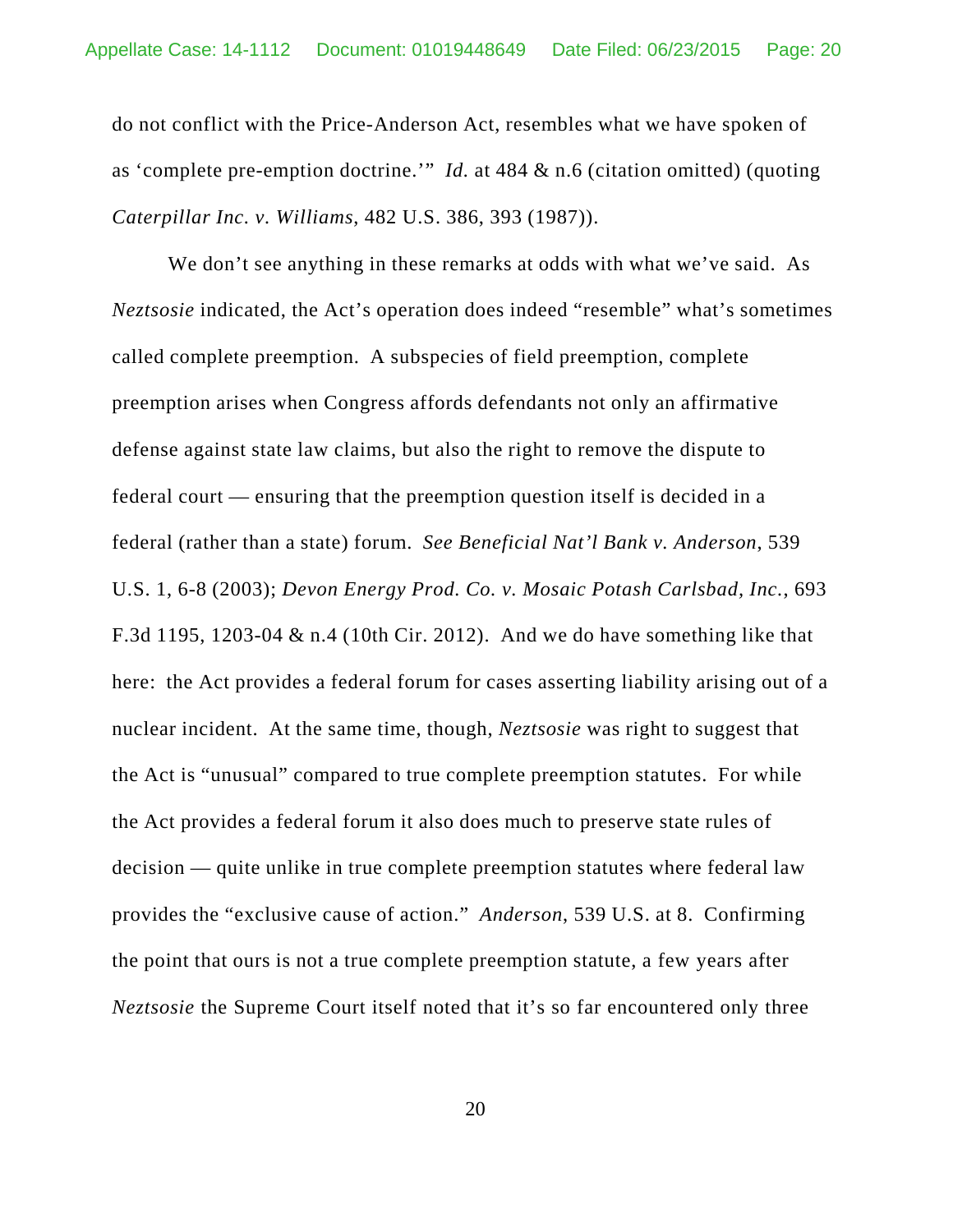do not conflict with the Price-Anderson Act, resembles what we have spoken of as 'complete pre-emption doctrine.'" *Id.* at 484 & n.6 (citation omitted) (quoting *Caterpillar Inc. v. Williams*, 482 U.S. 386, 393 (1987)).

We don't see anything in these remarks at odds with what we've said. As *Neztsosie* indicated, the Act's operation does indeed "resemble" what's sometimes called complete preemption. A subspecies of field preemption, complete preemption arises when Congress affords defendants not only an affirmative defense against state law claims, but also the right to remove the dispute to federal court — ensuring that the preemption question itself is decided in a federal (rather than a state) forum. *See Beneficial Nat'l Bank v. Anderson*, 539 U.S. 1, 6-8 (2003); *Devon Energy Prod. Co. v. Mosaic Potash Carlsbad, Inc.*, 693 F.3d 1195, 1203-04 & n.4 (10th Cir. 2012). And we do have something like that here: the Act provides a federal forum for cases asserting liability arising out of a nuclear incident. At the same time, though, *Neztsosie* was right to suggest that the Act is "unusual" compared to true complete preemption statutes. For while the Act provides a federal forum it also does much to preserve state rules of decision — quite unlike in true complete preemption statutes where federal law provides the "exclusive cause of action." *Anderson*, 539 U.S. at 8. Confirming the point that ours is not a true complete preemption statute, a few years after *Neztsosie* the Supreme Court itself noted that it's so far encountered only three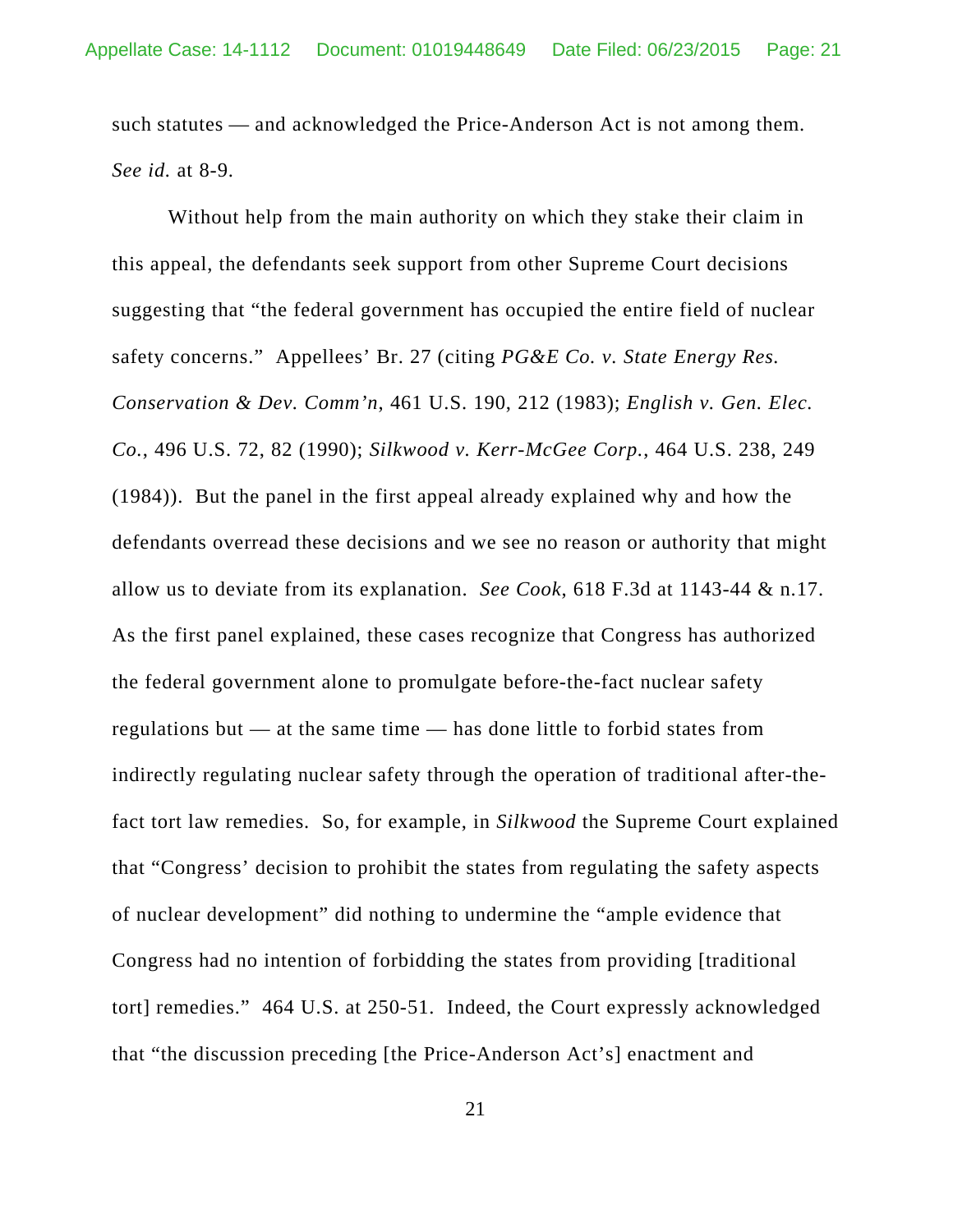such statutes — and acknowledged the Price-Anderson Act is not among them. *See id.* at 8-9.

Without help from the main authority on which they stake their claim in this appeal, the defendants seek support from other Supreme Court decisions suggesting that "the federal government has occupied the entire field of nuclear safety concerns." Appellees' Br. 27 (citing *PG&E Co. v. State Energy Res. Conservation & Dev. Comm'n*, 461 U.S. 190, 212 (1983); *English v. Gen. Elec. Co.*, 496 U.S. 72, 82 (1990); *Silkwood v. Kerr-McGee Corp.*, 464 U.S. 238, 249 (1984)). But the panel in the first appeal already explained why and how the defendants overread these decisions and we see no reason or authority that might allow us to deviate from its explanation. *See Cook*, 618 F.3d at 1143-44 & n.17. As the first panel explained, these cases recognize that Congress has authorized the federal government alone to promulgate before-the-fact nuclear safety regulations but — at the same time — has done little to forbid states from indirectly regulating nuclear safety through the operation of traditional after-thefact tort law remedies. So, for example, in *Silkwood* the Supreme Court explained that "Congress' decision to prohibit the states from regulating the safety aspects of nuclear development" did nothing to undermine the "ample evidence that Congress had no intention of forbidding the states from providing [traditional tort] remedies." 464 U.S. at 250-51. Indeed, the Court expressly acknowledged that "the discussion preceding [the Price-Anderson Act's] enactment and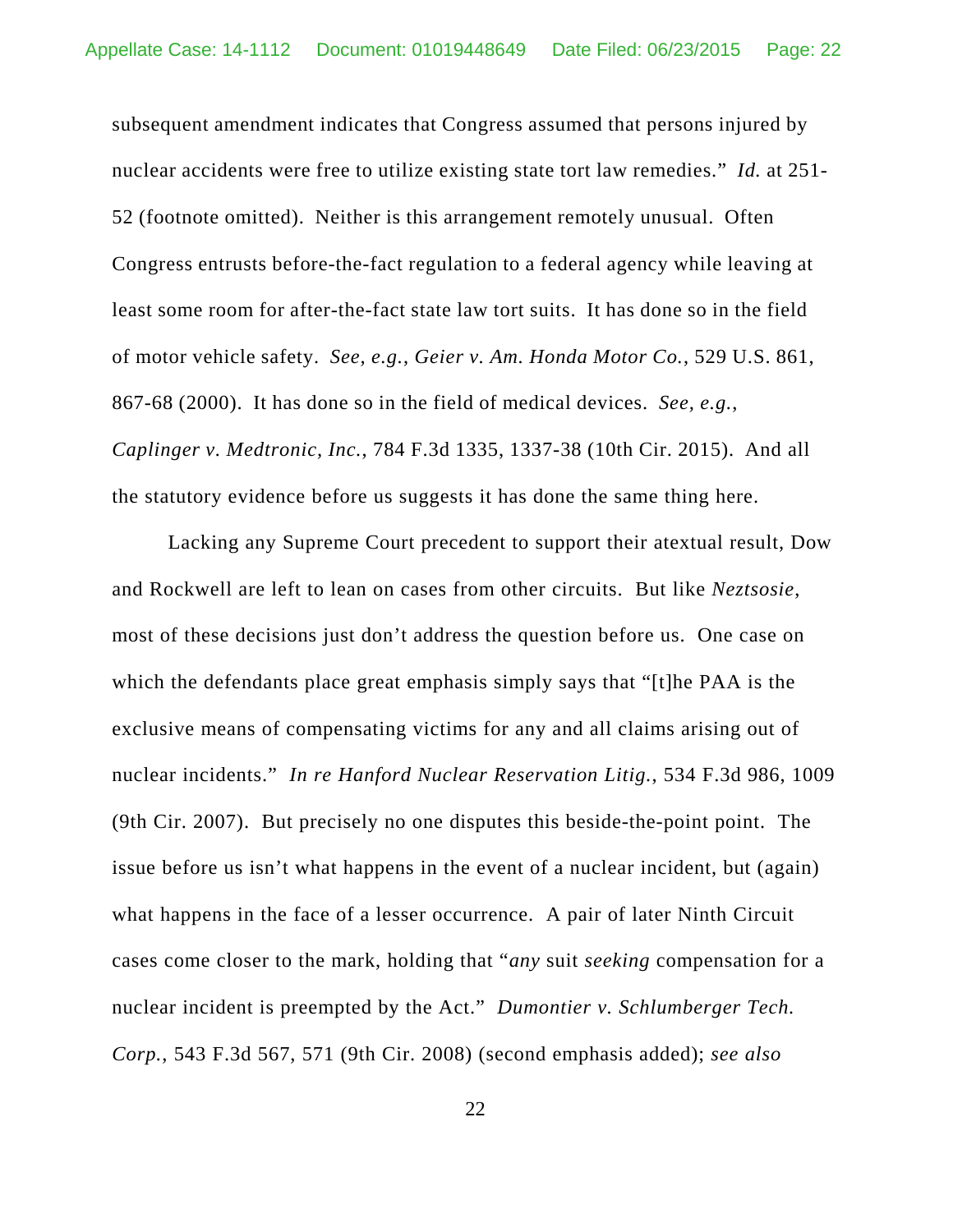subsequent amendment indicates that Congress assumed that persons injured by nuclear accidents were free to utilize existing state tort law remedies." *Id.* at 251- 52 (footnote omitted). Neither is this arrangement remotely unusual. Often Congress entrusts before-the-fact regulation to a federal agency while leaving at least some room for after-the-fact state law tort suits. It has done so in the field of motor vehicle safety. *See, e.g.*, *Geier v. Am. Honda Motor Co.*, 529 U.S. 861, 867-68 (2000). It has done so in the field of medical devices. *See, e.g.*, *Caplinger v. Medtronic, Inc.*, 784 F.3d 1335, 1337-38 (10th Cir. 2015).And all the statutory evidence before us suggests it has done the same thing here.

Lacking any Supreme Court precedent to support their atextual result, Dow and Rockwell are left to lean on cases from other circuits. But like *Neztsosie*, most of these decisions just don't address the question before us. One case on which the defendants place great emphasis simply says that "[t]he PAA is the exclusive means of compensating victims for any and all claims arising out of nuclear incidents." *In re Hanford Nuclear Reservation Litig.*, 534 F.3d 986, 1009 (9th Cir. 2007). But precisely no one disputes this beside-the-point point. The issue before us isn't what happens in the event of a nuclear incident, but (again) what happens in the face of a lesser occurrence. A pair of later Ninth Circuit cases come closer to the mark, holding that "*any* suit *seeking* compensation for a nuclear incident is preempted by the Act." *Dumontier v. Schlumberger Tech. Corp.*, 543 F.3d 567, 571 (9th Cir. 2008) (second emphasis added); *see also*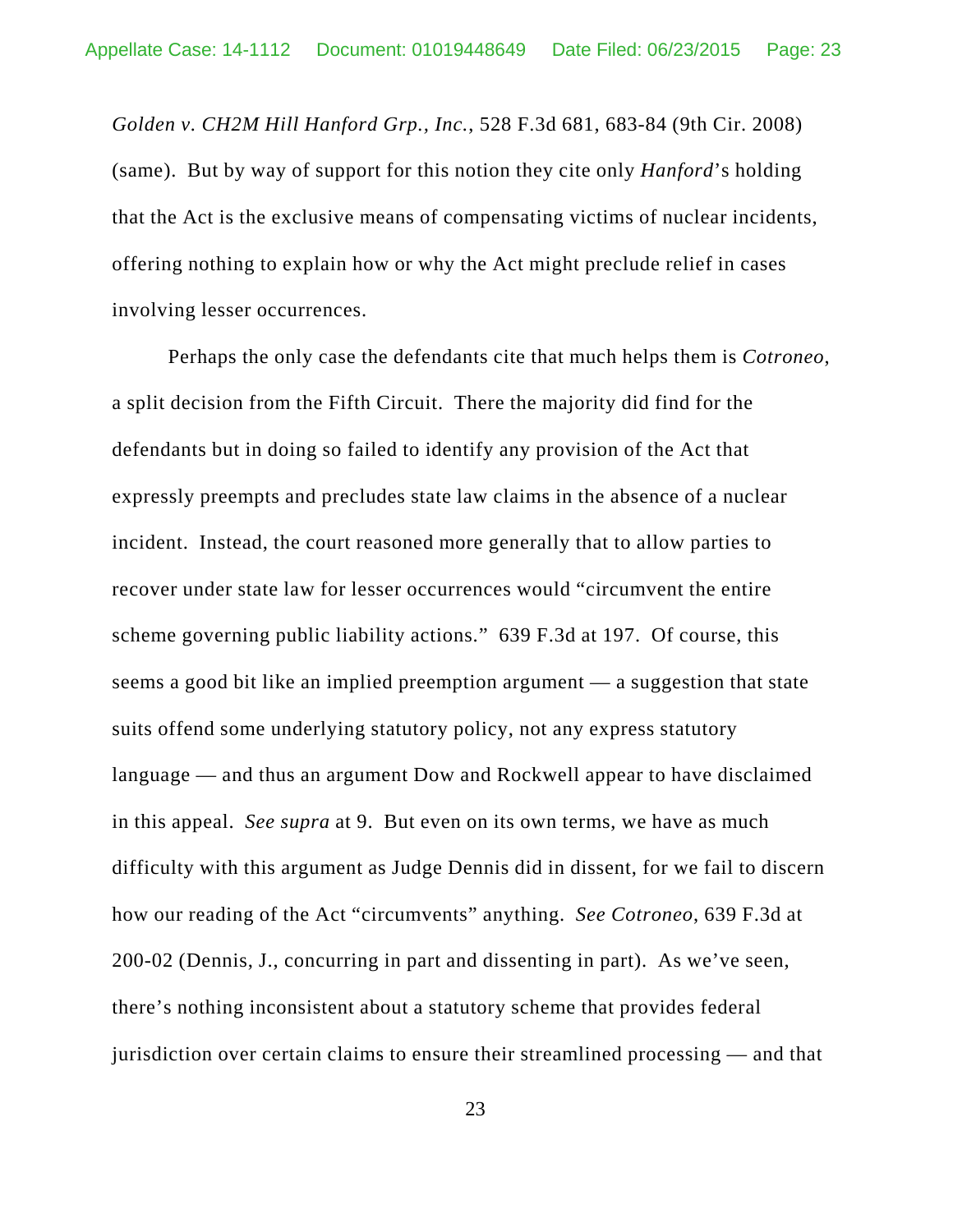*Golden v. CH2M Hill Hanford Grp., Inc.*, 528 F.3d 681, 683-84 (9th Cir. 2008) (same). But by way of support for this notion they cite only *Hanford*'s holding that the Act is the exclusive means of compensating victims of nuclear incidents, offering nothing to explain how or why the Act might preclude relief in cases involving lesser occurrences.

Perhaps the only case the defendants cite that much helps them is *Cotroneo*, a split decision from the Fifth Circuit. There the majority did find for the defendants but in doing so failed to identify any provision of the Act that expressly preempts and precludes state law claims in the absence of a nuclear incident. Instead, the court reasoned more generally that to allow parties to recover under state law for lesser occurrences would "circumvent the entire scheme governing public liability actions." 639 F.3d at 197. Of course, this seems a good bit like an implied preemption argument — a suggestion that state suits offend some underlying statutory policy, not any express statutory language — and thus an argument Dow and Rockwell appear to have disclaimed in this appeal. *See supra* at 9. But even on its own terms, we have as much difficulty with this argument as Judge Dennis did in dissent, for we fail to discern how our reading of the Act "circumvents" anything. *See Cotroneo*, 639 F.3d at 200-02 (Dennis, J., concurring in part and dissenting in part). As we've seen, there's nothing inconsistent about a statutory scheme that provides federal jurisdiction over certain claims to ensure their streamlined processing — and that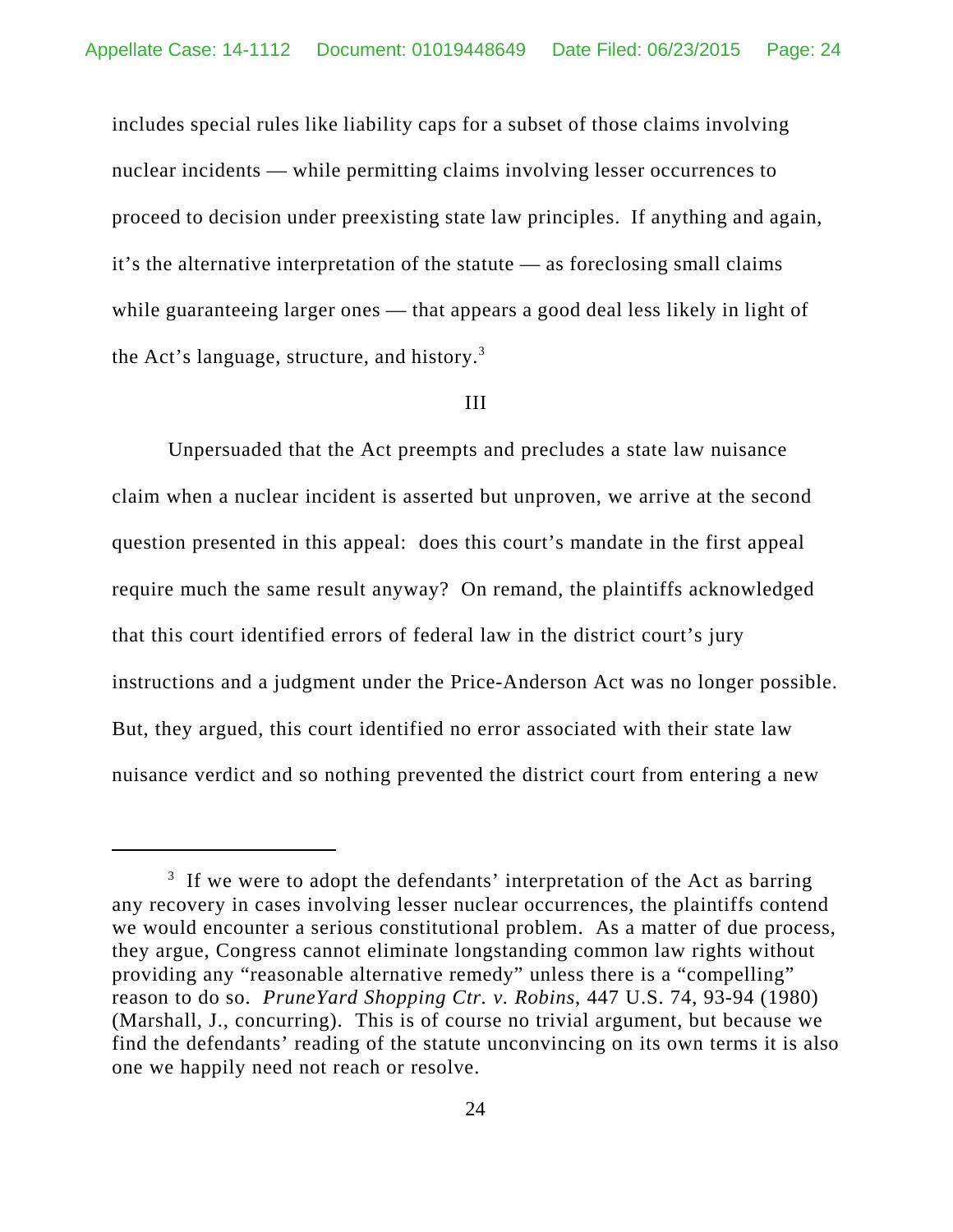includes special rules like liability caps for a subset of those claims involving nuclear incidents — while permitting claims involving lesser occurrences to proceed to decision under preexisting state law principles. If anything and again, it's the alternative interpretation of the statute — as foreclosing small claims while guaranteeing larger ones — that appears a good deal less likely in light of the Act's language, structure, and history. $3$ 

#### III

Unpersuaded that the Act preempts and precludes a state law nuisance claim when a nuclear incident is asserted but unproven, we arrive at the second question presented in this appeal: does this court's mandate in the first appeal require much the same result anyway? On remand, the plaintiffs acknowledged that this court identified errors of federal law in the district court's jury instructions and a judgment under the Price-Anderson Act was no longer possible. But, they argued, this court identified no error associated with their state law nuisance verdict and so nothing prevented the district court from entering a new

 $3$  If we were to adopt the defendants' interpretation of the Act as barring any recovery in cases involving lesser nuclear occurrences, the plaintiffs contend we would encounter a serious constitutional problem. As a matter of due process, they argue, Congress cannot eliminate longstanding common law rights without providing any "reasonable alternative remedy" unless there is a "compelling" reason to do so. *PruneYard Shopping Ctr. v. Robins*, 447 U.S. 74, 93-94 (1980) (Marshall, J., concurring). This is of course no trivial argument, but because we find the defendants' reading of the statute unconvincing on its own terms it is also one we happily need not reach or resolve.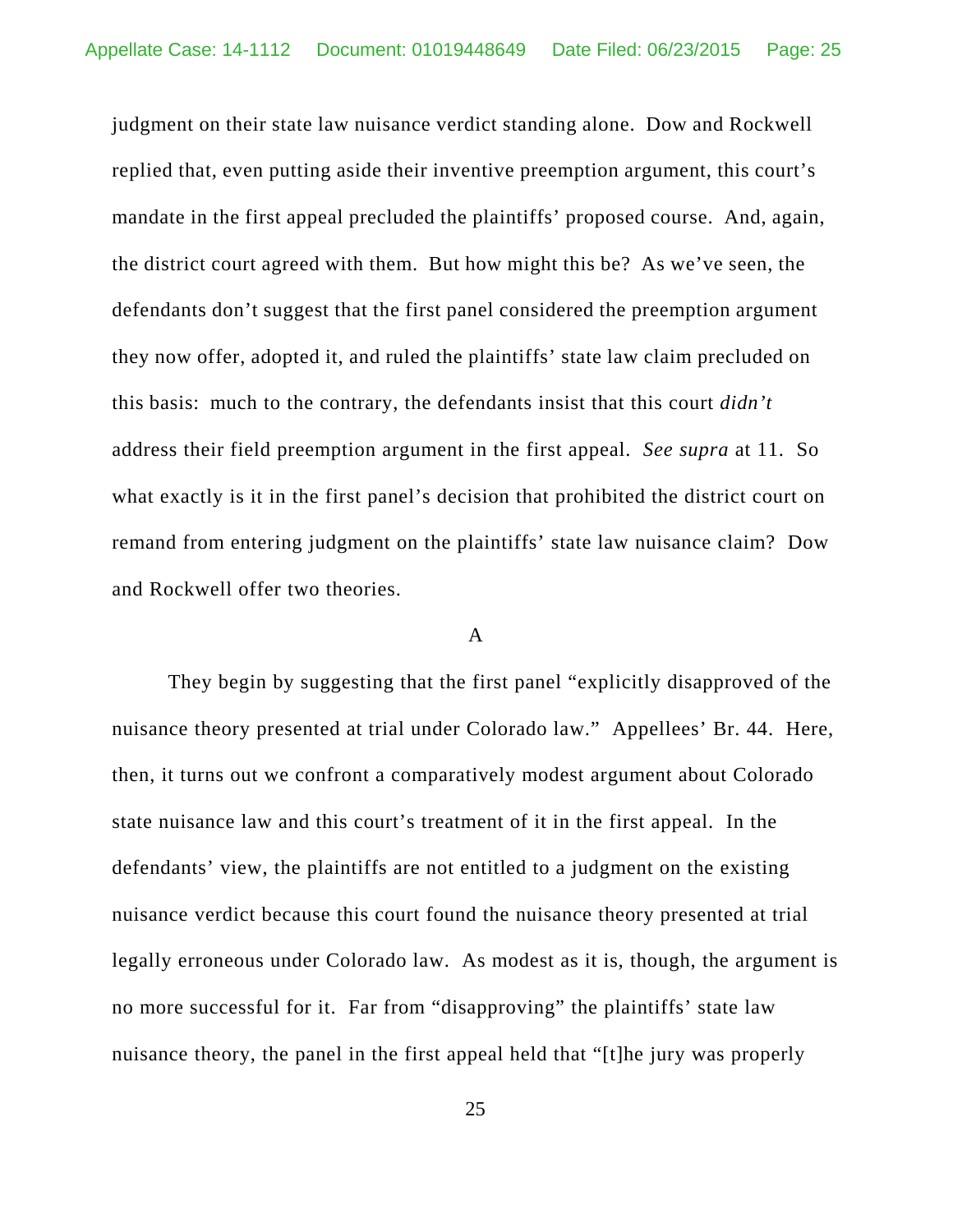judgment on their state law nuisance verdict standing alone. Dow and Rockwell replied that, even putting aside their inventive preemption argument, this court's mandate in the first appeal precluded the plaintiffs' proposed course. And, again, the district court agreed with them. But how might this be? As we've seen, the defendants don't suggest that the first panel considered the preemption argument they now offer, adopted it, and ruled the plaintiffs' state law claim precluded on this basis: much to the contrary, the defendants insist that this court *didn't* address their field preemption argument in the first appeal. *See supra* at 11. So what exactly is it in the first panel's decision that prohibited the district court on remand from entering judgment on the plaintiffs' state law nuisance claim? Dow and Rockwell offer two theories.

#### A

They begin by suggesting that the first panel "explicitly disapproved of the nuisance theory presented at trial under Colorado law." Appellees' Br. 44. Here, then, it turns out we confront a comparatively modest argument about Colorado state nuisance law and this court's treatment of it in the first appeal. In the defendants' view, the plaintiffs are not entitled to a judgment on the existing nuisance verdict because this court found the nuisance theory presented at trial legally erroneous under Colorado law. As modest as it is, though, the argument is no more successful for it. Far from "disapproving" the plaintiffs' state law nuisance theory, the panel in the first appeal held that "[t]he jury was properly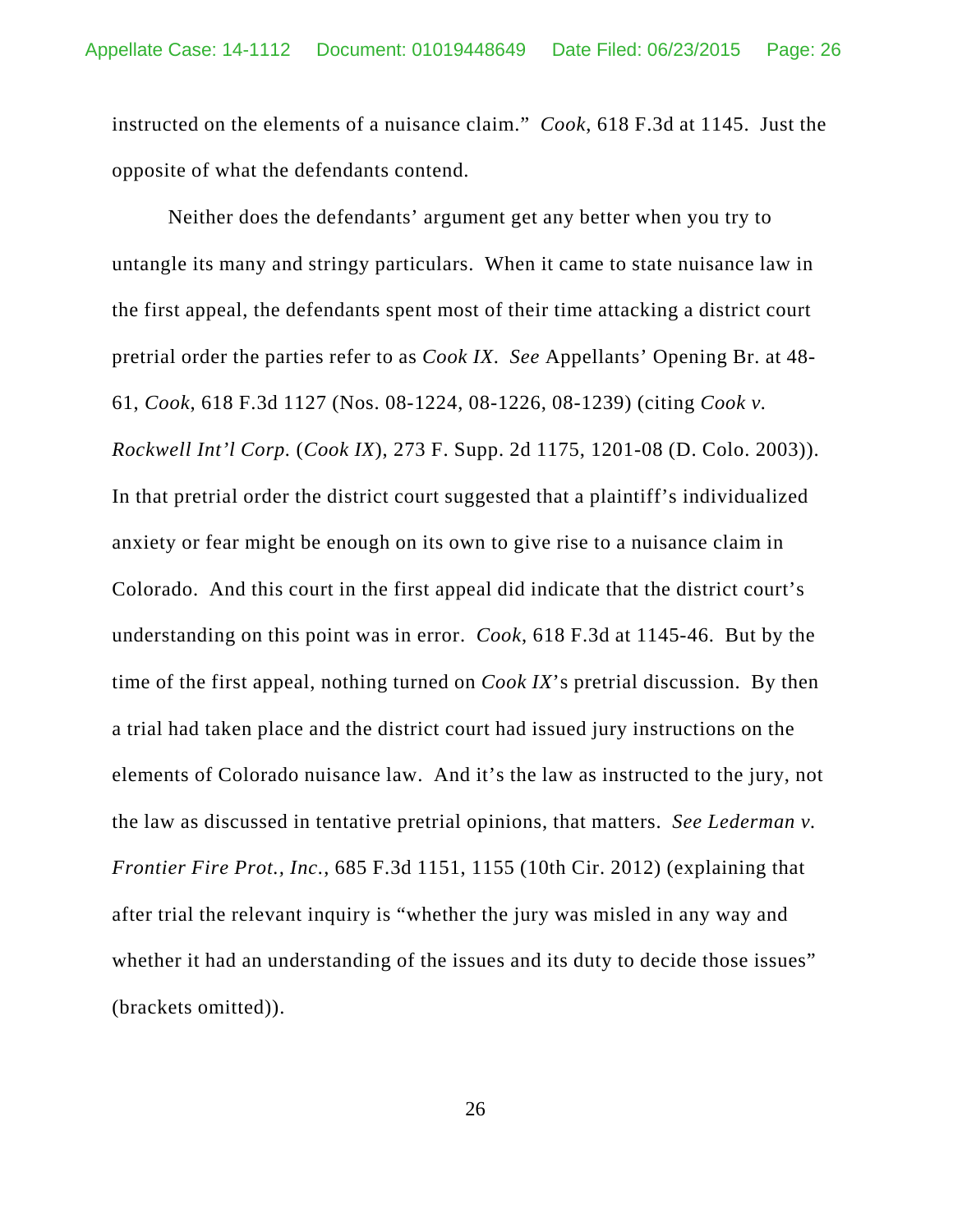instructed on the elements of a nuisance claim." *Cook*, 618 F.3d at 1145. Just the opposite of what the defendants contend.

Neither does the defendants' argument get any better when you try to untangle its many and stringy particulars. When it came to state nuisance law in the first appeal, the defendants spent most of their time attacking a district court pretrial order the parties refer to as *Cook IX*. *See* Appellants' Opening Br. at 48- 61, *Cook*, 618 F.3d 1127 (Nos. 08-1224, 08-1226, 08-1239) (citing *Cook v. Rockwell Int'l Corp.* (*Cook IX*), 273 F. Supp. 2d 1175, 1201-08 (D. Colo. 2003)). In that pretrial order the district court suggested that a plaintiff's individualized anxiety or fear might be enough on its own to give rise to a nuisance claim in Colorado. And this court in the first appeal did indicate that the district court's understanding on this point was in error. *Cook*, 618 F.3d at 1145-46. But by the time of the first appeal, nothing turned on *Cook IX*'s pretrial discussion. By then a trial had taken place and the district court had issued jury instructions on the elements of Colorado nuisance law. And it's the law as instructed to the jury, not the law as discussed in tentative pretrial opinions, that matters. *See Lederman v. Frontier Fire Prot., Inc.*, 685 F.3d 1151, 1155 (10th Cir. 2012) (explaining that after trial the relevant inquiry is "whether the jury was misled in any way and whether it had an understanding of the issues and its duty to decide those issues" (brackets omitted)).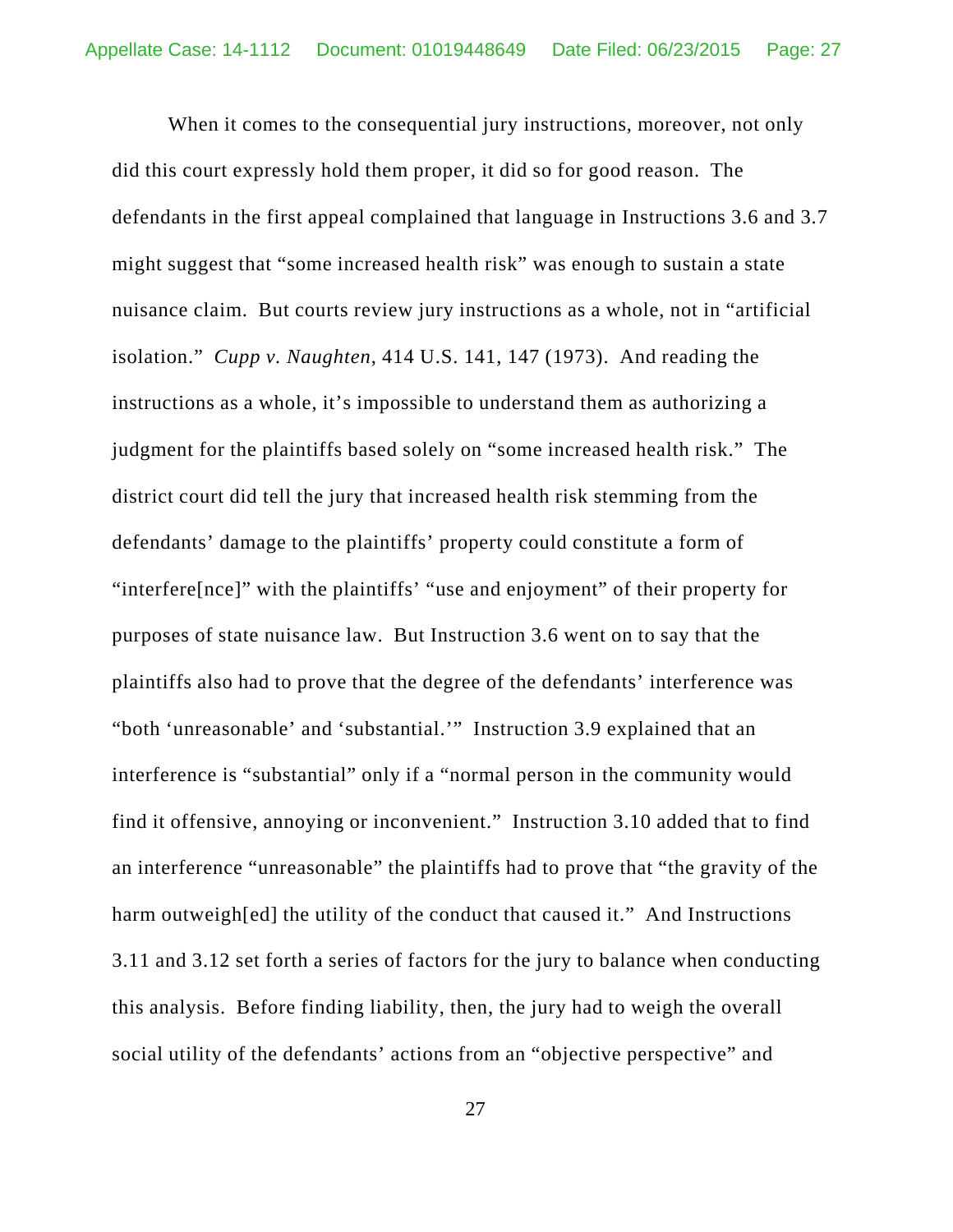When it comes to the consequential jury instructions, moreover, not only did this court expressly hold them proper, it did so for good reason. The defendants in the first appeal complained that language in Instructions 3.6 and 3.7 might suggest that "some increased health risk" was enough to sustain a state nuisance claim. But courts review jury instructions as a whole, not in "artificial isolation." *Cupp v. Naughten*, 414 U.S. 141, 147 (1973). And reading the instructions as a whole, it's impossible to understand them as authorizing a judgment for the plaintiffs based solely on "some increased health risk." The district court did tell the jury that increased health risk stemming from the defendants' damage to the plaintiffs' property could constitute a form of "interfere[nce]" with the plaintiffs' "use and enjoyment" of their property for purposes of state nuisance law. But Instruction 3.6 went on to say that the plaintiffs also had to prove that the degree of the defendants' interference was "both 'unreasonable' and 'substantial.'" Instruction 3.9 explained that an interference is "substantial" only if a "normal person in the community would find it offensive, annoying or inconvenient." Instruction 3.10 added that to find an interference "unreasonable" the plaintiffs had to prove that "the gravity of the harm outweigh [ed] the utility of the conduct that caused it." And Instructions 3.11 and 3.12 set forth a series of factors for the jury to balance when conducting this analysis. Before finding liability, then, the jury had to weigh the overall social utility of the defendants' actions from an "objective perspective" and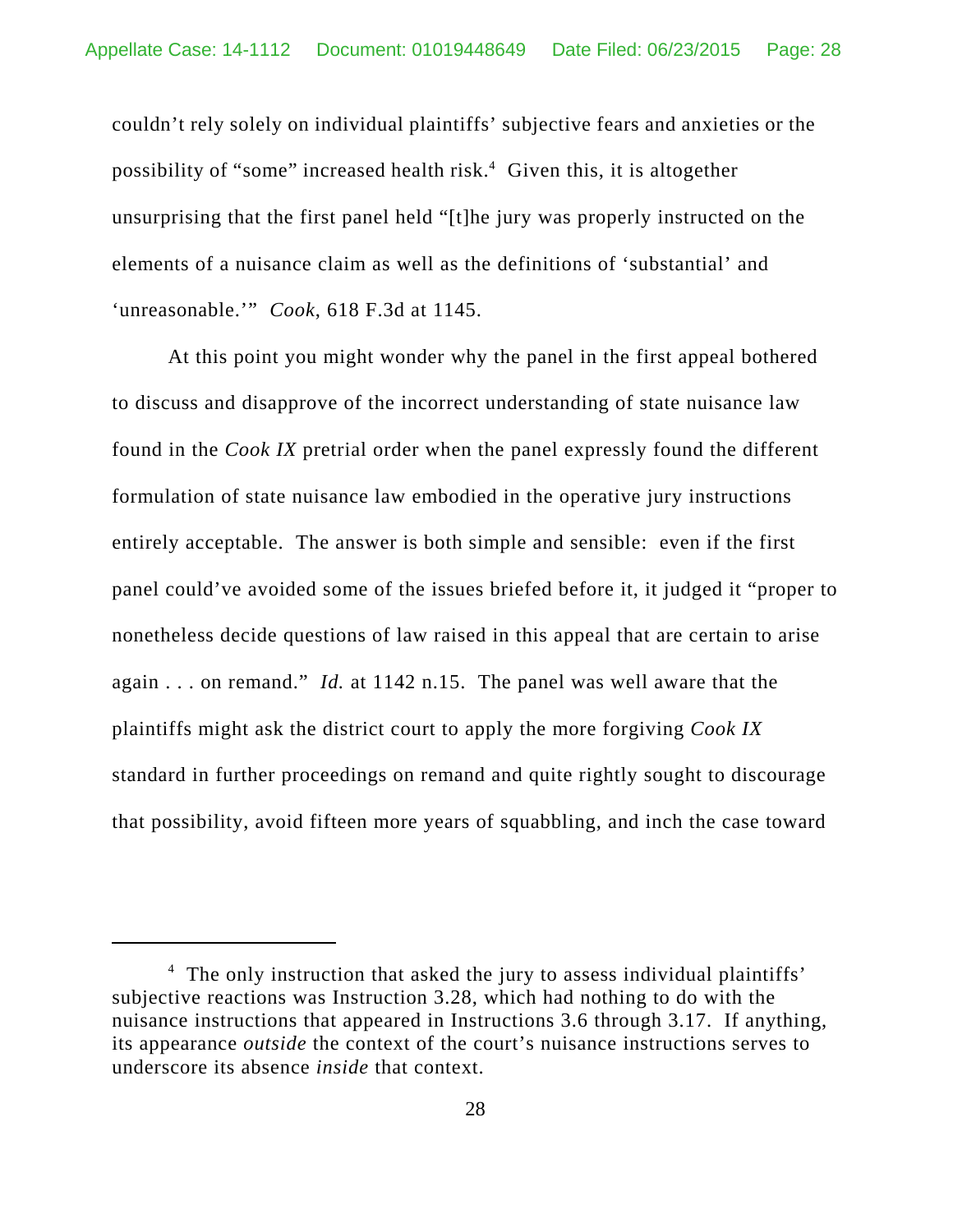couldn't rely solely on individual plaintiffs' subjective fears and anxieties or the possibility of "some" increased health risk.<sup>4</sup> Given this, it is altogether unsurprising that the first panel held "[t]he jury was properly instructed on the elements of a nuisance claim as well as the definitions of 'substantial' and 'unreasonable.'" *Cook*, 618 F.3d at 1145.

At this point you might wonder why the panel in the first appeal bothered to discuss and disapprove of the incorrect understanding of state nuisance law found in the *Cook IX* pretrial order when the panel expressly found the different formulation of state nuisance law embodied in the operative jury instructions entirely acceptable. The answer is both simple and sensible: even if the first panel could've avoided some of the issues briefed before it, it judged it "proper to nonetheless decide questions of law raised in this appeal that are certain to arise again . . . on remand." *Id.* at 1142 n.15. The panel was well aware that the plaintiffs might ask the district court to apply the more forgiving *Cook IX* standard in further proceedings on remand and quite rightly sought to discourage that possibility, avoid fifteen more years of squabbling, and inch the case toward

<sup>&</sup>lt;sup>4</sup> The only instruction that asked the jury to assess individual plaintiffs' subjective reactions was Instruction 3.28, which had nothing to do with the nuisance instructions that appeared in Instructions 3.6 through 3.17. If anything, its appearance *outside* the context of the court's nuisance instructions serves to underscore its absence *inside* that context.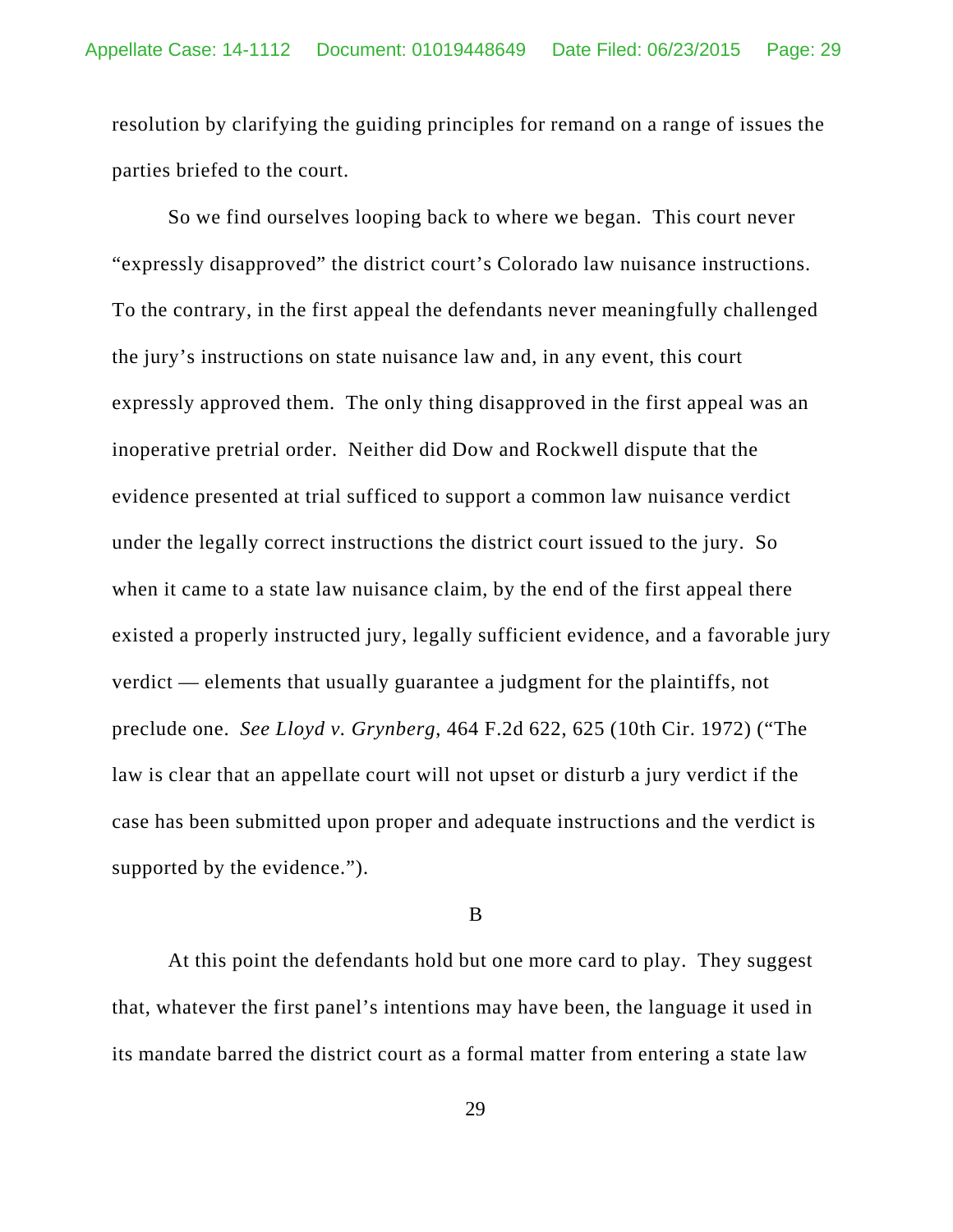resolution by clarifying the guiding principles for remand on a range of issues the parties briefed to the court.

So we find ourselves looping back to where we began. This court never "expressly disapproved" the district court's Colorado law nuisance instructions. To the contrary, in the first appeal the defendants never meaningfully challenged the jury's instructions on state nuisance law and, in any event, this court expressly approved them. The only thing disapproved in the first appeal was an inoperative pretrial order. Neither did Dow and Rockwell dispute that the evidence presented at trial sufficed to support a common law nuisance verdict under the legally correct instructions the district court issued to the jury. So when it came to a state law nuisance claim, by the end of the first appeal there existed a properly instructed jury, legally sufficient evidence, and a favorable jury verdict — elements that usually guarantee a judgment for the plaintiffs, not preclude one. *See Lloyd v. Grynberg*, 464 F.2d 622, 625 (10th Cir. 1972) ("The law is clear that an appellate court will not upset or disturb a jury verdict if the case has been submitted upon proper and adequate instructions and the verdict is supported by the evidence.").

#### B

At this point the defendants hold but one more card to play. They suggest that, whatever the first panel's intentions may have been, the language it used in its mandate barred the district court as a formal matter from entering a state law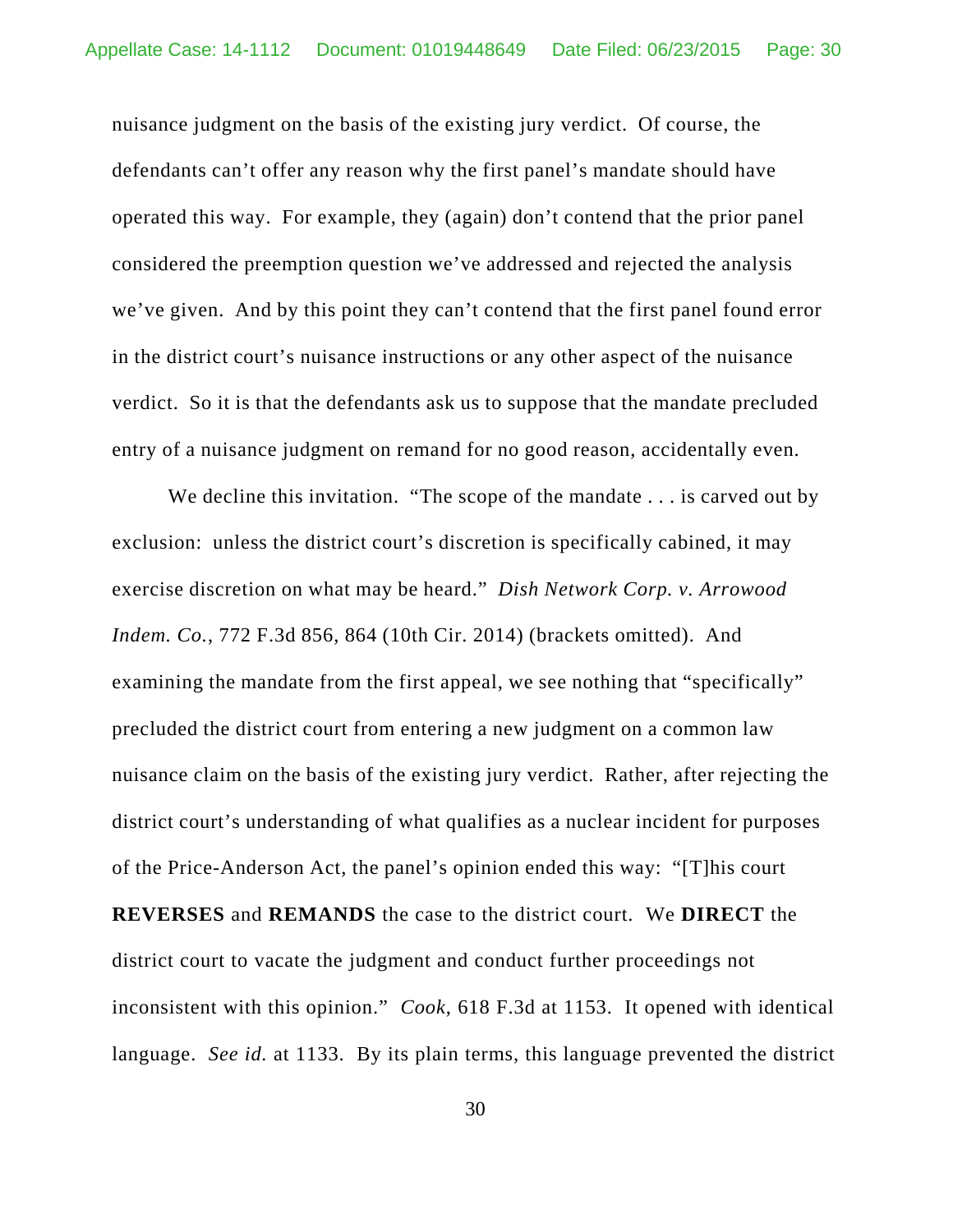nuisance judgment on the basis of the existing jury verdict. Of course, the defendants can't offer any reason why the first panel's mandate should have operated this way. For example, they (again) don't contend that the prior panel considered the preemption question we've addressed and rejected the analysis we've given. And by this point they can't contend that the first panel found error in the district court's nuisance instructions or any other aspect of the nuisance verdict. So it is that the defendants ask us to suppose that the mandate precluded entry of a nuisance judgment on remand for no good reason, accidentally even.

We decline this invitation. "The scope of the mandate . . . is carved out by exclusion: unless the district court's discretion is specifically cabined, it may exercise discretion on what may be heard." *Dish Network Corp. v. Arrowood Indem. Co.*, 772 F.3d 856, 864 (10th Cir. 2014) (brackets omitted). And examining the mandate from the first appeal, we see nothing that "specifically" precluded the district court from entering a new judgment on a common law nuisance claim on the basis of the existing jury verdict. Rather, after rejecting the district court's understanding of what qualifies as a nuclear incident for purposes of the Price-Anderson Act, the panel's opinion ended this way: "[T]his court **REVERSES** and **REMANDS** the case to the district court. We **DIRECT** the district court to vacate the judgment and conduct further proceedings not inconsistent with this opinion." *Cook*, 618 F.3d at 1153. It opened with identical language. *See id.* at 1133. By its plain terms, this language prevented the district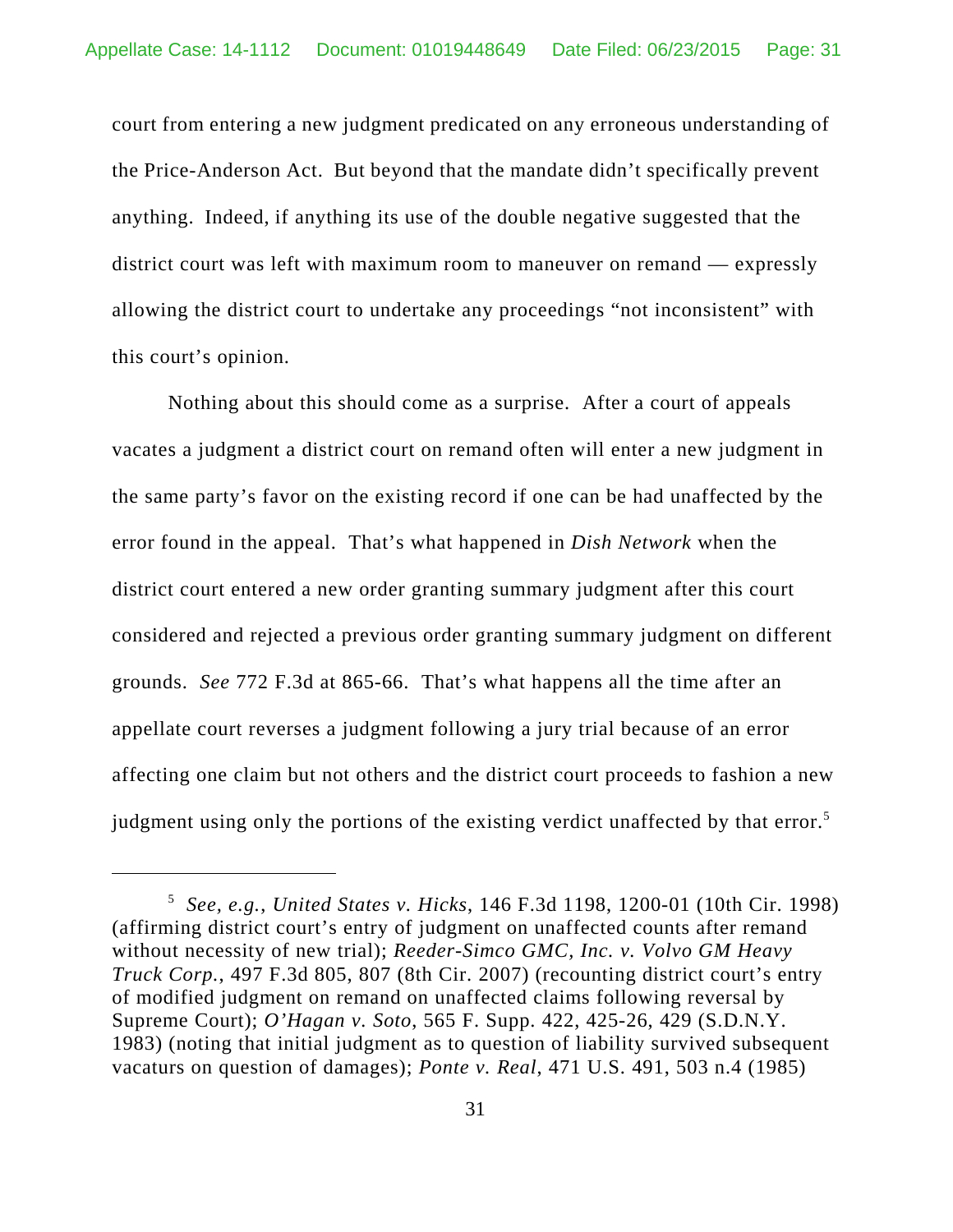court from entering a new judgment predicated on any erroneous understanding of the Price-Anderson Act. But beyond that the mandate didn't specifically prevent anything. Indeed, if anything its use of the double negative suggested that the district court was left with maximum room to maneuver on remand — expressly allowing the district court to undertake any proceedings "not inconsistent" with this court's opinion.

Nothing about this should come as a surprise. After a court of appeals vacates a judgment a district court on remand often will enter a new judgment in the same party's favor on the existing record if one can be had unaffected by the error found in the appeal. That's what happened in *Dish Network* when the district court entered a new order granting summary judgment after this court considered and rejected a previous order granting summary judgment on different grounds. *See* 772 F.3d at 865-66. That's what happens all the time after an appellate court reverses a judgment following a jury trial because of an error affecting one claim but not others and the district court proceeds to fashion a new judgment using only the portions of the existing verdict unaffected by that error.<sup>5</sup>

<sup>5</sup> *See, e.g.*, *United States v. Hicks*, 146 F.3d 1198, 1200-01 (10th Cir. 1998) (affirming district court's entry of judgment on unaffected counts after remand without necessity of new trial); *Reeder-Simco GMC, Inc. v. Volvo GM Heavy Truck Corp.*, 497 F.3d 805, 807 (8th Cir. 2007) (recounting district court's entry of modified judgment on remand on unaffected claims following reversal by Supreme Court); *O'Hagan v. Soto*, 565 F. Supp. 422, 425-26, 429 (S.D.N.Y. 1983) (noting that initial judgment as to question of liability survived subsequent vacaturs on question of damages); *Ponte v. Real*, 471 U.S. 491, 503 n.4 (1985)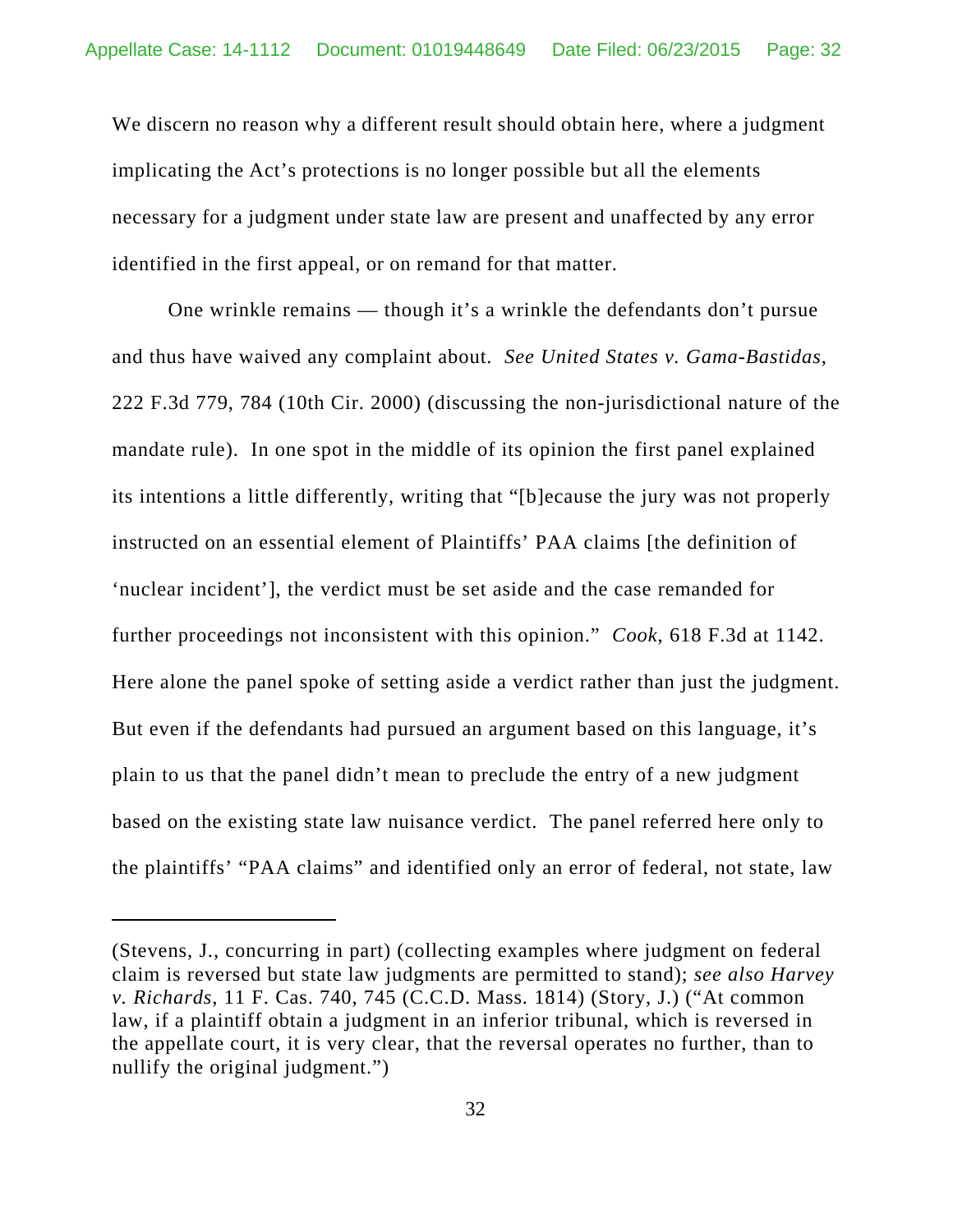We discern no reason why a different result should obtain here, where a judgment implicating the Act's protections is no longer possible but all the elements necessary for a judgment under state law are present and unaffected by any error identified in the first appeal, or on remand for that matter.

One wrinkle remains — though it's a wrinkle the defendants don't pursue and thus have waived any complaint about. *See United States v. Gama-Bastidas*, 222 F.3d 779, 784 (10th Cir. 2000) (discussing the non-jurisdictional nature of the mandate rule). In one spot in the middle of its opinion the first panel explained its intentions a little differently, writing that "[b]ecause the jury was not properly instructed on an essential element of Plaintiffs' PAA claims [the definition of 'nuclear incident'], the verdict must be set aside and the case remanded for further proceedings not inconsistent with this opinion." *Cook*, 618 F.3d at 1142. Here alone the panel spoke of setting aside a verdict rather than just the judgment. But even if the defendants had pursued an argument based on this language, it's plain to us that the panel didn't mean to preclude the entry of a new judgment based on the existing state law nuisance verdict. The panel referred here only to the plaintiffs' "PAA claims" and identified only an error of federal, not state, law

<sup>(</sup>Stevens, J., concurring in part) (collecting examples where judgment on federal claim is reversed but state law judgments are permitted to stand); *see also Harvey v. Richards*, 11 F. Cas. 740, 745 (C.C.D. Mass. 1814) (Story, J.) ("At common law, if a plaintiff obtain a judgment in an inferior tribunal, which is reversed in the appellate court, it is very clear, that the reversal operates no further, than to nullify the original judgment.")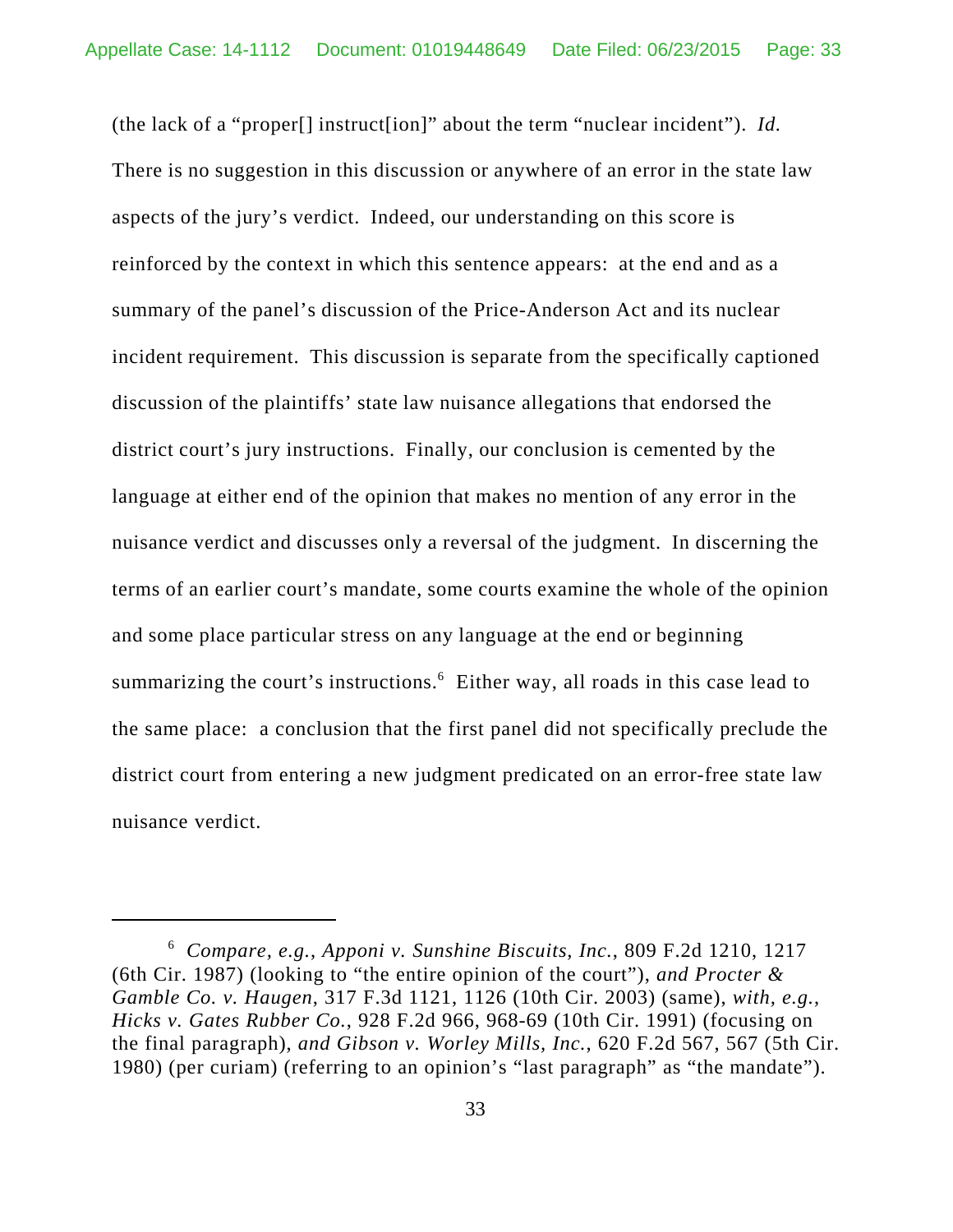(the lack of a "proper[] instruct[ion]" about the term "nuclear incident"). *Id.* There is no suggestion in this discussion or anywhere of an error in the state law aspects of the jury's verdict. Indeed, our understanding on this score is reinforced by the context in which this sentence appears: at the end and as a summary of the panel's discussion of the Price-Anderson Act and its nuclear incident requirement. This discussion is separate from the specifically captioned discussion of the plaintiffs' state law nuisance allegations that endorsed the district court's jury instructions. Finally, our conclusion is cemented by the language at either end of the opinion that makes no mention of any error in the nuisance verdict and discusses only a reversal of the judgment. In discerning the terms of an earlier court's mandate, some courts examine the whole of the opinion and some place particular stress on any language at the end or beginning summarizing the court's instructions.<sup>6</sup> Either way, all roads in this case lead to the same place: a conclusion that the first panel did not specifically preclude the district court from entering a new judgment predicated on an error-free state law nuisance verdict.

<sup>6</sup> *Compare, e.g.*, *Apponi v. Sunshine Biscuits, Inc.*, 809 F.2d 1210, 1217 (6th Cir. 1987) (looking to "the entire opinion of the court"), *and Procter & Gamble Co. v. Haugen*, 317 F.3d 1121, 1126 (10th Cir. 2003) (same), *with, e.g.*, *Hicks v. Gates Rubber Co.*, 928 F.2d 966, 968-69 (10th Cir. 1991) (focusing on the final paragraph), *and Gibson v. Worley Mills, Inc.*, 620 F.2d 567, 567 (5th Cir. 1980) (per curiam) (referring to an opinion's "last paragraph" as "the mandate").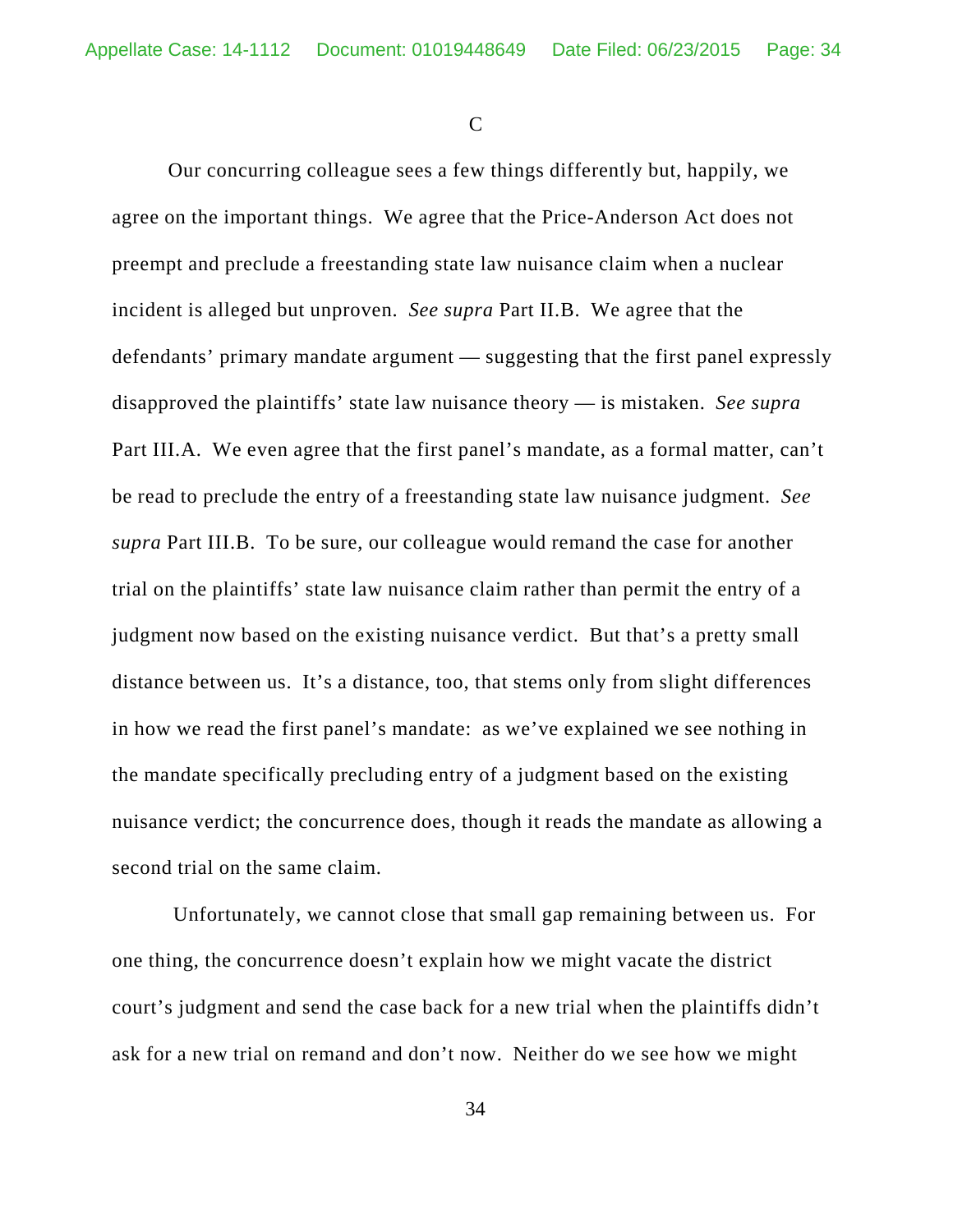$\mathcal{C}$ 

Our concurring colleague sees a few things differently but, happily, we agree on the important things. We agree that the Price-Anderson Act does not preempt and preclude a freestanding state law nuisance claim when a nuclear incident is alleged but unproven. *See supra* Part II.B. We agree that the defendants' primary mandate argument — suggesting that the first panel expressly disapproved the plaintiffs' state law nuisance theory — is mistaken. *See supra* Part III.A. We even agree that the first panel's mandate, as a formal matter, can't be read to preclude the entry of a freestanding state law nuisance judgment. *See supra* Part III.B. To be sure, our colleague would remand the case for another trial on the plaintiffs' state law nuisance claim rather than permit the entry of a judgment now based on the existing nuisance verdict. But that's a pretty small distance between us. It's a distance, too, that stems only from slight differences in how we read the first panel's mandate: as we've explained we see nothing in the mandate specifically precluding entry of a judgment based on the existing nuisance verdict; the concurrence does, though it reads the mandate as allowing a second trial on the same claim.

 Unfortunately, we cannot close that small gap remaining between us. For one thing, the concurrence doesn't explain how we might vacate the district court's judgment and send the case back for a new trial when the plaintiffs didn't ask for a new trial on remand and don't now. Neither do we see how we might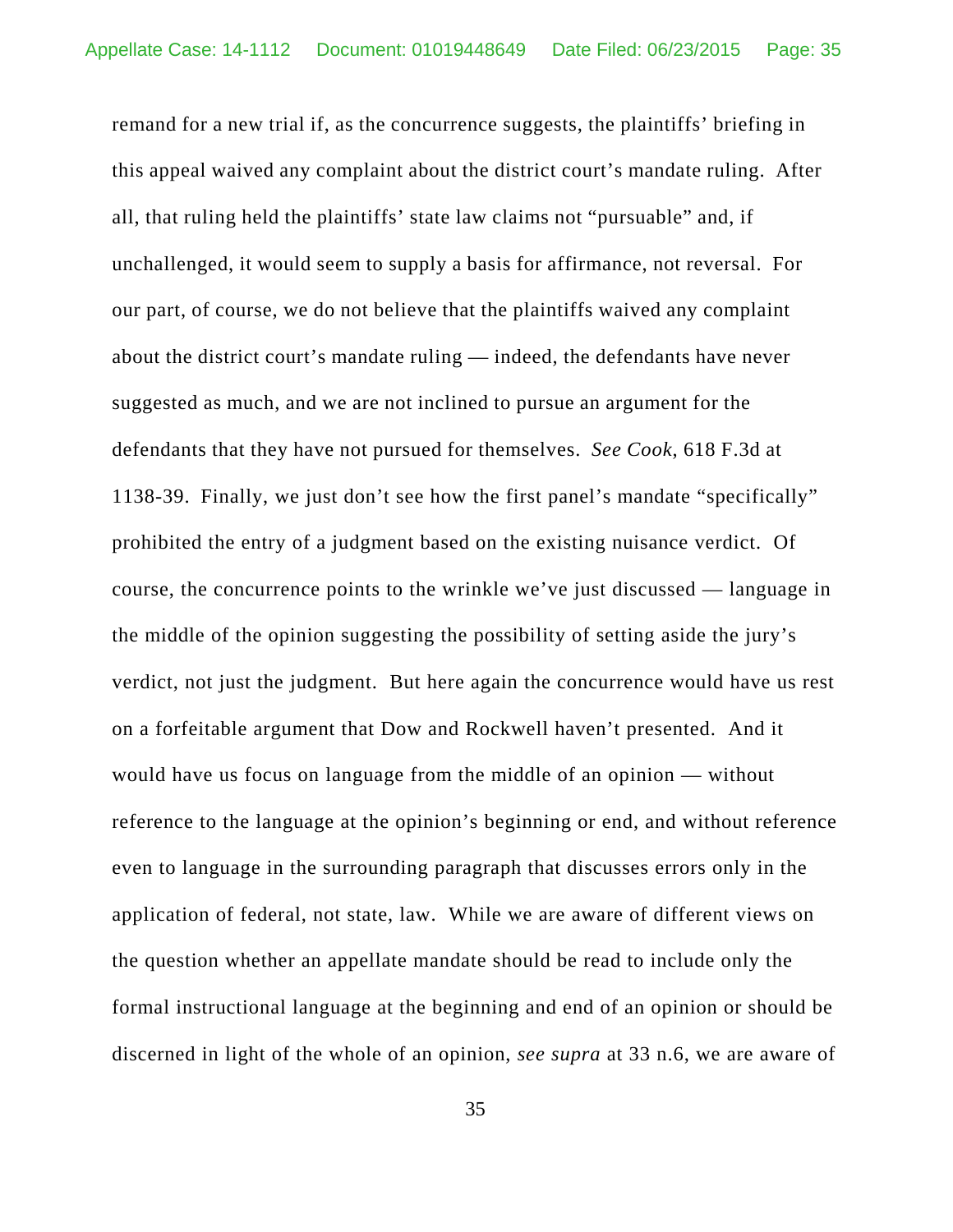remand for a new trial if, as the concurrence suggests, the plaintiffs' briefing in this appeal waived any complaint about the district court's mandate ruling. After all, that ruling held the plaintiffs' state law claims not "pursuable" and, if unchallenged, it would seem to supply a basis for affirmance, not reversal. For our part, of course, we do not believe that the plaintiffs waived any complaint about the district court's mandate ruling — indeed, the defendants have never suggested as much, and we are not inclined to pursue an argument for the defendants that they have not pursued for themselves. *See Cook*, 618 F.3d at 1138-39. Finally, we just don't see how the first panel's mandate "specifically" prohibited the entry of a judgment based on the existing nuisance verdict. Of course, the concurrence points to the wrinkle we've just discussed — language in the middle of the opinion suggesting the possibility of setting aside the jury's verdict, not just the judgment. But here again the concurrence would have us rest on a forfeitable argument that Dow and Rockwell haven't presented. And it would have us focus on language from the middle of an opinion — without reference to the language at the opinion's beginning or end, and without reference even to language in the surrounding paragraph that discusses errors only in the application of federal, not state, law. While we are aware of different views on the question whether an appellate mandate should be read to include only the formal instructional language at the beginning and end of an opinion or should be discerned in light of the whole of an opinion, *see supra* at 33 n.6, we are aware of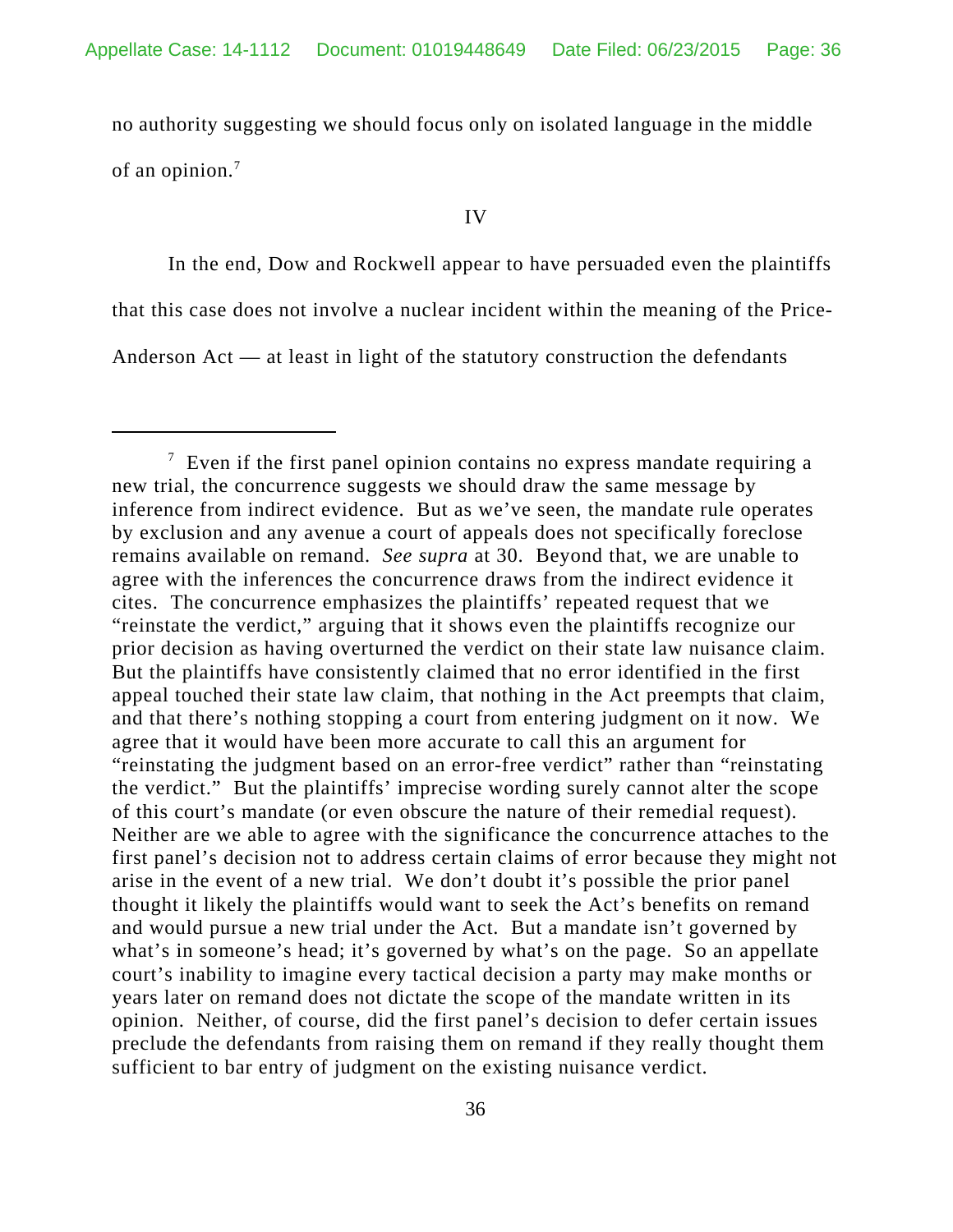no authority suggesting we should focus only on isolated language in the middle of an opinion.<sup>7</sup>

#### IV

In the end, Dow and Rockwell appear to have persuaded even the plaintiffs that this case does not involve a nuclear incident within the meaning of the Price-Anderson Act — at least in light of the statutory construction the defendants

 $\frac{7}{1}$  Even if the first panel opinion contains no express mandate requiring a new trial, the concurrence suggests we should draw the same message by inference from indirect evidence. But as we've seen, the mandate rule operates by exclusion and any avenue a court of appeals does not specifically foreclose remains available on remand. *See supra* at 30. Beyond that, we are unable to agree with the inferences the concurrence draws from the indirect evidence it cites. The concurrence emphasizes the plaintiffs' repeated request that we "reinstate the verdict," arguing that it shows even the plaintiffs recognize our prior decision as having overturned the verdict on their state law nuisance claim. But the plaintiffs have consistently claimed that no error identified in the first appeal touched their state law claim, that nothing in the Act preempts that claim, and that there's nothing stopping a court from entering judgment on it now. We agree that it would have been more accurate to call this an argument for "reinstating the judgment based on an error-free verdict" rather than "reinstating the verdict." But the plaintiffs' imprecise wording surely cannot alter the scope of this court's mandate (or even obscure the nature of their remedial request). Neither are we able to agree with the significance the concurrence attaches to the first panel's decision not to address certain claims of error because they might not arise in the event of a new trial. We don't doubt it's possible the prior panel thought it likely the plaintiffs would want to seek the Act's benefits on remand and would pursue a new trial under the Act. But a mandate isn't governed by what's in someone's head; it's governed by what's on the page. So an appellate court's inability to imagine every tactical decision a party may make months or years later on remand does not dictate the scope of the mandate written in its opinion. Neither, of course, did the first panel's decision to defer certain issues preclude the defendants from raising them on remand if they really thought them sufficient to bar entry of judgment on the existing nuisance verdict.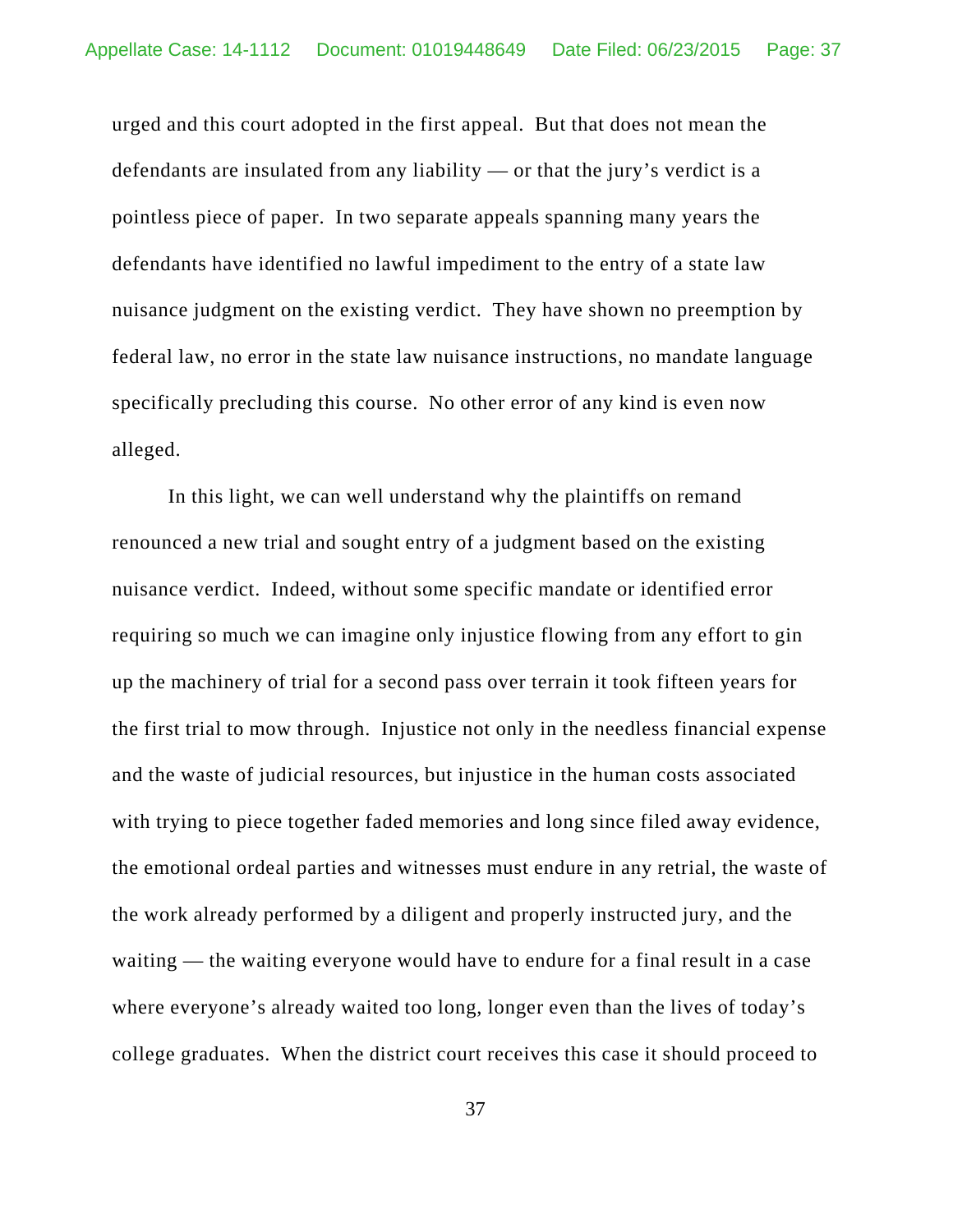urged and this court adopted in the first appeal. But that does not mean the defendants are insulated from any liability — or that the jury's verdict is a pointless piece of paper. In two separate appeals spanning many years the defendants have identified no lawful impediment to the entry of a state law nuisance judgment on the existing verdict. They have shown no preemption by federal law, no error in the state law nuisance instructions, no mandate language specifically precluding this course. No other error of any kind is even now alleged.

In this light, we can well understand why the plaintiffs on remand renounced a new trial and sought entry of a judgment based on the existing nuisance verdict. Indeed, without some specific mandate or identified error requiring so much we can imagine only injustice flowing from any effort to gin up the machinery of trial for a second pass over terrain it took fifteen years for the first trial to mow through. Injustice not only in the needless financial expense and the waste of judicial resources, but injustice in the human costs associated with trying to piece together faded memories and long since filed away evidence, the emotional ordeal parties and witnesses must endure in any retrial, the waste of the work already performed by a diligent and properly instructed jury, and the waiting — the waiting everyone would have to endure for a final result in a case where everyone's already waited too long, longer even than the lives of today's college graduates. When the district court receives this case it should proceed to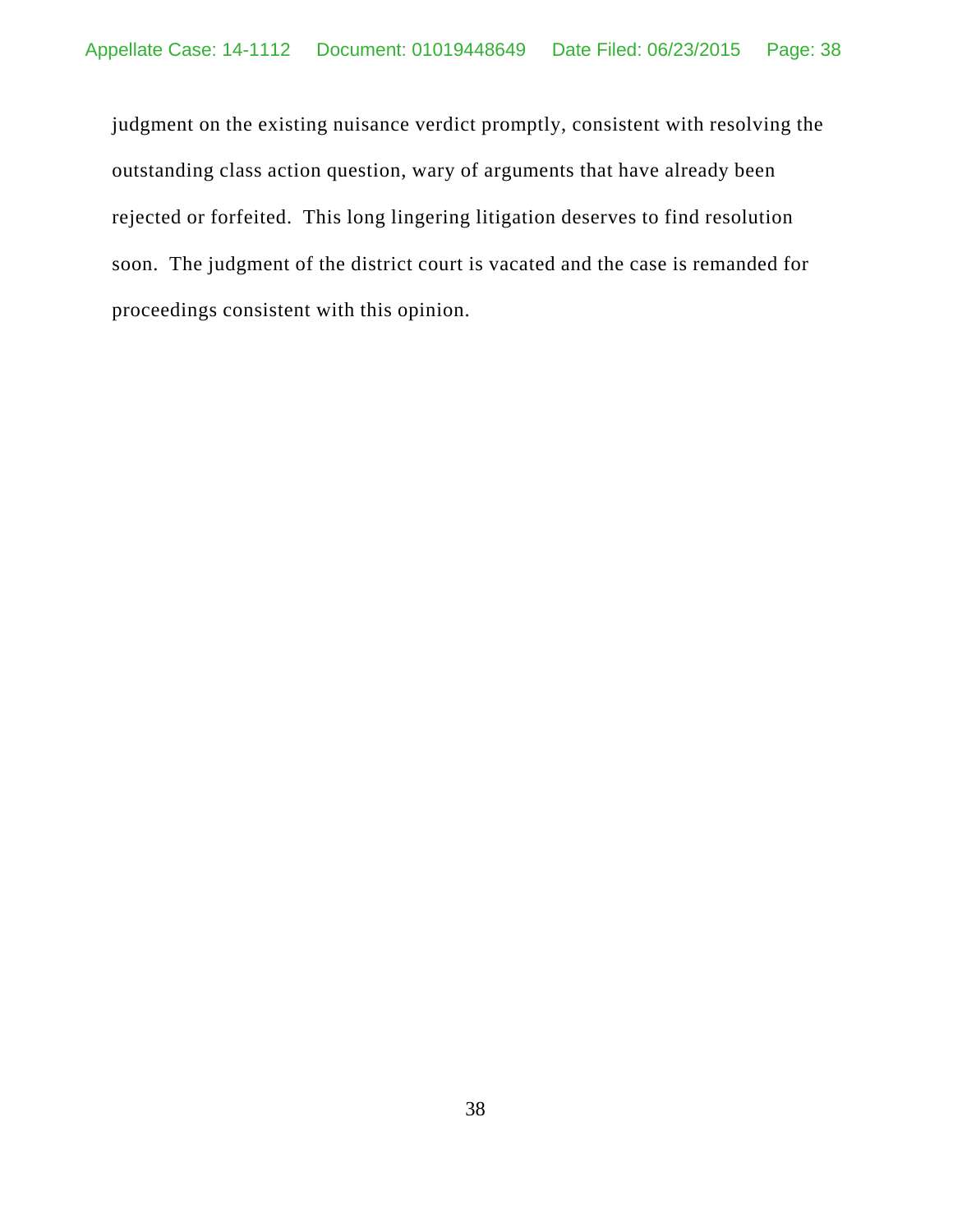judgment on the existing nuisance verdict promptly, consistent with resolving the outstanding class action question, wary of arguments that have already been rejected or forfeited. This long lingering litigation deserves to find resolution soon. The judgment of the district court is vacated and the case is remanded for proceedings consistent with this opinion.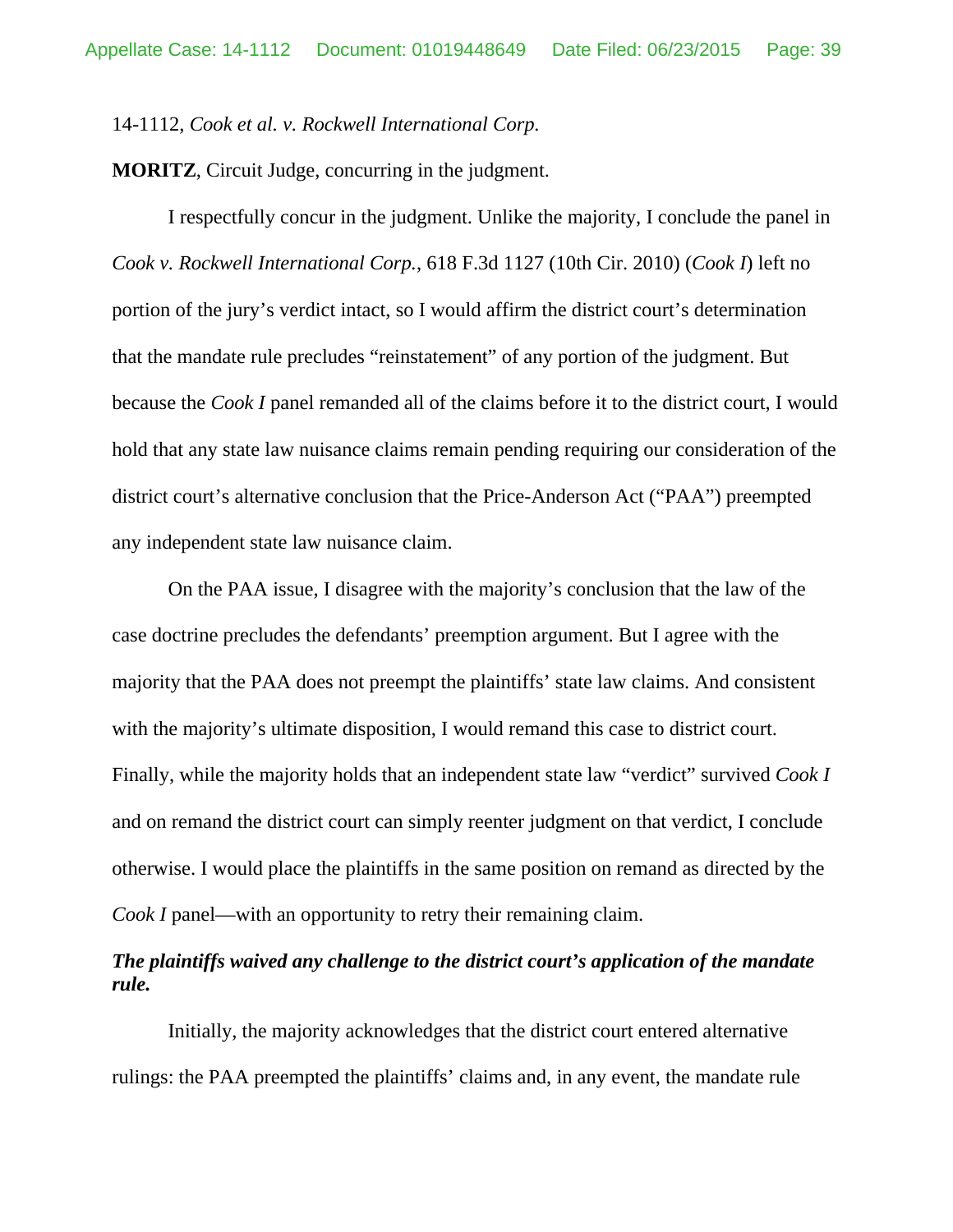### 14-1112, *Cook et al. v. Rockwell International Corp.*

**MORITZ**, Circuit Judge, concurring in the judgment.

I respectfully concur in the judgment. Unlike the majority, I conclude the panel in *Cook v. Rockwell International Corp.*, 618 F.3d 1127 (10th Cir. 2010) (*Cook I*) left no portion of the jury's verdict intact, so I would affirm the district court's determination that the mandate rule precludes "reinstatement" of any portion of the judgment. But because the *Cook I* panel remanded all of the claims before it to the district court, I would hold that any state law nuisance claims remain pending requiring our consideration of the district court's alternative conclusion that the Price-Anderson Act ("PAA") preempted any independent state law nuisance claim.

On the PAA issue, I disagree with the majority's conclusion that the law of the case doctrine precludes the defendants' preemption argument. But I agree with the majority that the PAA does not preempt the plaintiffs' state law claims. And consistent with the majority's ultimate disposition, I would remand this case to district court. Finally, while the majority holds that an independent state law "verdict" survived *Cook I*  and on remand the district court can simply reenter judgment on that verdict, I conclude otherwise. I would place the plaintiffs in the same position on remand as directed by the *Cook I* panel—with an opportunity to retry their remaining claim.

# *The plaintiffs waived any challenge to the district court's application of the mandate rule.*

Initially, the majority acknowledges that the district court entered alternative rulings: the PAA preempted the plaintiffs' claims and, in any event, the mandate rule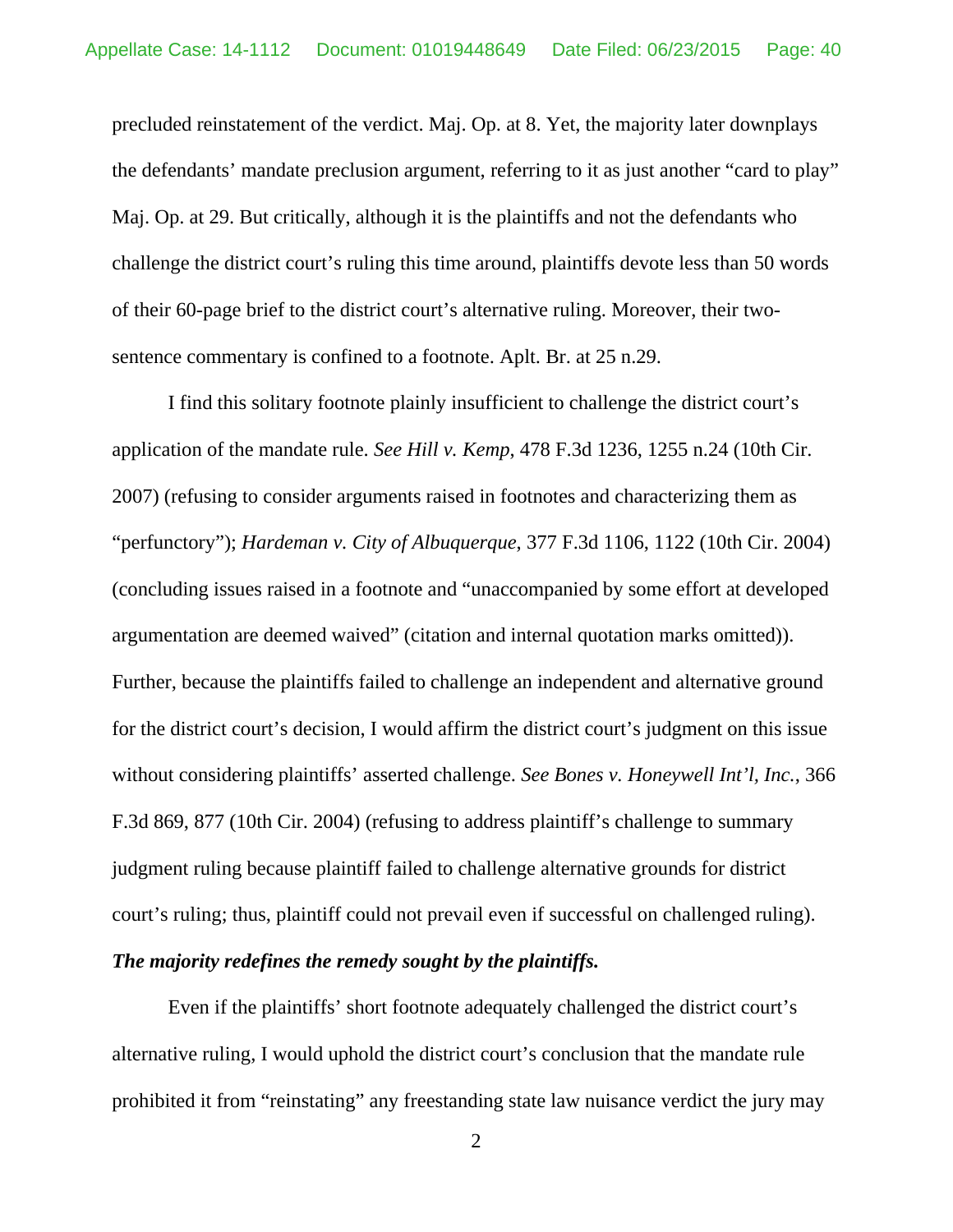precluded reinstatement of the verdict. Maj. Op. at 8. Yet, the majority later downplays the defendants' mandate preclusion argument, referring to it as just another "card to play" Maj. Op. at 29. But critically, although it is the plaintiffs and not the defendants who challenge the district court's ruling this time around, plaintiffs devote less than 50 words of their 60-page brief to the district court's alternative ruling. Moreover, their twosentence commentary is confined to a footnote. Aplt. Br. at 25 n.29.

I find this solitary footnote plainly insufficient to challenge the district court's application of the mandate rule. *See Hill v. Kemp*, 478 F.3d 1236, 1255 n.24 (10th Cir. 2007) (refusing to consider arguments raised in footnotes and characterizing them as "perfunctory"); *Hardeman v. City of Albuquerque*, 377 F.3d 1106, 1122 (10th Cir. 2004) (concluding issues raised in a footnote and "unaccompanied by some effort at developed argumentation are deemed waived" (citation and internal quotation marks omitted)). Further, because the plaintiffs failed to challenge an independent and alternative ground for the district court's decision, I would affirm the district court's judgment on this issue without considering plaintiffs' asserted challenge. *See Bones v. Honeywell Int'l, Inc.*, 366 F.3d 869, 877 (10th Cir. 2004) (refusing to address plaintiff's challenge to summary judgment ruling because plaintiff failed to challenge alternative grounds for district court's ruling; thus, plaintiff could not prevail even if successful on challenged ruling).

## *The majority redefines the remedy sought by the plaintiffs.*

Even if the plaintiffs' short footnote adequately challenged the district court's alternative ruling, I would uphold the district court's conclusion that the mandate rule prohibited it from "reinstating" any freestanding state law nuisance verdict the jury may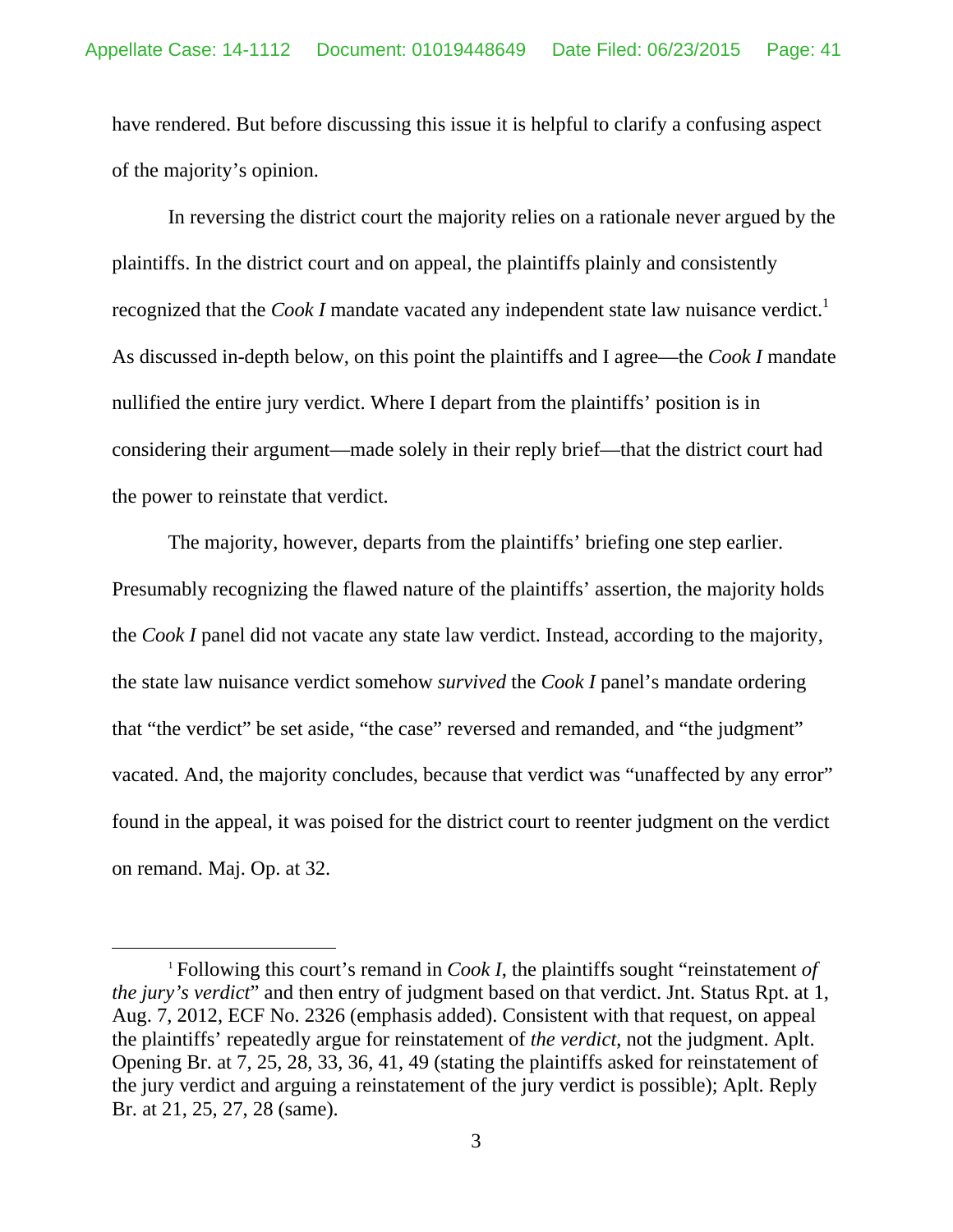have rendered. But before discussing this issue it is helpful to clarify a confusing aspect of the majority's opinion.

In reversing the district court the majority relies on a rationale never argued by the plaintiffs. In the district court and on appeal, the plaintiffs plainly and consistently recognized that the *Cook I* mandate vacated any independent state law nuisance verdict.<sup>1</sup> As discussed in-depth below, on this point the plaintiffs and I agree—the *Cook I* mandate nullified the entire jury verdict. Where I depart from the plaintiffs' position is in considering their argument—made solely in their reply brief—that the district court had the power to reinstate that verdict.

The majority, however, departs from the plaintiffs' briefing one step earlier. Presumably recognizing the flawed nature of the plaintiffs' assertion, the majority holds the *Cook I* panel did not vacate any state law verdict. Instead, according to the majority, the state law nuisance verdict somehow *survived* the *Cook I* panel's mandate ordering that "the verdict" be set aside, "the case" reversed and remanded, and "the judgment" vacated. And, the majority concludes, because that verdict was "unaffected by any error" found in the appeal, it was poised for the district court to reenter judgment on the verdict on remand. Maj. Op. at 32.

 <sup>1</sup> Following this court's remand in *Cook I*, the plaintiffs sought "reinstatement *of the jury's verdict*" and then entry of judgment based on that verdict. Jnt. Status Rpt. at 1, Aug. 7, 2012, ECF No. 2326 (emphasis added). Consistent with that request, on appeal the plaintiffs' repeatedly argue for reinstatement of *the verdict*, not the judgment. Aplt. Opening Br. at 7, 25, 28, 33, 36, 41, 49 (stating the plaintiffs asked for reinstatement of the jury verdict and arguing a reinstatement of the jury verdict is possible); Aplt. Reply Br. at 21, 25, 27, 28 (same).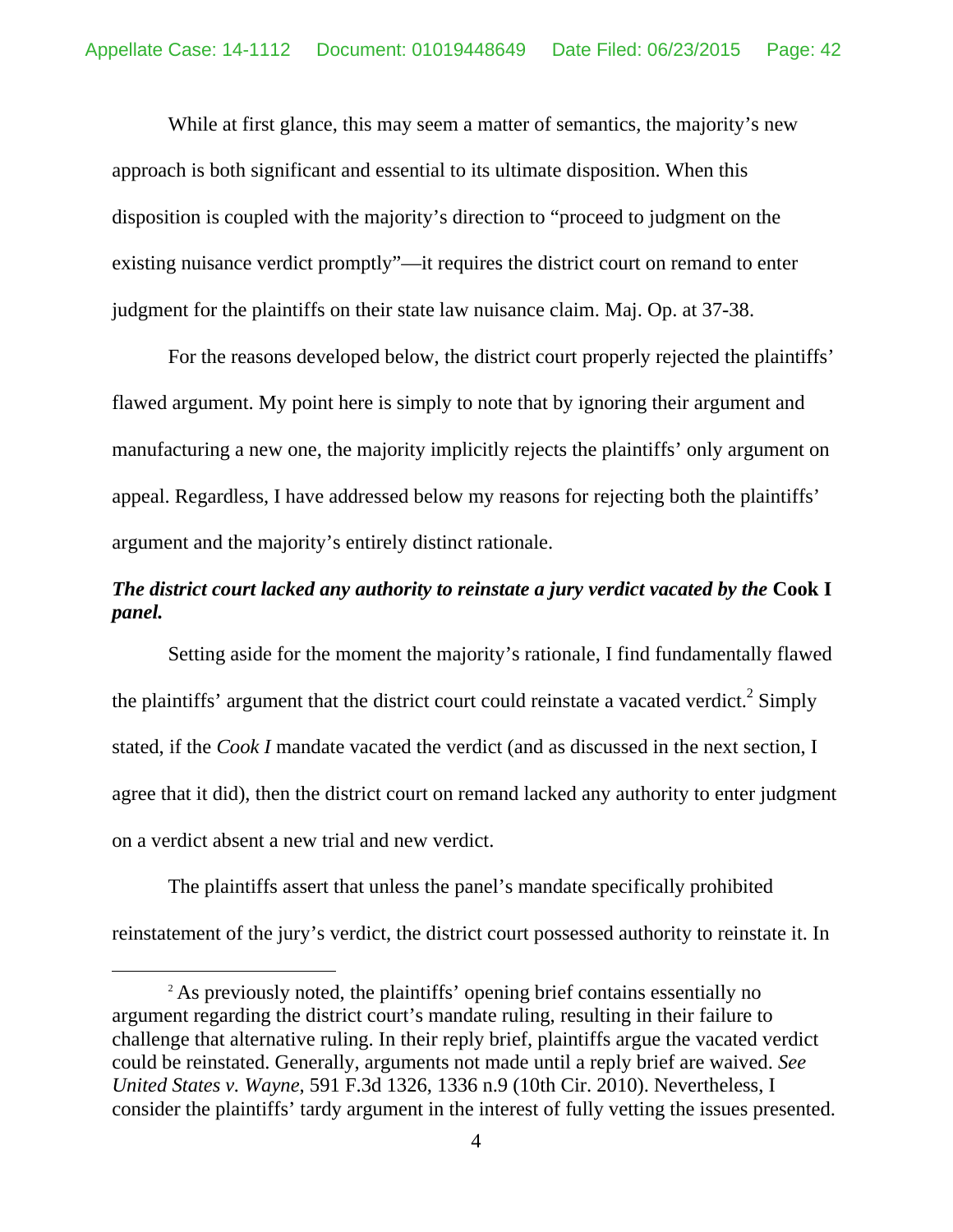While at first glance, this may seem a matter of semantics, the majority's new approach is both significant and essential to its ultimate disposition. When this disposition is coupled with the majority's direction to "proceed to judgment on the existing nuisance verdict promptly"—it requires the district court on remand to enter judgment for the plaintiffs on their state law nuisance claim. Maj. Op. at 37-38.

For the reasons developed below, the district court properly rejected the plaintiffs' flawed argument. My point here is simply to note that by ignoring their argument and manufacturing a new one, the majority implicitly rejects the plaintiffs' only argument on appeal. Regardless, I have addressed below my reasons for rejecting both the plaintiffs' argument and the majority's entirely distinct rationale.

# *The district court lacked any authority to reinstate a jury verdict vacated by the Cook I panel.*

Setting aside for the moment the majority's rationale, I find fundamentally flawed the plaintiffs' argument that the district court could reinstate a vacated verdict.<sup>2</sup> Simply stated, if the *Cook I* mandate vacated the verdict (and as discussed in the next section, I agree that it did), then the district court on remand lacked any authority to enter judgment on a verdict absent a new trial and new verdict.

The plaintiffs assert that unless the panel's mandate specifically prohibited reinstatement of the jury's verdict, the district court possessed authority to reinstate it. In

<sup>&</sup>lt;sup>2</sup> As previously noted, the plaintiffs' opening brief contains essentially no argument regarding the district court's mandate ruling, resulting in their failure to challenge that alternative ruling. In their reply brief, plaintiffs argue the vacated verdict could be reinstated. Generally, arguments not made until a reply brief are waived. *See United States v. Wayne*, 591 F.3d 1326, 1336 n.9 (10th Cir. 2010). Nevertheless, I consider the plaintiffs' tardy argument in the interest of fully vetting the issues presented.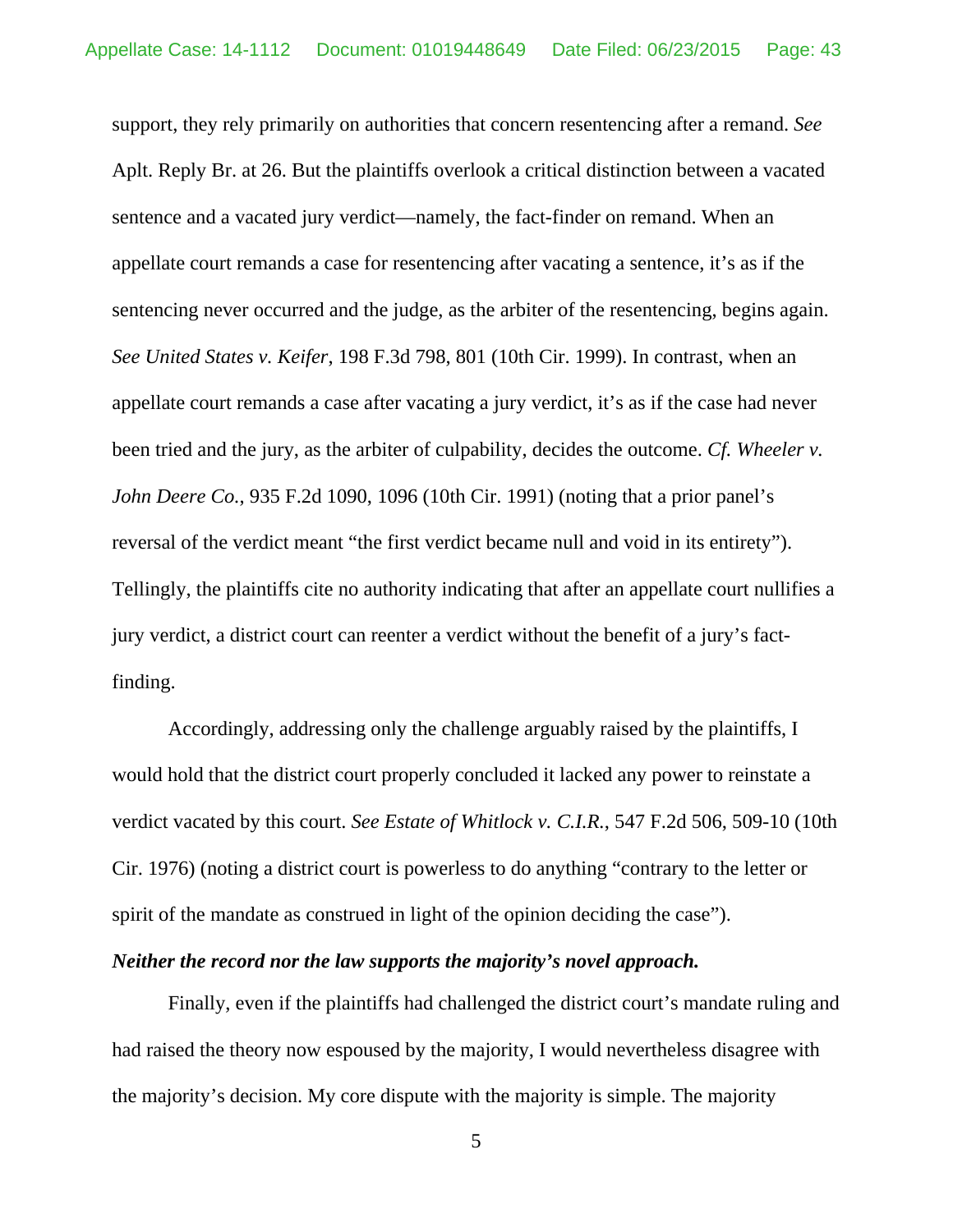support, they rely primarily on authorities that concern resentencing after a remand. *See*  Aplt. Reply Br. at 26. But the plaintiffs overlook a critical distinction between a vacated sentence and a vacated jury verdict—namely, the fact-finder on remand. When an appellate court remands a case for resentencing after vacating a sentence, it's as if the sentencing never occurred and the judge, as the arbiter of the resentencing, begins again. *See United States v. Keifer*, 198 F.3d 798, 801 (10th Cir. 1999). In contrast, when an appellate court remands a case after vacating a jury verdict, it's as if the case had never been tried and the jury, as the arbiter of culpability, decides the outcome. *Cf. Wheeler v. John Deere Co.*, 935 F.2d 1090, 1096 (10th Cir. 1991) (noting that a prior panel's reversal of the verdict meant "the first verdict became null and void in its entirety"). Tellingly, the plaintiffs cite no authority indicating that after an appellate court nullifies a jury verdict, a district court can reenter a verdict without the benefit of a jury's factfinding.

Accordingly, addressing only the challenge arguably raised by the plaintiffs, I would hold that the district court properly concluded it lacked any power to reinstate a verdict vacated by this court. *See Estate of Whitlock v. C.I.R.*, 547 F.2d 506, 509-10 (10th Cir. 1976) (noting a district court is powerless to do anything "contrary to the letter or spirit of the mandate as construed in light of the opinion deciding the case").

### *Neither the record nor the law supports the majority's novel approach.*

Finally, even if the plaintiffs had challenged the district court's mandate ruling and had raised the theory now espoused by the majority, I would nevertheless disagree with the majority's decision. My core dispute with the majority is simple. The majority

5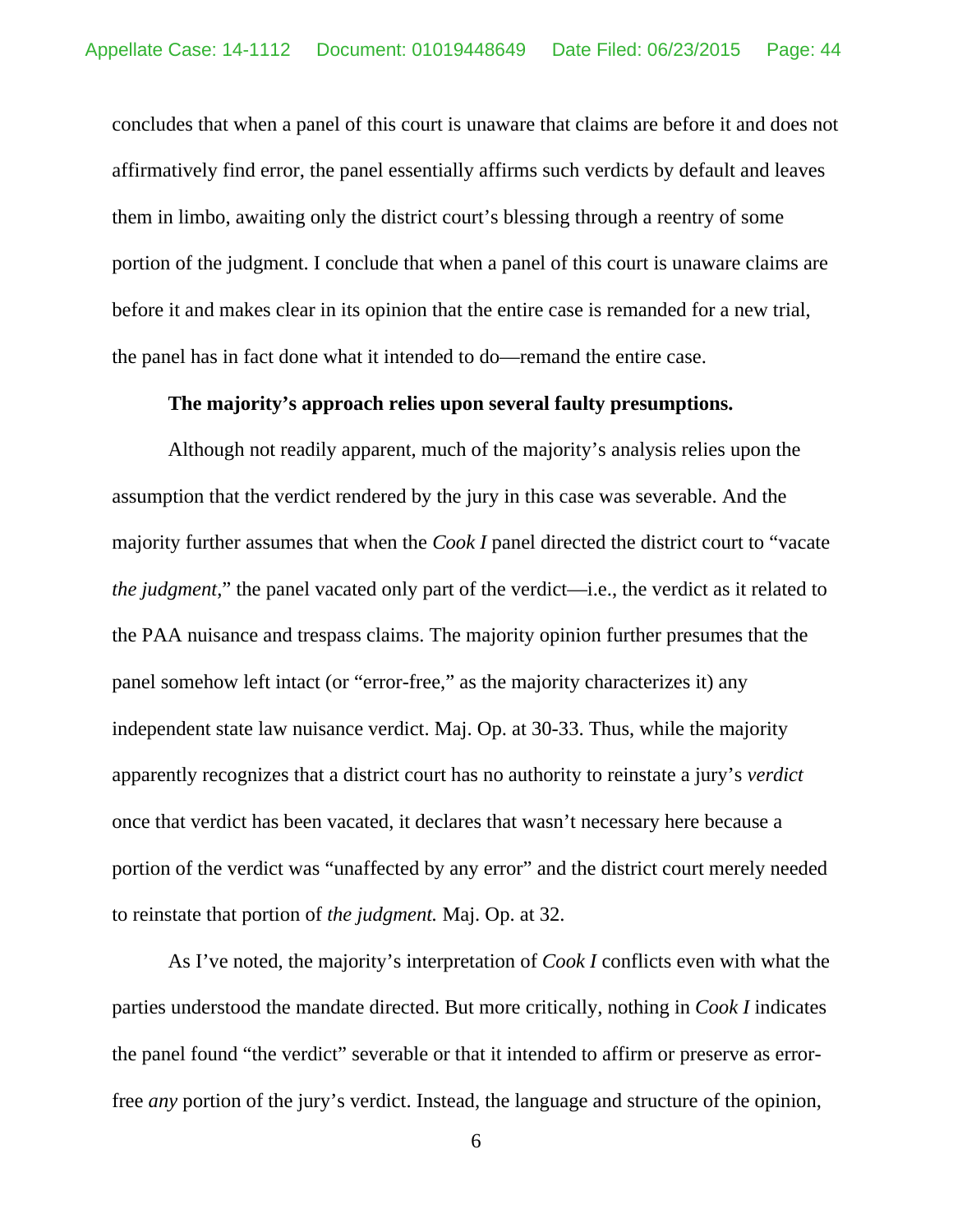concludes that when a panel of this court is unaware that claims are before it and does not affirmatively find error, the panel essentially affirms such verdicts by default and leaves them in limbo, awaiting only the district court's blessing through a reentry of some portion of the judgment. I conclude that when a panel of this court is unaware claims are before it and makes clear in its opinion that the entire case is remanded for a new trial, the panel has in fact done what it intended to do—remand the entire case.

### **The majority's approach relies upon several faulty presumptions.**

Although not readily apparent, much of the majority's analysis relies upon the assumption that the verdict rendered by the jury in this case was severable. And the majority further assumes that when the *Cook I* panel directed the district court to "vacate *the judgment*," the panel vacated only part of the verdict—i.e., the verdict as it related to the PAA nuisance and trespass claims. The majority opinion further presumes that the panel somehow left intact (or "error-free," as the majority characterizes it) any independent state law nuisance verdict. Maj. Op. at 30-33. Thus, while the majority apparently recognizes that a district court has no authority to reinstate a jury's *verdict* once that verdict has been vacated, it declares that wasn't necessary here because a portion of the verdict was "unaffected by any error" and the district court merely needed to reinstate that portion of *the judgment.* Maj. Op. at 32.

As I've noted, the majority's interpretation of *Cook I* conflicts even with what the parties understood the mandate directed. But more critically, nothing in *Cook I* indicates the panel found "the verdict" severable or that it intended to affirm or preserve as errorfree *any* portion of the jury's verdict. Instead, the language and structure of the opinion,

<sup>6</sup>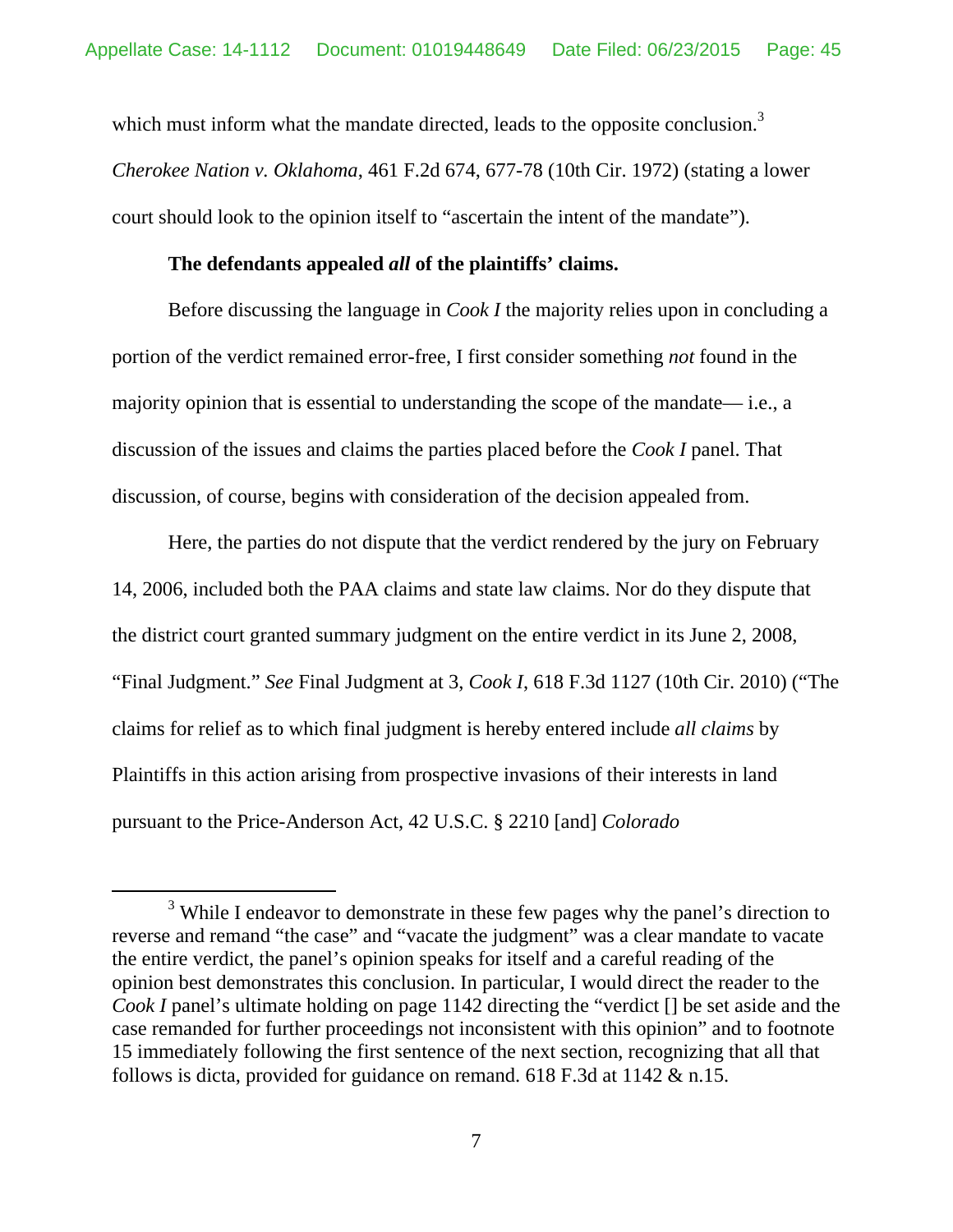which must inform what the mandate directed, leads to the opposite conclusion.<sup>3</sup> *Cherokee Nation v. Oklahoma*, 461 F.2d 674, 677-78 (10th Cir. 1972) (stating a lower court should look to the opinion itself to "ascertain the intent of the mandate").

#### **The defendants appealed** *all* **of the plaintiffs' claims.**

Before discussing the language in *Cook I* the majority relies upon in concluding a portion of the verdict remained error-free, I first consider something *not* found in the majority opinion that is essential to understanding the scope of the mandate— i.e., a discussion of the issues and claims the parties placed before the *Cook I* panel. That discussion, of course, begins with consideration of the decision appealed from.

Here, the parties do not dispute that the verdict rendered by the jury on February 14, 2006, included both the PAA claims and state law claims. Nor do they dispute that the district court granted summary judgment on the entire verdict in its June 2, 2008, "Final Judgment." *See* Final Judgment at 3, *Cook I*, 618 F.3d 1127 (10th Cir. 2010) ("The claims for relief as to which final judgment is hereby entered include *all claims* by Plaintiffs in this action arising from prospective invasions of their interests in land pursuant to the Price-Anderson Act, 42 U.S.C. § 2210 [and] *Colorado* 

 $\frac{1}{3}$ <sup>3</sup> While I endeavor to demonstrate in these few pages why the panel's direction to reverse and remand "the case" and "vacate the judgment" was a clear mandate to vacate the entire verdict, the panel's opinion speaks for itself and a careful reading of the opinion best demonstrates this conclusion. In particular, I would direct the reader to the *Cook I* panel's ultimate holding on page 1142 directing the "verdict [] be set aside and the case remanded for further proceedings not inconsistent with this opinion" and to footnote 15 immediately following the first sentence of the next section, recognizing that all that follows is dicta, provided for guidance on remand. 618 F.3d at 1142 & n.15.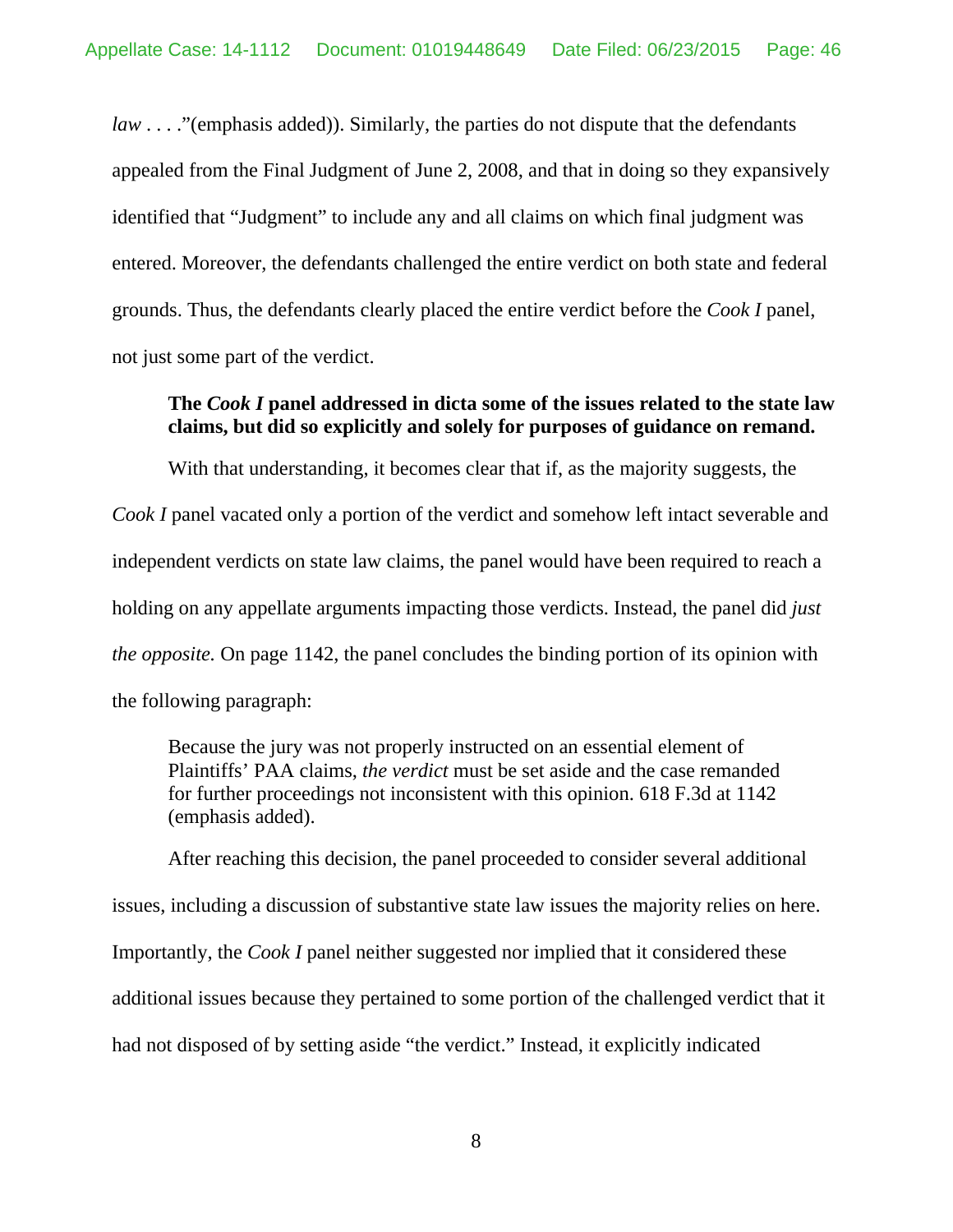*law* . . . . "(emphasis added)). Similarly, the parties do not dispute that the defendants appealed from the Final Judgment of June 2, 2008, and that in doing so they expansively identified that "Judgment" to include any and all claims on which final judgment was entered. Moreover, the defendants challenged the entire verdict on both state and federal grounds. Thus, the defendants clearly placed the entire verdict before the *Cook I* panel, not just some part of the verdict.

## **The** *Cook I* **panel addressed in dicta some of the issues related to the state law claims, but did so explicitly and solely for purposes of guidance on remand.**

With that understanding, it becomes clear that if, as the majority suggests, the *Cook I* panel vacated only a portion of the verdict and somehow left intact severable and independent verdicts on state law claims, the panel would have been required to reach a holding on any appellate arguments impacting those verdicts. Instead, the panel did *just the opposite.* On page 1142, the panel concludes the binding portion of its opinion with the following paragraph:

Because the jury was not properly instructed on an essential element of Plaintiffs' PAA claims, *the verdict* must be set aside and the case remanded for further proceedings not inconsistent with this opinion. 618 F.3d at 1142 (emphasis added).

After reaching this decision, the panel proceeded to consider several additional issues, including a discussion of substantive state law issues the majority relies on here. Importantly, the *Cook I* panel neither suggested nor implied that it considered these additional issues because they pertained to some portion of the challenged verdict that it had not disposed of by setting aside "the verdict." Instead, it explicitly indicated

8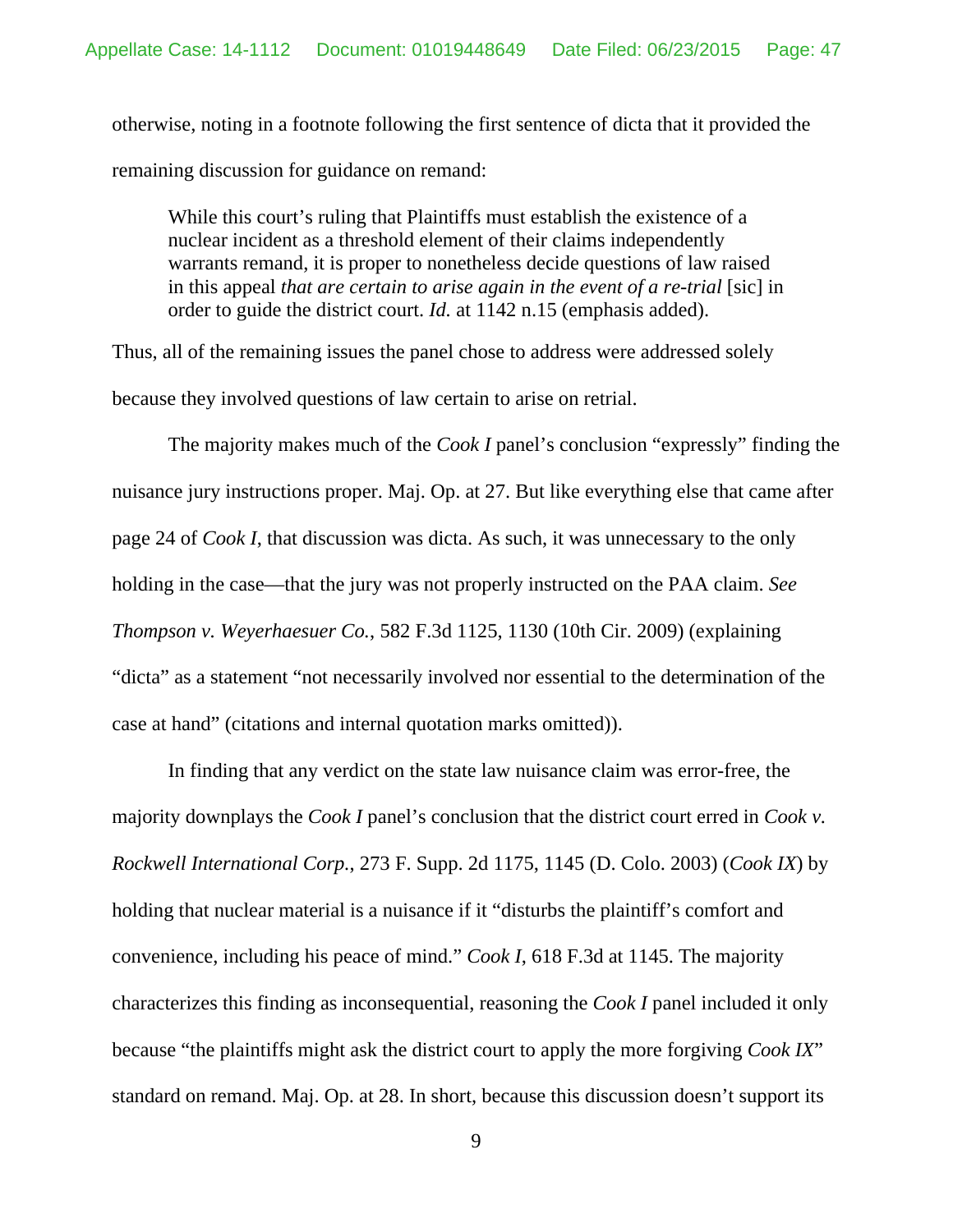otherwise, noting in a footnote following the first sentence of dicta that it provided the remaining discussion for guidance on remand:

While this court's ruling that Plaintiffs must establish the existence of a nuclear incident as a threshold element of their claims independently warrants remand, it is proper to nonetheless decide questions of law raised in this appeal *that are certain to arise again in the event of a re-trial* [sic] in order to guide the district court. *Id.* at 1142 n.15 (emphasis added).

Thus, all of the remaining issues the panel chose to address were addressed solely because they involved questions of law certain to arise on retrial.

The majority makes much of the *Cook I* panel's conclusion "expressly" finding the nuisance jury instructions proper. Maj. Op. at 27. But like everything else that came after page 24 of *Cook I*, that discussion was dicta. As such, it was unnecessary to the only holding in the case—that the jury was not properly instructed on the PAA claim. *See Thompson v. Weyerhaesuer Co.*, 582 F.3d 1125, 1130 (10th Cir. 2009) (explaining "dicta" as a statement "not necessarily involved nor essential to the determination of the case at hand" (citations and internal quotation marks omitted)).

In finding that any verdict on the state law nuisance claim was error-free, the majority downplays the *Cook I* panel's conclusion that the district court erred in *Cook v. Rockwell International Corp.*, 273 F. Supp. 2d 1175, 1145 (D. Colo. 2003) (*Cook IX*) by holding that nuclear material is a nuisance if it "disturbs the plaintiff's comfort and convenience, including his peace of mind." *Cook I*, 618 F.3d at 1145. The majority characterizes this finding as inconsequential, reasoning the *Cook I* panel included it only because "the plaintiffs might ask the district court to apply the more forgiving *Cook IX*" standard on remand. Maj. Op. at 28. In short, because this discussion doesn't support its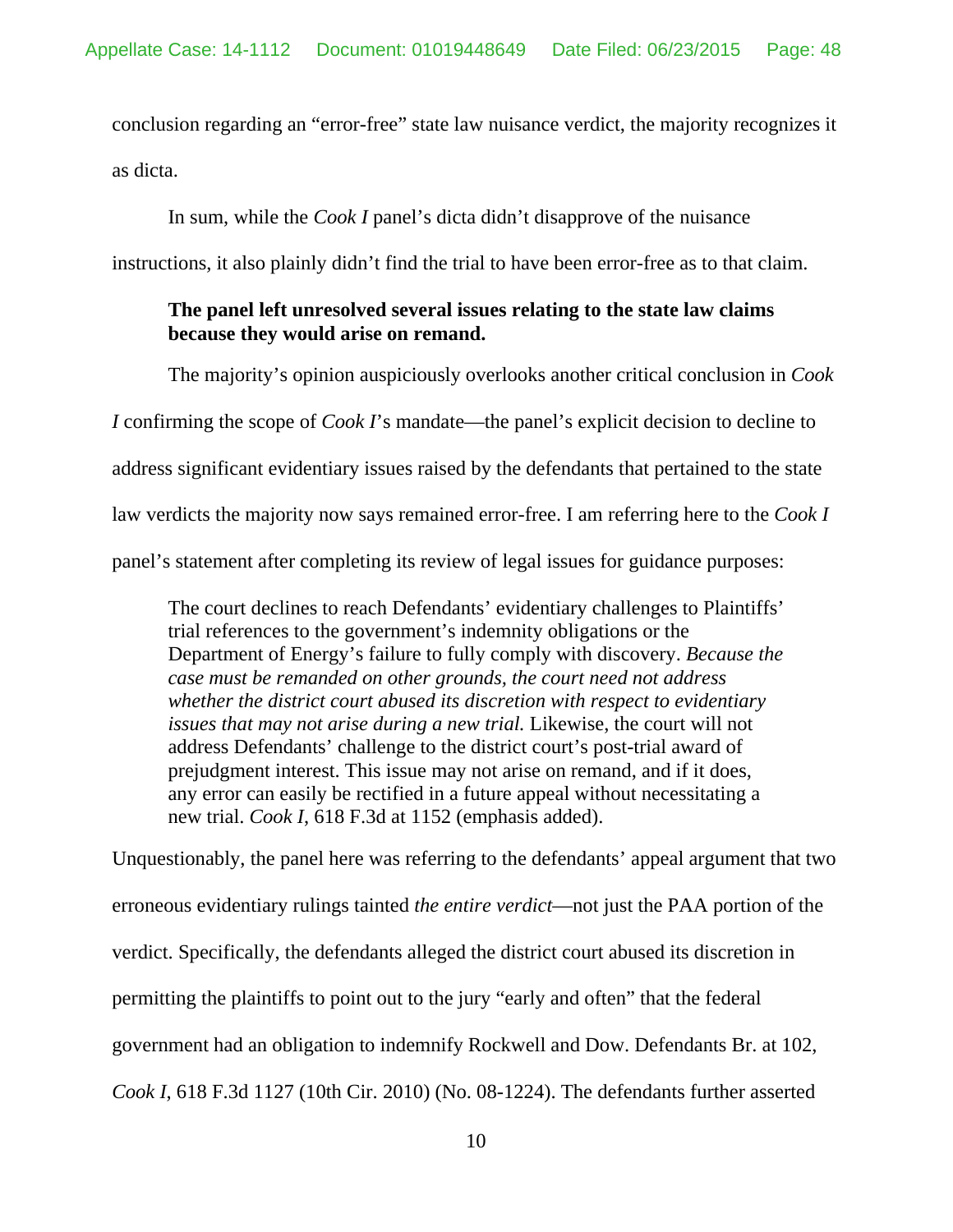conclusion regarding an "error-free" state law nuisance verdict, the majority recognizes it as dicta.

In sum, while the *Cook I* panel's dicta didn't disapprove of the nuisance

instructions, it also plainly didn't find the trial to have been error-free as to that claim.

## **The panel left unresolved several issues relating to the state law claims because they would arise on remand.**

The majority's opinion auspiciously overlooks another critical conclusion in *Cook I* confirming the scope of *Cook I*'s mandate—the panel's explicit decision to decline to address significant evidentiary issues raised by the defendants that pertained to the state law verdicts the majority now says remained error-free. I am referring here to the *Cook I* panel's statement after completing its review of legal issues for guidance purposes:

The court declines to reach Defendants' evidentiary challenges to Plaintiffs' trial references to the government's indemnity obligations or the Department of Energy's failure to fully comply with discovery. *Because the case must be remanded on other grounds, the court need not address whether the district court abused its discretion with respect to evidentiary issues that may not arise during a new trial.* Likewise, the court will not address Defendants' challenge to the district court's post-trial award of prejudgment interest. This issue may not arise on remand, and if it does, any error can easily be rectified in a future appeal without necessitating a new trial. *Cook I*, 618 F.3d at 1152 (emphasis added).

Unquestionably, the panel here was referring to the defendants' appeal argument that two erroneous evidentiary rulings tainted *the entire verdict*—not just the PAA portion of the verdict. Specifically, the defendants alleged the district court abused its discretion in permitting the plaintiffs to point out to the jury "early and often" that the federal government had an obligation to indemnify Rockwell and Dow. Defendants Br. at 102, *Cook I*, 618 F.3d 1127 (10th Cir. 2010) (No. 08-1224). The defendants further asserted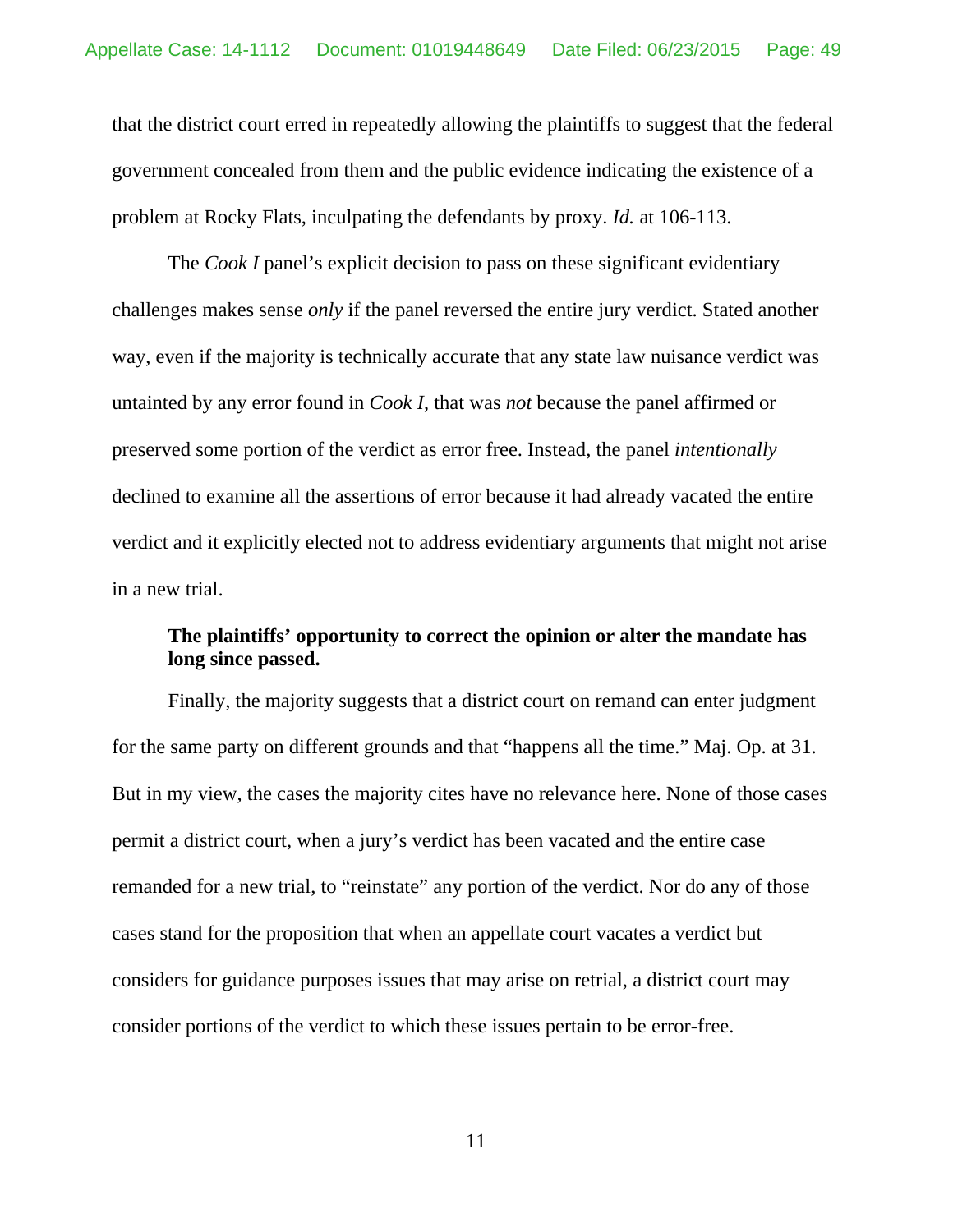that the district court erred in repeatedly allowing the plaintiffs to suggest that the federal government concealed from them and the public evidence indicating the existence of a problem at Rocky Flats, inculpating the defendants by proxy. *Id.* at 106-113.

The *Cook I* panel's explicit decision to pass on these significant evidentiary challenges makes sense *only* if the panel reversed the entire jury verdict. Stated another way, even if the majority is technically accurate that any state law nuisance verdict was untainted by any error found in *Cook I*, that was *not* because the panel affirmed or preserved some portion of the verdict as error free. Instead, the panel *intentionally* declined to examine all the assertions of error because it had already vacated the entire verdict and it explicitly elected not to address evidentiary arguments that might not arise in a new trial.

## **The plaintiffs' opportunity to correct the opinion or alter the mandate has long since passed.**

Finally, the majority suggests that a district court on remand can enter judgment for the same party on different grounds and that "happens all the time." Maj. Op. at 31. But in my view, the cases the majority cites have no relevance here. None of those cases permit a district court, when a jury's verdict has been vacated and the entire case remanded for a new trial, to "reinstate" any portion of the verdict. Nor do any of those cases stand for the proposition that when an appellate court vacates a verdict but considers for guidance purposes issues that may arise on retrial, a district court may consider portions of the verdict to which these issues pertain to be error-free.

11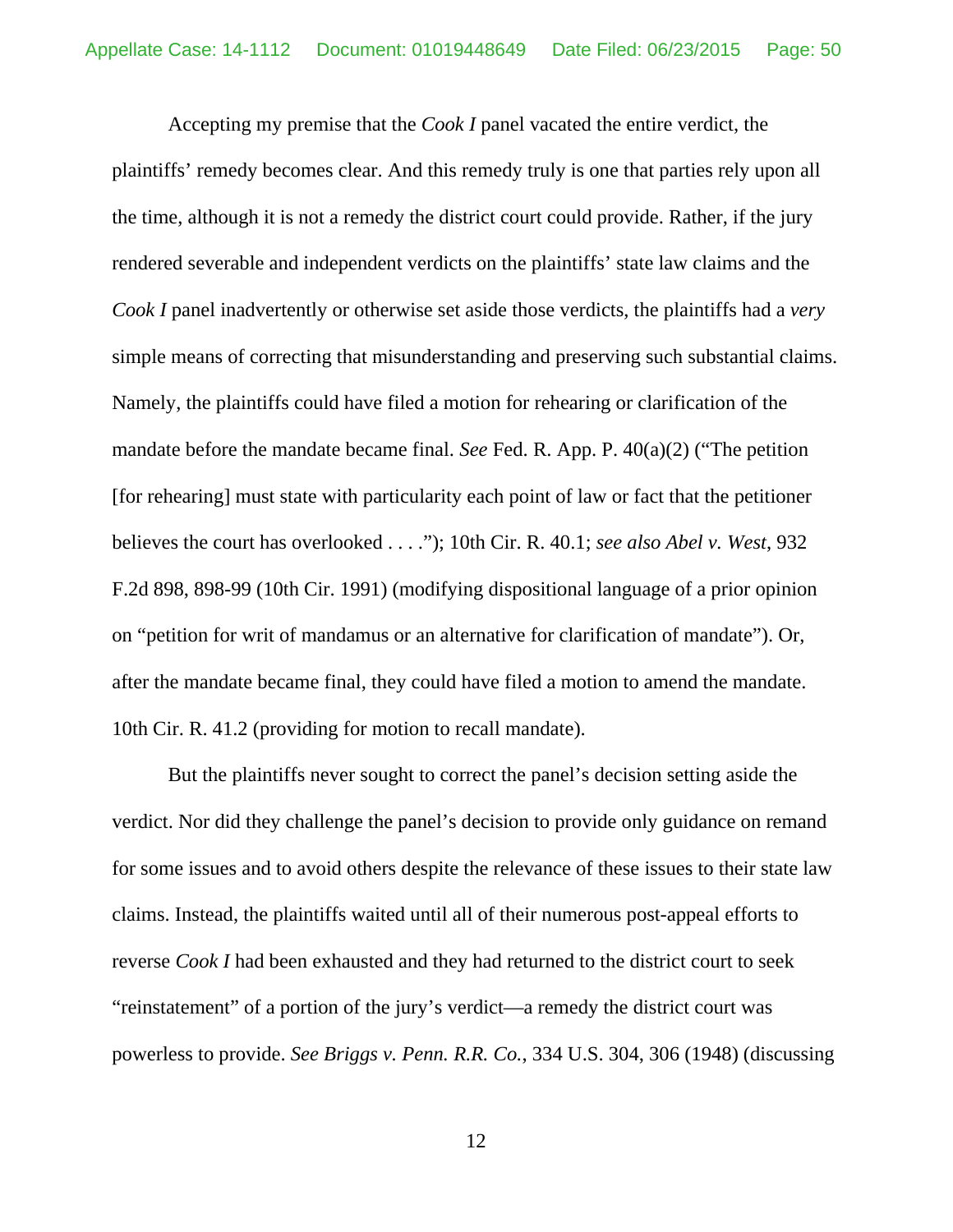Accepting my premise that the *Cook I* panel vacated the entire verdict, the plaintiffs' remedy becomes clear. And this remedy truly is one that parties rely upon all the time, although it is not a remedy the district court could provide. Rather, if the jury rendered severable and independent verdicts on the plaintiffs' state law claims and the *Cook I* panel inadvertently or otherwise set aside those verdicts, the plaintiffs had a *very*  simple means of correcting that misunderstanding and preserving such substantial claims. Namely, the plaintiffs could have filed a motion for rehearing or clarification of the mandate before the mandate became final. *See* Fed. R. App. P. 40(a)(2) ("The petition [for rehearing] must state with particularity each point of law or fact that the petitioner believes the court has overlooked . . . ."); 10th Cir. R. 40.1; *see also Abel v. West*, 932 F.2d 898, 898-99 (10th Cir. 1991) (modifying dispositional language of a prior opinion on "petition for writ of mandamus or an alternative for clarification of mandate"). Or, after the mandate became final, they could have filed a motion to amend the mandate. 10th Cir. R. 41.2 (providing for motion to recall mandate).

But the plaintiffs never sought to correct the panel's decision setting aside the verdict. Nor did they challenge the panel's decision to provide only guidance on remand for some issues and to avoid others despite the relevance of these issues to their state law claims. Instead, the plaintiffs waited until all of their numerous post-appeal efforts to reverse *Cook I* had been exhausted and they had returned to the district court to seek "reinstatement" of a portion of the jury's verdict—a remedy the district court was powerless to provide. *See Briggs v. Penn. R.R. Co.*, 334 U.S. 304, 306 (1948) (discussing

12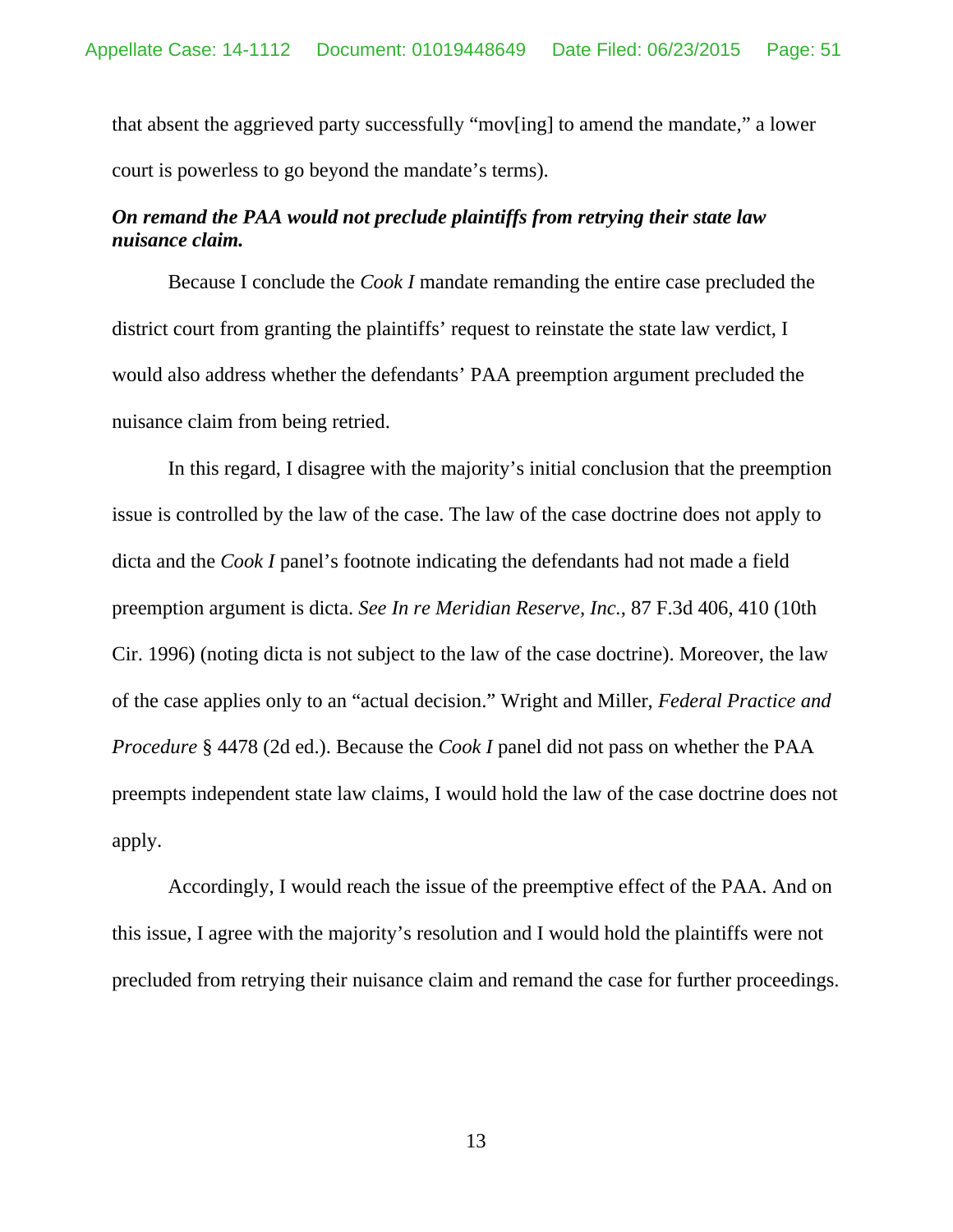that absent the aggrieved party successfully "mov[ing] to amend the mandate," a lower court is powerless to go beyond the mandate's terms).

## *On remand the PAA would not preclude plaintiffs from retrying their state law nuisance claim.*

Because I conclude the *Cook I* mandate remanding the entire case precluded the district court from granting the plaintiffs' request to reinstate the state law verdict, I would also address whether the defendants' PAA preemption argument precluded the nuisance claim from being retried.

In this regard, I disagree with the majority's initial conclusion that the preemption issue is controlled by the law of the case. The law of the case doctrine does not apply to dicta and the *Cook I* panel's footnote indicating the defendants had not made a field preemption argument is dicta. *See In re Meridian Reserve, Inc.*, 87 F.3d 406, 410 (10th Cir. 1996) (noting dicta is not subject to the law of the case doctrine). Moreover, the law of the case applies only to an "actual decision." Wright and Miller, *Federal Practice and Procedure* § 4478 (2d ed.). Because the *Cook I* panel did not pass on whether the PAA preempts independent state law claims, I would hold the law of the case doctrine does not apply.

Accordingly, I would reach the issue of the preemptive effect of the PAA. And on this issue, I agree with the majority's resolution and I would hold the plaintiffs were not precluded from retrying their nuisance claim and remand the case for further proceedings.